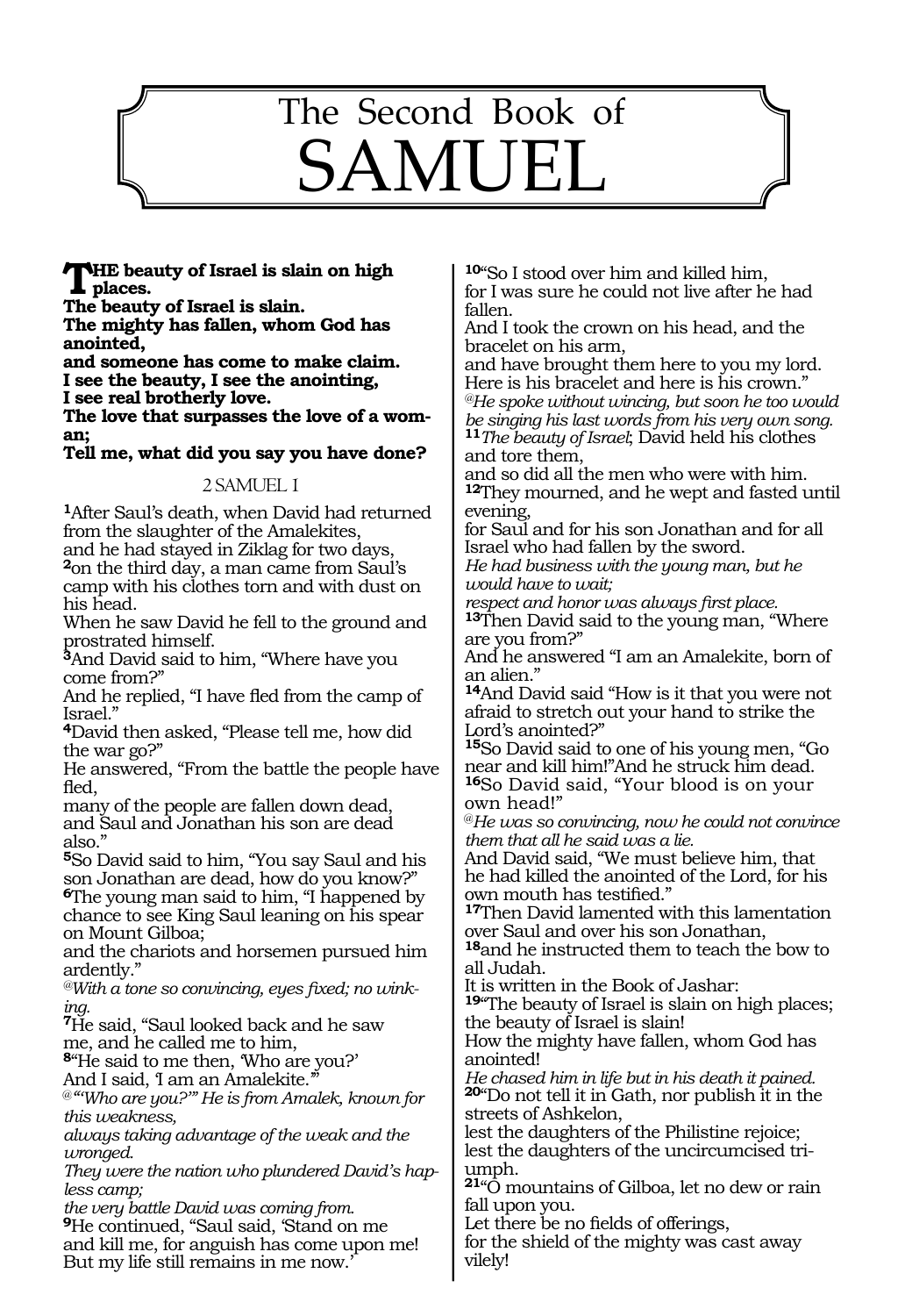

**The beauty of Israel is slain on high places.**

**The beauty of Israel is slain.**

**The mighty has fallen, whom God has anointed,**

**and someone has come to make claim. I see the beauty, I see the anointing, I see real brotherly love.**

**The love that surpasses the love of a woman;**

**Tell me, what did you say you have done?**

#### 2 SAMUEL 1

**<sup>1</sup>**After Saul's death, when David had returned from the slaughter of the Amalekites,

and he had stayed in Ziklag for two days, **<sup>2</sup>**on the third day, a man came from Saul's camp with his clothes torn and with dust on his head.

When he saw David he fell to the ground and prostrated himself.

**<sup>3</sup>**And David said to him, "Where have you come from?"

And he replied, "I have fled from the camp of Israel."

**<sup>4</sup>**David then asked, "Please tell me, how did the war go?"

He answered, "From the battle the people have fled,

many of the people are fallen down dead, and Saul and Jonathan his son are dead also."

**<sup>5</sup>**So David said to him, "You say Saul and his son Jonathan are dead, how do you know?" **<sup>6</sup>**The young man said to him, "I happened by chance to see King Saul leaning on his spear on Mount Gilboa;

and the chariots and horsemen pursued him ardently."

*@With a tone so convincing, eyes fixed; no winking.* 

**<sup>7</sup>**He said, "Saul looked back and he saw me, and he called me to him,

**<sup>8</sup>**"He said to me then, 'Who are you?' And I said, 'I am an Amalekite.'

@*"'Who are you?'" He is from Amalek, known for this weakness,* 

*always taking advantage of the weak and the wronged.*

*They were the nation who plundered David's hapless camp;*

*the very battle David was coming from.* **<sup>9</sup>**He continued, "Saul said, 'Stand on me and kill me, for anguish has come upon me! But my life still remains in me now.'

**<sup>10</sup>**"So I stood over him and killed him, for I was sure he could not live after he had fallen.

And I took the crown on his head, and the bracelet on his arm,

and have brought them here to you my lord. Here is his bracelet and here is his crown." *@He spoke without wincing, but soon he too would be singing his last words from his very own song.*  **<sup>11</sup>***The beauty of Israel*; David held his clothes

and tore them, and so did all the men who were with him.

**<sup>12</sup>**They mourned, and he wept and fasted until evening,

for Saul and for his son Jonathan and for all Israel who had fallen by the sword.

*He had business with the young man, but he would have to wait;*

*respect and honor was always first place.* **<sup>13</sup>**Then David said to the young man, "Where are you from?"

And he answered "I am an Amalekite, born of an alien."

**<sup>14</sup>**And David said "How is it that you were not afraid to stretch out your hand to strike the Lord's anointed?"

**<sup>15</sup>**So David said to one of his young men, "Go near and kill him!"And he struck him dead. **<sup>16</sup>**So David said, "Your blood is on your own head!"

@*He was so convincing, now he could not convince them that all he said was a lie.*

And David said, "We must believe him, that he had killed the anointed of the Lord, for his own mouth has testified."

**<sup>17</sup>**Then David lamented with this lamentation over Saul and over his son Jonathan,

**<sup>18</sup>**and he instructed them to teach the bow to all Judah.

It is written in the Book of Jashar:

**<sup>19</sup>**"The beauty of Israel is slain on high places; the beauty of Israel is slain!

How the mighty have fallen, whom God has anointed!

*He chased him in life but in his death it pained.*  **<sup>20</sup>**"Do not tell it in Gath, nor publish it in the streets of Ashkelon,

lest the daughters of the Philistine rejoice; lest the daughters of the uncircumcised triumph.

**<sup>21</sup>**"O mountains of Gilboa, let no dew or rain fall upon you.

Let there be no fields of offerings,

for the shield of the mighty was cast away vilely!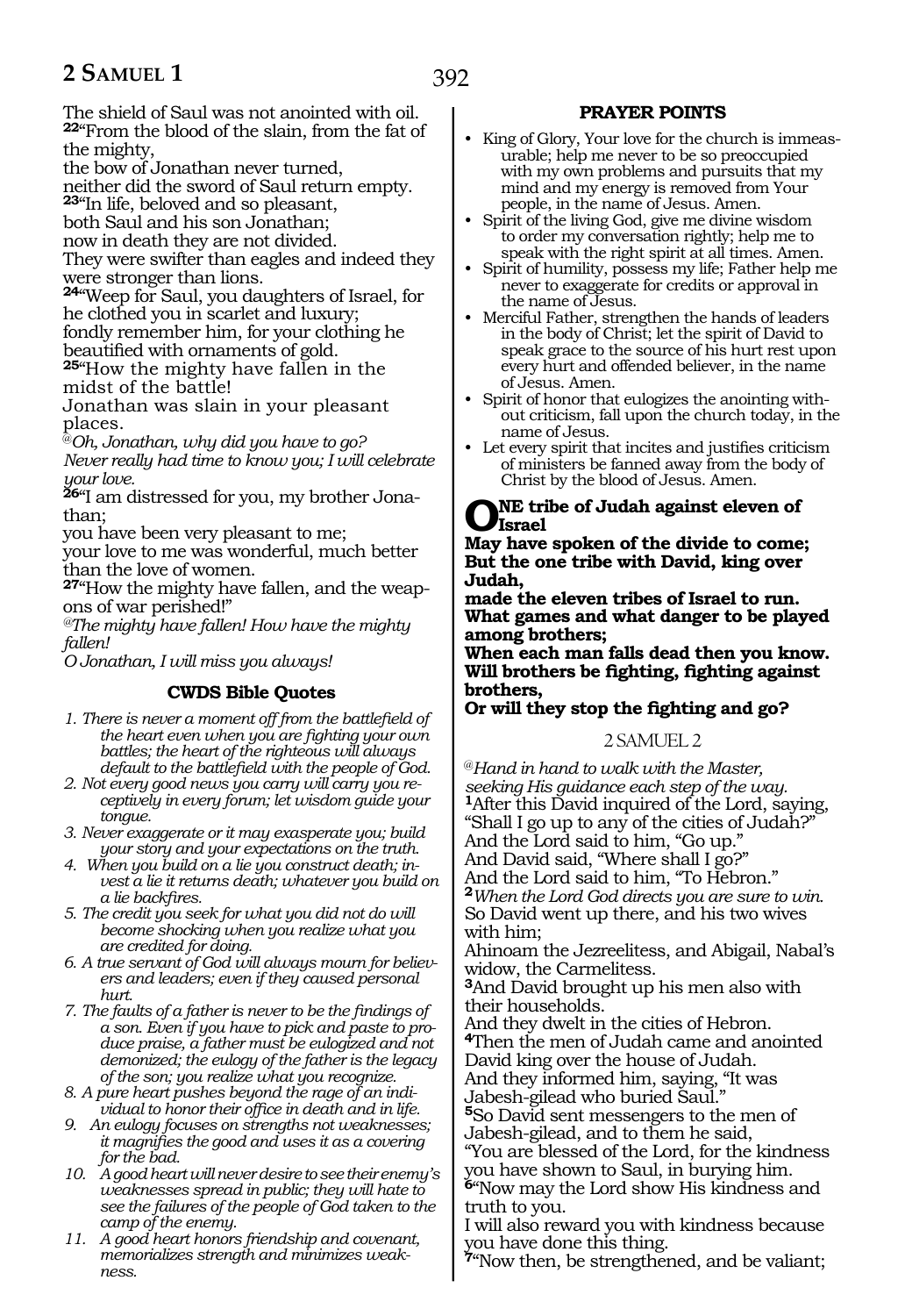The shield of Saul was not anointed with oil. **<sup>22</sup>**"From the blood of the slain, from the fat of the mighty,

the bow of Jonathan never turned,

neither did the sword of Saul return empty. **<sup>23</sup>**"In life, beloved and so pleasant,

both Saul and his son Jonathan;

now in death they are not divided.

They were swifter than eagles and indeed they were stronger than lions.

**<sup>24</sup>**"Weep for Saul, you daughters of Israel, for he clothed you in scarlet and luxury; fondly remember him, for your clothing he<br>beautified with ornaments of gold.

**25**"How the mighty have fallen in the midst of the battle!

Jonathan was slain in your pleasant places.

@*Oh, Jonathan, why did you have to go? Never really had time to know you; I will celebrate your love.* 

**26**"I am distressed for you, my brother Jonathan;

you have been very pleasant to me;

your love to me was wonderful, much better than the love of women.

**27**"How the mighty have fallen, and the weapons of war perished!"

*@The mighty have fallen! How have the mighty fallen!*

*O Jonathan, I will miss you always!*

# **CWDS Bible Quotes**

- *1. There is never a moment off from the battlefield of the heart even when you are fighting your own battles; the heart of the righteous will always default to the battlefield with the people of God.*
- *2. Not every good news you carry will carry you receptively in every forum; let wisdom guide your tongue.*
- *3. Never exaggerate or it may exasperate you; build your story and your expectations on the truth.*
- *4. When you build on a lie you construct death; invest a lie it returns death; whatever you build on a lie backfires.*
- *5. The credit you seek for what you did not do will become shocking when you realize what you are credited for doing.*
- *6. A true servant of God will always mourn for believers and leaders; even if they caused personal hurt.*
- *7. The faults of a father is never to be the findings of a son. Even if you have to pick and paste to produce praise, a father must be eulogized and not demonized; the eulogy of the father is the legacy of the son; you realize what you recognize.*
- *8. A pure heart pushes beyond the rage of an individual to honor their office in death and in life.*
- *9. An eulogy focuses on strengths not weaknesses; it magnifies the good and uses it as a covering for the bad.*
- *10. A good heart will never desire to see their enemy's weaknesses spread in public; they will hate to see the failures of the people of God taken to the camp of the enemy.*
- *11. A good heart honors friendship and covenant, memorializes strength and minimizes weakness.*

# **PRAYER POINTS**

- King of Glory, Your love for the church is immeasurable; help me never to be so preoccupied with my own problems and pursuits that my mind and my energy is removed from Your people, in the name of Jesus. Amen.
- Spirit of the living God, give me divine wisdom to order my conversation rightly; help me to speak with the right spirit at all times. Amen.
- Spirit of humility, possess my life; Father help me never to exaggerate for credits or approval in the name of Jesus.
- Merciful Father, strengthen the hands of leaders in the body of Christ; let the spirit of David to speak grace to the source of his hurt rest upon every hurt and offended believer, in the name of Jesus. Amen.
- Spirit of honor that eulogizes the anointing without criticism, fall upon the church today, in the name of Jesus.
- Let every spirit that incites and justifies criticism of ministers be fanned away from the body of Christ by the blood of Jesus. Amen.

# **NE tribe of Judah against eleven of Israel**

**May have spoken of the divide to come; But the one tribe with David, king over Judah,** 

**made the eleven tribes of Israel to run. What games and what danger to be played among brothers;** 

**When each man falls dead then you know. Will brothers be fighting, fighting against brothers,**

# **Or will they stop the fighting and go?**

# 2 SAMUEL 2

@*Hand in hand to walk with the Master, seeking His guidance each step of the way.* **<sup>1</sup>**After this David inquired of the Lord, saying, "Shall I go up to any of the cities of Judah?" And the Lord said to him, "Go up." And David said, "Where shall I go?" And the Lord said to him, "To Hebron." **<sup>2</sup>***When the Lord God directs you are sure to win.* So David went up there, and his two wives with him;

Ahinoam the Jezreelitess, and Abigail, Nabal's widow, the Carmelitess.

**<sup>3</sup>**And David brought up his men also with their households.

And they dwelt in the cities of Hebron. **<sup>4</sup>**Then the men of Judah came and anointed David king over the house of Judah.

And they informed him, saying, "It was Jabesh-gilead who buried Saul."

**<sup>5</sup>**So David sent messengers to the men of Jabesh-gilead, and to them he said,

"You are blessed of the Lord, for the kindness you have shown to Saul, in burying him. **<sup>6</sup>**"Now may the Lord show His kindness and truth to you.

I will also reward you with kindness because you have done this thing.

**<sup>7</sup>**"Now then, be strengthened, and be valiant;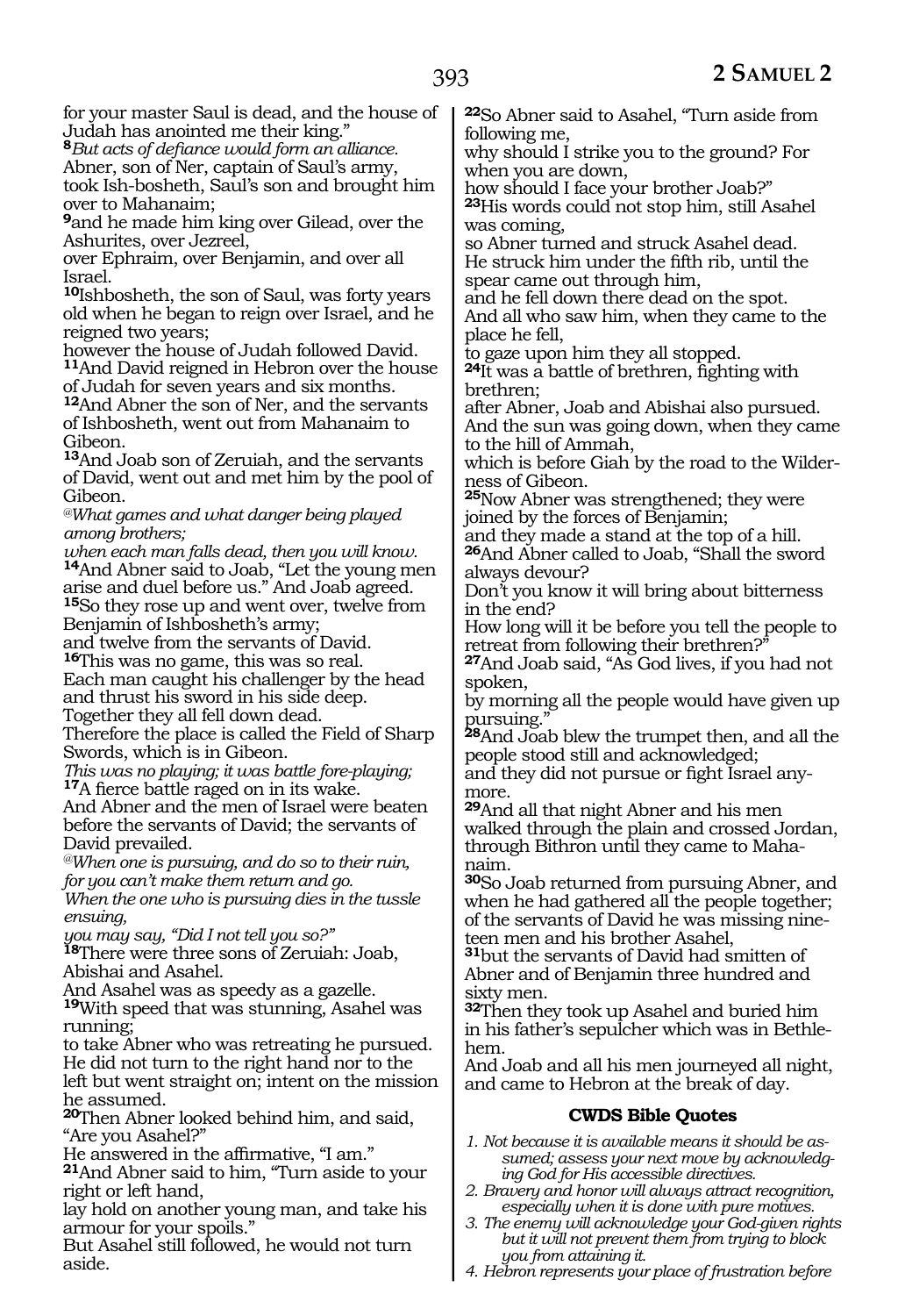for your master Saul is dead, and the house of Judah has anointed me their king."

**<sup>8</sup>***But acts of defiance would form an alliance.*

Abner, son of Ner, captain of Saul's army,

took Ish-bosheth, Saul's son and brought him over to Mahanaim;

**<sup>9</sup>**and he made him king over Gilead, over the Ashurites, over Jezreel,

over Ephraim, over Benjamin, and over all Israel.

**<sup>10</sup>**Ishbosheth, the son of Saul, was forty years old when he began to reign over Israel, and he reigned two years;

however the house of Judah followed David. **<sup>11</sup>**And David reigned in Hebron over the house

of Judah for seven years and six months.

**<sup>12</sup>**And Abner the son of Ner, and the servants of Ishbosheth, went out from Mahanaim to Gibeon.

**<sup>13</sup>**And Joab son of Zeruiah, and the servants of David, went out and met him by the pool of Gibeon.

*@What games and what danger being played among brothers;*

*when each man falls dead, then you will know.* **<sup>14</sup>**And Abner said to Joab, "Let the young men arise and duel before us." And Joab agreed. **<sup>15</sup>**So they rose up and went over, twelve from

Benjamin of Ishbosheth's army;

and twelve from the servants of David.

**<sup>16</sup>**This was no game, this was so real. Each man caught his challenger by the head and thrust his sword in his side deep. Together they all fell down dead.

Therefore the place is called the Field of Sharp Swords, which is in Gibeon.

*This was no playing; it was battle fore-playing;* 17A fierce battle raged on in its wake.

And Abner and the men of Israel were beaten before the servants of David; the servants of David prevailed.

*@When one is pursuing, and do so to their ruin, for you can't make them return and go.*

*When the one who is pursuing dies in the tussle ensuing,* 

*you may say, "Did I not tell you so?"*

**<sup>18</sup>**There were three sons of Zeruiah: Joab, Abishai and Asahel.

And Asahel was as speedy as a gazelle.

**<sup>19</sup>**With speed that was stunning, Asahel was running;

to take Abner who was retreating he pursued. He did not turn to the right hand nor to the left but went straight on; intent on the mission

he assumed. **<sup>20</sup>**Then Abner looked behind him, and said, "Are you Asahel?"

He answered in the affirmative, "I am."

**<sup>21</sup>**And Abner said to him, "Turn aside to your right or left hand,

lay hold on another young man, and take his armour for your spoils."

But Asahel still followed, he would not turn aside.

**<sup>22</sup>**So Abner said to Asahel, "Turn aside from following me,

why should I strike you to the ground? For when you are down,

how should I face your brother Joab?" **<sup>23</sup>**His words could not stop him, still Asahel was coming,

so Abner turned and struck Asahel dead. He struck him under the fifth rib, until the spear came out through him,

and he fell down there dead on the spot. And all who saw him, when they came to the place he fell,

to gaze upon him they all stopped.

**<sup>24</sup>**It was a battle of brethren, fighting with brethren;

after Abner, Joab and Abishai also pursued. And the sun was going down, when they came to the hill of Ammah,

which is before Giah by the road to the Wilderness of Gibeon.

**<sup>25</sup>**Now Abner was strengthened; they were joined by the forces of Benjamin;

and they made a stand at the top of a hill. **<sup>26</sup>**And Abner called to Joab, "Shall the sword always devour?

Don't you know it will bring about bitterness in the end?

How long will it be before you tell the people to retreat from following their brethren?

**<sup>27</sup>**And Joab said, "As God lives, if you had not spoken,

by morning all the people would have given up pursuing."

**<sup>28</sup>**And Joab blew the trumpet then, and all the people stood still and acknowledged;

and they did not pursue or fight Israel anymore.

**<sup>29</sup>**And all that night Abner and his men walked through the plain and crossed Jordan, through Bithron until they came to Mahanaim.

**<sup>30</sup>**So Joab returned from pursuing Abner, and when he had gathered all the people together; of the servants of David he was missing nineteen men and his brother Asahel,

**<sup>31</sup>**but the servants of David had smitten of Abner and of Benjamin three hundred and sixty men.

**<sup>32</sup>**Then they took up Asahel and buried him in his father's sepulcher which was in Bethlehem.

And Joab and all his men journeyed all night, and came to Hebron at the break of day.

# **CWDS Bible Quotes**

- *1. Not because it is available means it should be assumed; assess your next move by acknowledging God for His accessible directives.*
- *2. Bravery and honor will always attract recognition, especially when it is done with pure motives.*
- *3. The enemy will acknowledge your God-given rights but it will not prevent them from trying to block you from attaining it.*
- *4. Hebron represents your place of frustration before*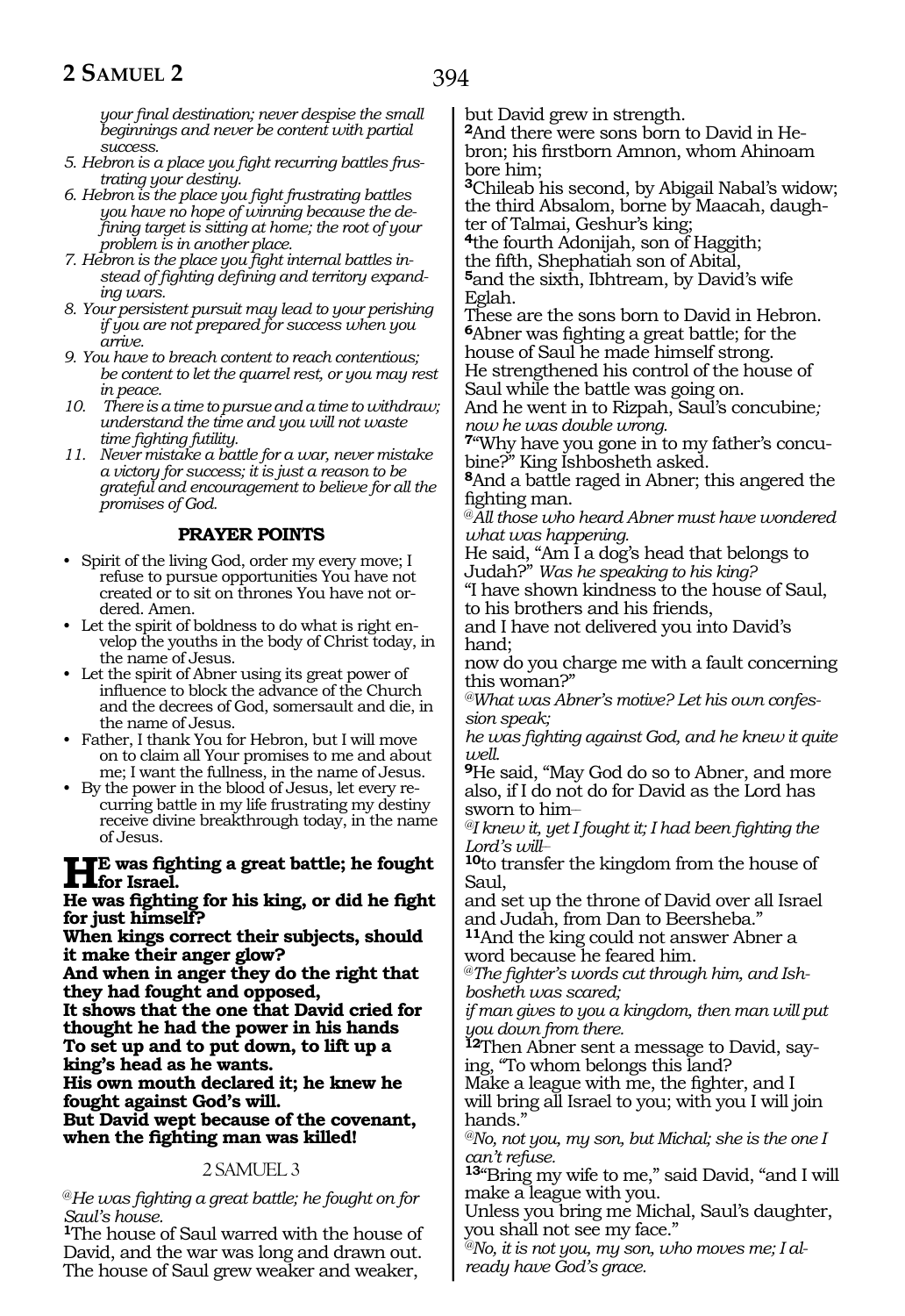394

*your final destination; never despise the small beginnings and never be content with partial success.*

- *5. Hebron is a place you fight recurring battles frustrating your destiny.*
- *6. Hebron is the place you fight frustrating battles you have no hope of winning because the defining target is sitting at home; the root of your problem is in another place.*
- *7. Hebron is the place you fight internal battles instead of fighting defining and territory expanding wars.*
- *8. Your persistent pursuit may lead to your perishing if you are not prepared for success when you arrive.*
- *9. You have to breach content to reach contentious; be content to let the quarrel rest, or you may rest in peace.*
- *10. There is a time to pursue and a time to withdraw; understand the time and you will not waste time fighting futility.*
- *11. Never mistake a battle for a war, never mistake a victory for success; it is just a reason to be grateful and encouragement to believe for all the promises of God.*

#### **PRAYER POINTS**

- Spirit of the living God, order my every move; I refuse to pursue opportunities You have not created or to sit on thrones You have not ordered. Amen.
- Let the spirit of boldness to do what is right envelop the youths in the body of Christ today, in the name of Jesus.
- Let the spirit of Abner using its great power of influence to block the advance of the Church and the decrees of God, somersault and die, in the name of Jesus.
- Father, I thank You for Hebron, but I will move on to claim all Your promises to me and about me; I want the fullness, in the name of Jesus.
- By the power in the blood of Jesus, let every recurring battle in my life frustrating my destiny receive divine breakthrough today, in the name of Jesus.

#### **He was fighting a great battle; he fought for** Israel

#### **He was fighting for his king, or did he fight for just himself?**

**When kings correct their subjects, should it make their anger glow?**

**And when in anger they do the right that they had fought and opposed,**

**It shows that the one that David cried for thought he had the power in his hands To set up and to put down, to lift up a king's head as he wants.**

**His own mouth declared it; he knew he fought against God's will.**

**But David wept because of the covenant, when the fighting man was killed!**

#### 2 SAMUEL 3

@*He was fighting a great battle; he fought on for Saul's house.*

**<sup>1</sup>**The house of Saul warred with the house of David, and the war was long and drawn out. The house of Saul grew weaker and weaker,

but David grew in strength.

**<sup>2</sup>**And there were sons born to David in He- bron; his firstborn Amnon, whom Ahinoam bore him;

**<sup>3</sup>**Chileab his second, by Abigail Nabal's widow; the third Absalom, borne by Maacah, daughter of Talmai, Geshur's king;

**<sup>4</sup>**the fourth Adonijah, son of Haggith;

<sup>5</sup>and the sixth, Ibhtream, by David's wife Eglah.

These are the sons born to David in Hebron. **<sup>6</sup>**Abner was fighting a great battle; for the house of Saul he made himself strong. He strengthened his control of the house of Saul while the battle was going on.

And he went in to Rizpah, Saul's concubine*; now he was double wrong.*

**7**"Why have you gone in to my father's concubine?" King Ishbosheth asked.

**<sup>8</sup>**And a battle raged in Abner; this angered the fighting man.

@*All those who heard Abner must have wondered what was happening.*

He said, "Am I a dog's head that belongs to Judah?" *Was he speaking to his king?*

"I have shown kindness to the house of Saul, to his brothers and his friends,

and I have not delivered you into David's hand;

now do you charge me with a fault concerning this woman?"

*@What was Abner's motive? Let his own confession speak;*

*he was fighting against God, and he knew it quite well.*

**<sup>9</sup>**He said, "May God do so to Abner, and more also, if I do not do for David as the Lord has sworn to him\_\_

*@I knew it, yet I fought it; I had been fighting the Lord's will\_\_*

**<sup>10</sup>**to transfer the kingdom from the house of Saul,

and set up the throne of David over all Israel and Judah, from Dan to Beersheba."

**<sup>11</sup>**And the king could not answer Abner a word because he feared him.

@*The fighter's words cut through him, and Ishbosheth was scared;*

*if man gives to you a kingdom, then man will put you down from there.*

**12**Then Abner sent a message to David, saying, "To whom belongs this land?

Make a league with me, the fighter, and I will bring all Israel to you; with you I will join hands."

*@No, not you, my son, but Michal; she is the one I can't refuse.*

**<sup>13</sup>**"Bring my wife to me," said David, "and I will make a league with you.

Unless you bring me Michal, Saul's daughter, you shall not see my face."

*@No, it is not you, my son, who moves me; I already have God's grace.*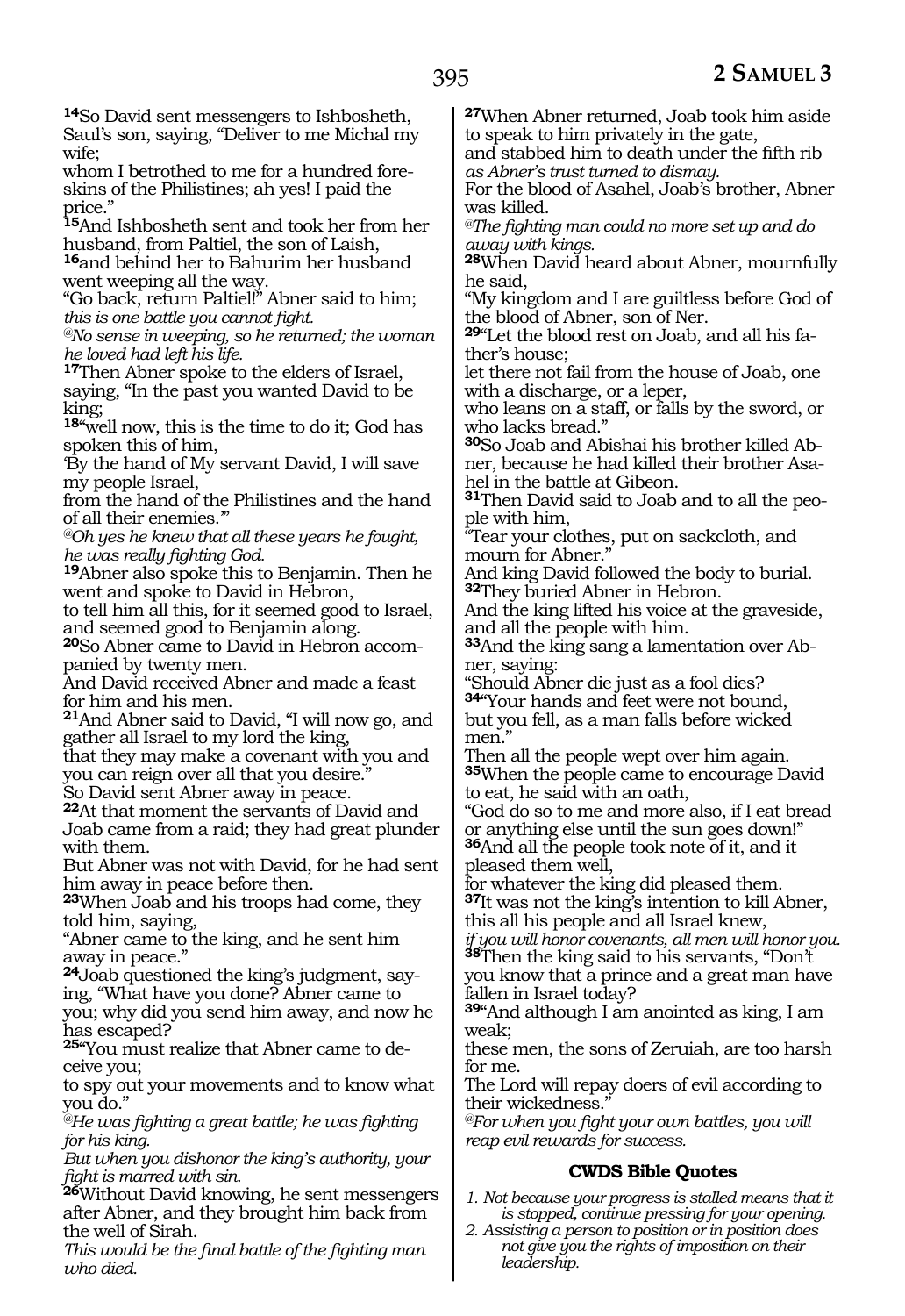**<sup>14</sup>**So David sent messengers to Ishbosheth, Saul's son, saying, "Deliver to me Michal my wife;

whom I betrothed to me for a hundred foreskins of the Philistines; ah yes! I paid the price."

**<sup>15</sup>**And Ishbosheth sent and took her from her husband, from Paltiel, the son of Laish, **<sup>16</sup>**and behind her to Bahurim her husband

went weeping all the way. "Go back, return Paltiel!" Abner said to him; *this is one battle you cannot fight.*

*@No sense in weeping, so he returned; the woman he loved had left his life.*

**<sup>17</sup>**Then Abner spoke to the elders of Israel, saying, "In the past you wanted David to be king;

**<sup>18</sup>**"well now, this is the time to do it; God has spoken this of him,

'By the hand of My servant David, I will save my people Israel,

from the hand of the Philistines and the hand of all their enemies.'"

*@Oh yes he knew that all these years he fought,* 

<sup>19</sup>Abner also spoke this to Benjamin. Then he went and spoke to David in Hebron,

to tell him all this, for it seemed good to Israel, and seemed good to Benjamin along.

**20**So Abner came to David in Hebron accompanied by twenty men.

And David received Abner and made a feast for him and his men.

**<sup>21</sup>**And Abner said to David, "I will now go, and gather all Israel to my lord the king,

that they may make a covenant with you and you can reign over all that you desire."

So David sent Abner away in peace.

**<sup>22</sup>**At that moment the servants of David and Joab came from a raid; they had great plunder with them.

But Abner was not with David, for he had sent him away in peace before then.

**<sup>23</sup>**When Joab and his troops had come, they told him, saying,

"Abner came to the king, and he sent him away in peace."

**24**Joab questioned the king's judgment, saying, "What have you done? Abner came to you; why did you send him away, and now he has escaped?

**25**"You must realize that Abner came to deceive you;

to spy out your movements and to know what you do."

*@He was fighting a great battle; he was fighting for his king.*

*But when you dishonor the king's authority, your fight is marred with sin.*

**<sup>26</sup>**Without David knowing, he sent messengers after Abner, and they brought him back from the well of Sirah.

*This would be the final battle of the fighting man who died.*

**<sup>27</sup>**When Abner returned, Joab took him aside to speak to him privately in the gate, and stabbed him to death under the fifth rib

*as Abner's trust turned to dismay.*

For the blood of Asahel, Joab's brother, Abner was killed.

*@The fighting man could no more set up and do away with kings.*

**<sup>28</sup>**When David heard about Abner, mournfully he said,

"My kingdom and I are guiltless before God of the blood of Abner, son of Ner.

**29**"Let the blood rest on Joab, and all his father's house;

let there not fail from the house of Joab, one with a discharge, or a leper,

who leans on a staff, or falls by the sword, or who lacks bread."

**30**So Joab and Abishai his brother killed Abner, because he had killed their brother Asahel in the battle at Gibeon.

**31**Then David said to Joab and to all the peo $p$ le with him,

"Tear your clothes, put on sackcloth, and mourn for Abner."

And king David followed the body to burial. **<sup>32</sup>**They buried Abner in Hebron.

And the king lifted his voice at the graveside, and all the people with him.

**33**And the king sang a lamentation over Abner, saying:

"Should Abner die just as a fool dies? **<sup>34</sup>**"Your hands and feet were not bound,

but you fell, as a man falls before wicked men."

Then all the people wept over him again. **<sup>35</sup>**When the people came to encourage David to eat, he said with an oath,

"God do so to me and more also, if I eat bread or anything else until the sun goes down!" **<sup>36</sup>**And all the people took note of it, and it pleased them well,

for whatever the king did pleased them. **<sup>37</sup>**It was not the king's intention to kill Abner, this all his people and all Israel knew,

*if you will honor covenants, all men will honor you.* **<sup>38</sup>**Then the king said to his servants, "Don't you know that a prince and a great man have

fallen in Israel today?

**<sup>39</sup>**"And although I am anointed as king, I am weak;

these men, the sons of Zeruiah, are too harsh for me.

The Lord will repay doers of evil according to their wickedness."

*@For when you fight your own battles, you will reap evil rewards for success.*

# **CWDS Bible Quotes**

*1. Not because your progress is stalled means that it is stopped, continue pressing for your opening.*

*2. Assisting a person to position or in position does not give you the rights of imposition on their leadership.*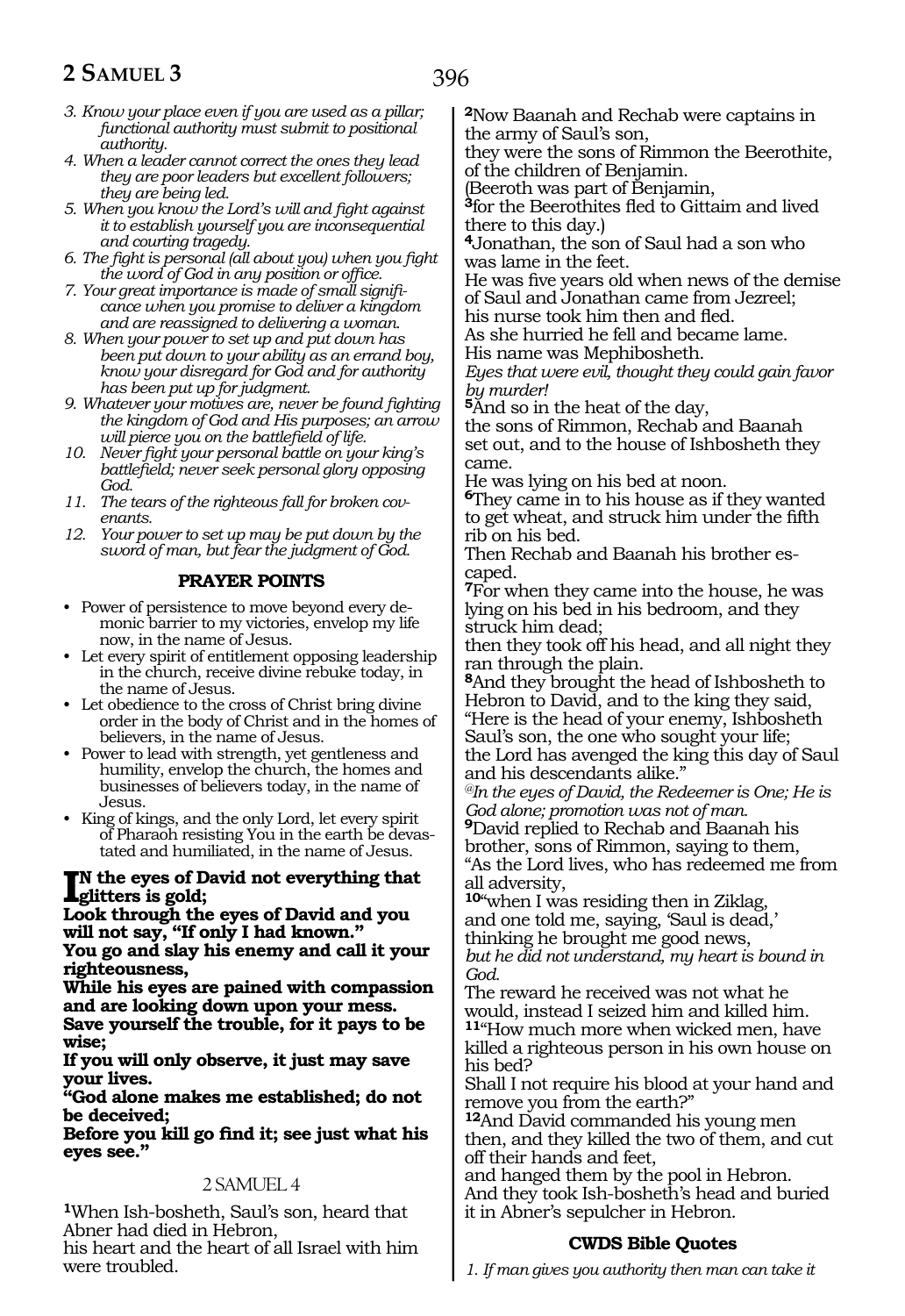- *3. Know your place even if you are used as a pillar; functional authority must submit to positional authority.*
- *4. When a leader cannot correct the ones they lead they are poor leaders but excellent followers; they are being led.*
- *5. When you know the Lord's will and fight against it to establish yourself you are inconsequential and courting tragedy.*
- *6. The fight is personal (all about you) when you fight the word of God in any position or office.*
- *7. Your great importance is made of small significance when you promise to deliver a kingdom and are reassigned to delivering a woman.*
- *8. When your power to set up and put down has been put down to your ability as an errand boy, know your disregard for God and for authority has been put up for judgment.*
- *9. Whatever your motives are, never be found fighting the kingdom of God and His purposes; an arrow will pierce you on the battlefield of life.*
- *10. Never fight your personal battle on your king's battlefield; never seek personal glory opposing God.*
- *11. The tears of the righteous fall for broken covenants.*
- *12. Your power to set up may be put down by the sword of man, but fear the judgment of God.*

#### **PRAYER POINTS**

- Power of persistence to move beyond every demonic barrier to my victories, envelop my life now, in the name of Jesus.
- Let every spirit of entitlement opposing leadership in the church, receive divine rebuke today, in the name of Jesus.
- Let obedience to the cross of Christ bring divine order in the body of Christ and in the homes of believers, in the name of Jesus.
- Power to lead with strength, yet gentleness and humility, envelop the church, the homes and businesses of believers today, in the name of Jesus.
- King of kings, and the only Lord, let every spirit of Pharaoh resisting You in the earth be devastated and humiliated, in the name of Jesus.

#### **I**N the eyes of David not everything that<br>Look through the eyes of David and you **n the eyes of David not everything that glitters is gold;**

**will not say, "If only I had known." You go and slay his enemy and call it your righteousness,**

**While his eyes are pained with compassion and are looking down upon your mess.**

**Save yourself the trouble, for it pays to be wise;**

**If you will only observe, it just may save your lives.**

**"God alone makes me established; do not be deceived;**

**Before you kill go find it; see just what his eyes see."**

#### 2 SAMUEL 4

**<sup>1</sup>**When Ish-bosheth, Saul's son, heard that Abner had died in Hebron,

his heart and the heart of all Israel with him were troubled.

**<sup>2</sup>**Now Baanah and Rechab were captains in the army of Saul's son,

they were the sons of Rimmon the Beerothite, of the children of Benjamin.

(Beeroth was part of Benjamin,

**<sup>3</sup>**for the Beerothites fled to Gittaim and lived there to this day.)

**<sup>4</sup>**Jonathan, the son of Saul had a son who was lame in the feet.

He was five years old when news of the demise of Saul and Jonathan came from Jezreel; his nurse took him then and fled.

As she hurried he fell and became lame.

His name was Mephibosheth.

*Eyes that were evil, thought they could gain favor by murder!* 

**<sup>5</sup>**And so in the heat of the day,

the sons of Rimmon, Rechab and Baanah set out, and to the house of Ishbosheth they came.

He was lying on his bed at noon.

**<sup>6</sup>**They came in to his house as if they wanted to get wheat, and struck him under the fifth rib on his bed.

Then Rechab and Baanah his brother escaped.

**<sup>7</sup>**For when they came into the house, he was lying on his bed in his bedroom, and they struck him dead;

then they took off his head, and all night they ran through the plain.

**<sup>8</sup>**And they brought the head of Ishbosheth to Hebron to David, and to the king they said, "Here is the head of your enemy, Ishbosheth Saul's son, the one who sought your life; the Lord has avenged the king this day of Saul and his descendants alike."

*@In the eyes of David, the Redeemer is One; He is God alone; promotion was not of man.*

**<sup>9</sup>**David replied to Rechab and Baanah his brother, sons of Rimmon, saying to them, "As the Lord lives, who has redeemed me from all adversity,

**<sup>10</sup>**"when I was residing then in Ziklag, and one told me, saying, 'Saul is dead,' thinking he brought me good news,

*but he did not understand, my heart is bound in God.* 

The reward he received was not what he would, instead I seized him and killed him. **<sup>11</sup>**"How much more when wicked men, have killed a righteous person in his own house on his bed?

Shall I not require his blood at your hand and remove you from the earth?"

**<sup>12</sup>**And David commanded his young men then, and they killed the two of them, and cut off their hands and feet,

and hanged them by the pool in Hebron. And they took Ish-bosheth's head and buried it in Abner's sepulcher in Hebron.

# **CWDS Bible Quotes**

*1. If man gives you authority then man can take it*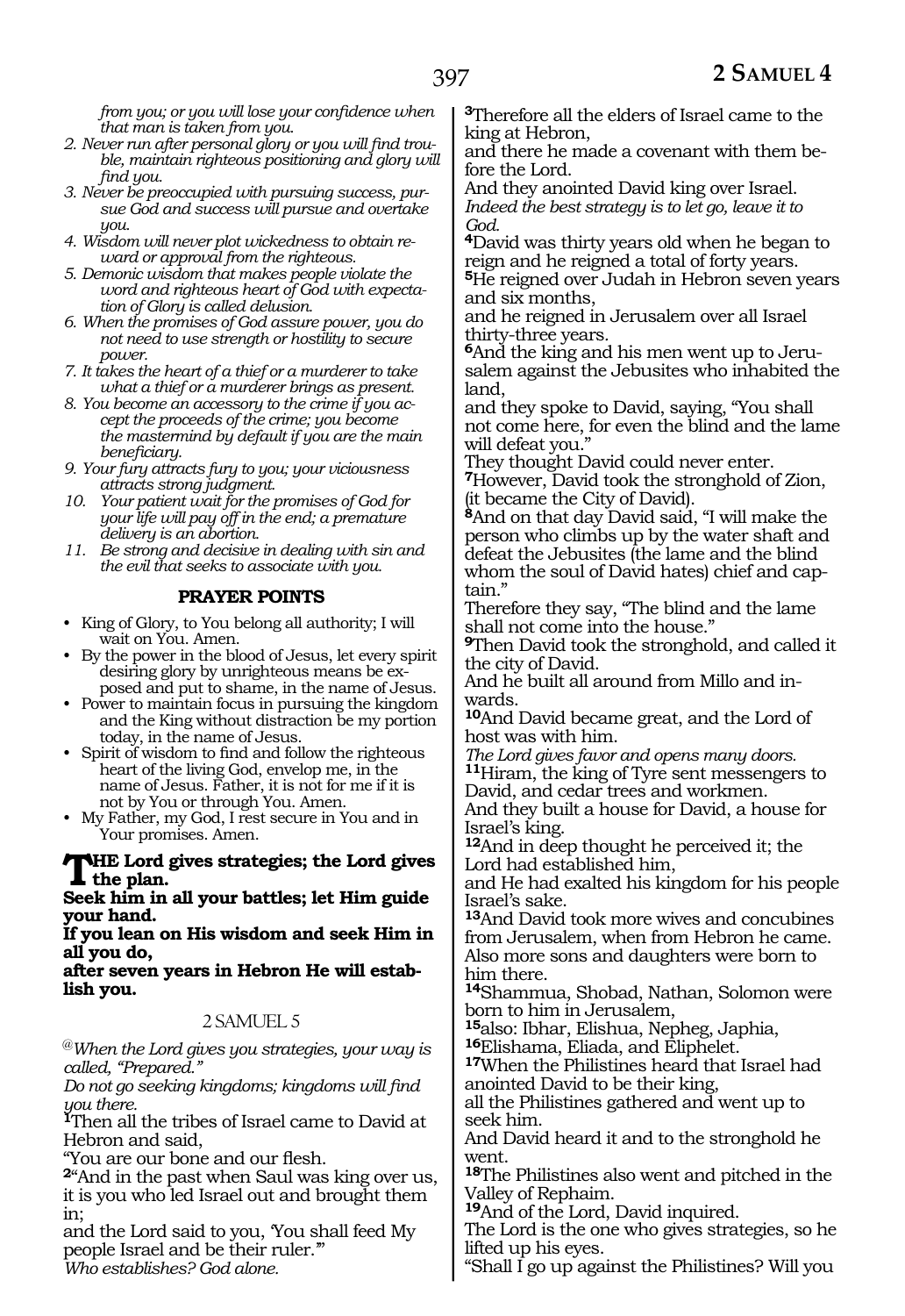*from you; or you will lose your confidence when that man is taken from you.*

- *2. Never run after personal glory or you will find trouble, maintain righteous positioning and glory will find you.*
- *3. Never be preoccupied with pursuing success, pursue God and success will pursue and overtake you.*
- *4. Wisdom will never plot wickedness to obtain reward or approval from the righteous.*
- *5. Demonic wisdom that makes people violate the word and righteous heart of God with expectation of Glory is called delusion.*
- *6. When the promises of God assure power, you do not need to use strength or hostility to secure power.*
- *7. It takes the heart of a thief or a murderer to take what a thief or a murderer brings as present.*
- *8. You become an accessory to the crime if you accept the proceeds of the crime; you become the mastermind by default if you are the main beneficiary.*
- *9. Your fury attracts fury to you; your viciousness attracts strong judgment.*
- *10. Your patient wait for the promises of God for your life will pay off in the end; a premature delivery is an abortion.*
- *11. Be strong and decisive in dealing with sin and the evil that seeks to associate with you.*

#### **PRAYER POINTS**

- King of Glory, to You belong all authority; I will wait on You. Amen.
- By the power in the blood of Jesus, let every spirit desiring glory by unrighteous means be exposed and put to shame, in the name of Jesus.
- Power to maintain focus in pursuing the kingdom and the King without distraction be my portion today, in the name of Jesus.
- Spirit of wisdom to find and follow the righteous heart of the living God, envelop me, in the name of Jesus. Father, it is not for me if it is not by You or through You. Amen.
- My Father, my God, I rest secure in You and in Your promises. Amen.

#### **The Lord gives strategies; the Lord gives the plan.**

**Seek him in all your battles; let Him guide your hand.**

**If you lean on His wisdom and seek Him in all you do,**

**after seven years in Hebron He will establish you.**

#### 2 SAMUEL 5

@*When the Lord gives you strategies, your way is called, "Prepared."*

*Do not go seeking kingdoms; kingdoms will find you there.*

**<sup>1</sup>**Then all the tribes of Israel came to David at Hebron and said,

"You are our bone and our flesh.

**<sup>2</sup>**"And in the past when Saul was king over us, it is you who led Israel out and brought them in;

and the Lord said to you, 'You shall feed My people Israel and be their ruler.'" *Who establishes? God alone.*

**<sup>3</sup>**Therefore all the elders of Israel came to the king at Hebron,

and there he made a covenant with them before the Lord.

And they anointed David king over Israel. *Indeed the best strategy is to let go, leave it to God.*

**<sup>4</sup>**David was thirty years old when he began to reign and he reigned a total of forty years.

**<sup>5</sup>**He reigned over Judah in Hebron seven years and six months,

and he reigned in Jerusalem over all Israel

thirty-three years*.* **<sup>6</sup>**And the king and his men went up to Jeru- salem against the Jebusites who inhabited the land,

and they spoke to David, saying, "You shall not come here, for even the blind and the lame will defeat you."

They thought David could never enter. **<sup>7</sup>**However, David took the stronghold of Zion, (it became the City of David).

**<sup>8</sup>**And on that day David said, "I will make the person who climbs up by the water shaft and defeat the Jebusites (the lame and the blind whom the soul of David hates) chief and captain."

Therefore they say, "The blind and the lame shall not come into the house."

**<sup>9</sup>**Then David took the stronghold, and called it the city of David.

And he built all around from Millo and inwards.

**<sup>10</sup>**And David became great, and the Lord of host was with him.

*The Lord gives favor and opens many doors.* **<sup>11</sup>**Hiram, the king of Tyre sent messengers to David, and cedar trees and workmen. And they built a house for David, a house for Israel's king.

**<sup>12</sup>**And in deep thought he perceived it; the Lord had established him,

and He had exalted his kingdom for his people Israel's sake.

**<sup>13</sup>**And David took more wives and concubines from Jerusalem, when from Hebron he came. Also more sons and daughters were born to him there.

**<sup>14</sup>**Shammua, Shobad, Nathan, Solomon were

born to him in Jerusalem,<br><sup>15</sup>also: Ibhar, Elishua, Nepheg, Japhia,

**16**Elishama, Eliada, and Eliphelet.<br>17When the Philistines heard that Israel had

anointed David to be their king,

all the Philistines gathered and went up to seek him.

And David heard it and to the stronghold he went.

**<sup>18</sup>**The Philistines also went and pitched in the Valley of Rephaim.

**<sup>19</sup>**And of the Lord, David inquired.

The Lord is the one who gives strategies, so he lifted up his eyes.

"Shall I go up against the Philistines? Will you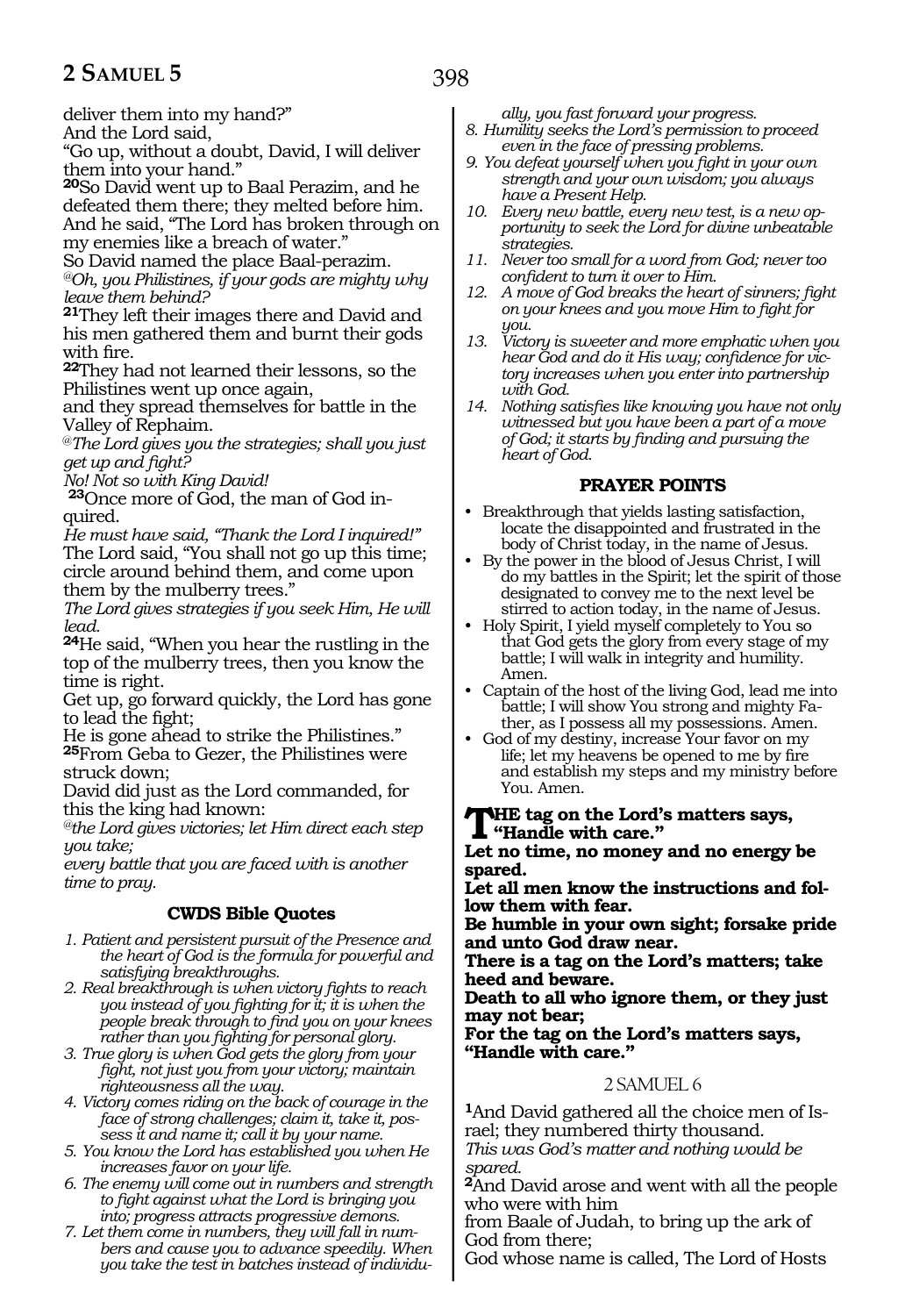deliver them into my hand?" And the Lord said,

"Go up, without a doubt, David, I will deliver them into your hand."

**<sup>20</sup>**So David went up to Baal Perazim, and he defeated them there; they melted before him. And he said, "The Lord has broken through on my enemies like a breach of water."

So David named the place Baal-perazim. *@Oh, you Philistines, if your gods are mighty why leave them behind?* 

**<sup>21</sup>**They left their images there and David and his men gathered them and burnt their gods with fire.

**<sup>22</sup>**They had not learned their lessons, so the Philistines went up once again,

and they spread themselves for battle in the Valley of Rephaim.

@*The Lord gives you the strategies; shall you just get up and fight?*

*No! Not so with King David!*

**23**Once more of God, the man of God inquired.

*He must have said, "Thank the Lord I inquired!"* The Lord said, "You shall not go up this time; circle around behind them, and come upon them by the mulberry trees."

*The Lord gives strategies if you seek Him, He will lead.*

**<sup>24</sup>**He said, "When you hear the rustling in the top of the mulberry trees, then you know the time is right.

Get up, go forward quickly, the Lord has gone to lead the fight;

He is gone ahead to strike the Philistines." **<sup>25</sup>**From Geba to Gezer, the Philistines were struck down;

David did just as the Lord commanded, for this the king had known:

*@the Lord gives victories; let Him direct each step you take;*

*every battle that you are faced with is another time to pray.*

# **CWDS Bible Quotes**

*1. Patient and persistent pursuit of the Presence and the heart of God is the formula for powerful and satisfying breakthroughs.* 

*2. Real breakthrough is when victory fights to reach you instead of you fighting for it; it is when the people break through to find you on your knees rather than you fighting for personal glory.*

*3. True glory is when God gets the glory from your fight, not just you from your victory; maintain righteousness all the way.*

*4. Victory comes riding on the back of courage in the face of strong challenges; claim it, take it, possess it and name it; call it by your name.*

*5. You know the Lord has established you when He increases favor on your life.*

*6. The enemy will come out in numbers and strength to fight against what the Lord is bringing you into; progress attracts progressive demons.*

*7. Let them come in numbers, they will fall in numbers and cause you to advance speedily. When you take the test in batches instead of individu-* *ally, you fast forward your progress.* 

*8. Humility seeks the Lord's permission to proceed even in the face of pressing problems.*

- *9. You defeat yourself when you fight in your own strength and your own wisdom; you always have a Present Help.*
- *10. Every new battle, every new test, is a new opportunity to seek the Lord for divine unbeatable strategies.*
- *11. Never too small for a word from God; never too confident to turn it over to Him.*
- *12. A move of God breaks the heart of sinners; fight on your knees and you move Him to fight for you.*
- *13. Victory is sweeter and more emphatic when you hear God and do it His way; confidence for victory increases when you enter into partnership with God.*
- *14. Nothing satisfies like knowing you have not only witnessed but you have been a part of a move of God; it starts by finding and pursuing the heart of God.*

#### **PRAYER POINTS**

- Breakthrough that yields lasting satisfaction, locate the disappointed and frustrated in the body of Christ today, in the name of Jesus.
- By the power in the blood of Jesus Christ, I will do my battles in the Spirit; let the spirit of those designated to convey me to the next level be stirred to action today, in the name of Jesus.
- Holy Spirit, I yield myself completely to You so that God gets the glory from every stage of my battle; I will walk in integrity and humility. Amen.
- Captain of the host of the living God, lead me into battle; I will show You strong and mighty Father, as I possess all my possessions. Amen.
- God of my destiny, increase Your favor on my life; let my heavens be opened to me by fire and establish my steps and my ministry before You. Amen.

# **The tag on the Lord's matters says, "Handle with care."**

**Let no time, no money and no energy be spared.**

**Let all men know the instructions and follow them with fear.**

**Be humble in your own sight; forsake pride and unto God draw near.**

**There is a tag on the Lord's matters; take heed and beware.**

**Death to all who ignore them, or they just may not bear;**

**For the tag on the Lord's matters says, "Handle with care."**

#### 2. SAMLIEL 6

**1**And David gathered all the choice men of Israel; they numbered thirty thousand.

*This was God's matter and nothing would be spared.*

**<sup>2</sup>**And David arose and went with all the people who were with him

from Baale of Judah, to bring up the ark of God from there;

God whose name is called, The Lord of Hosts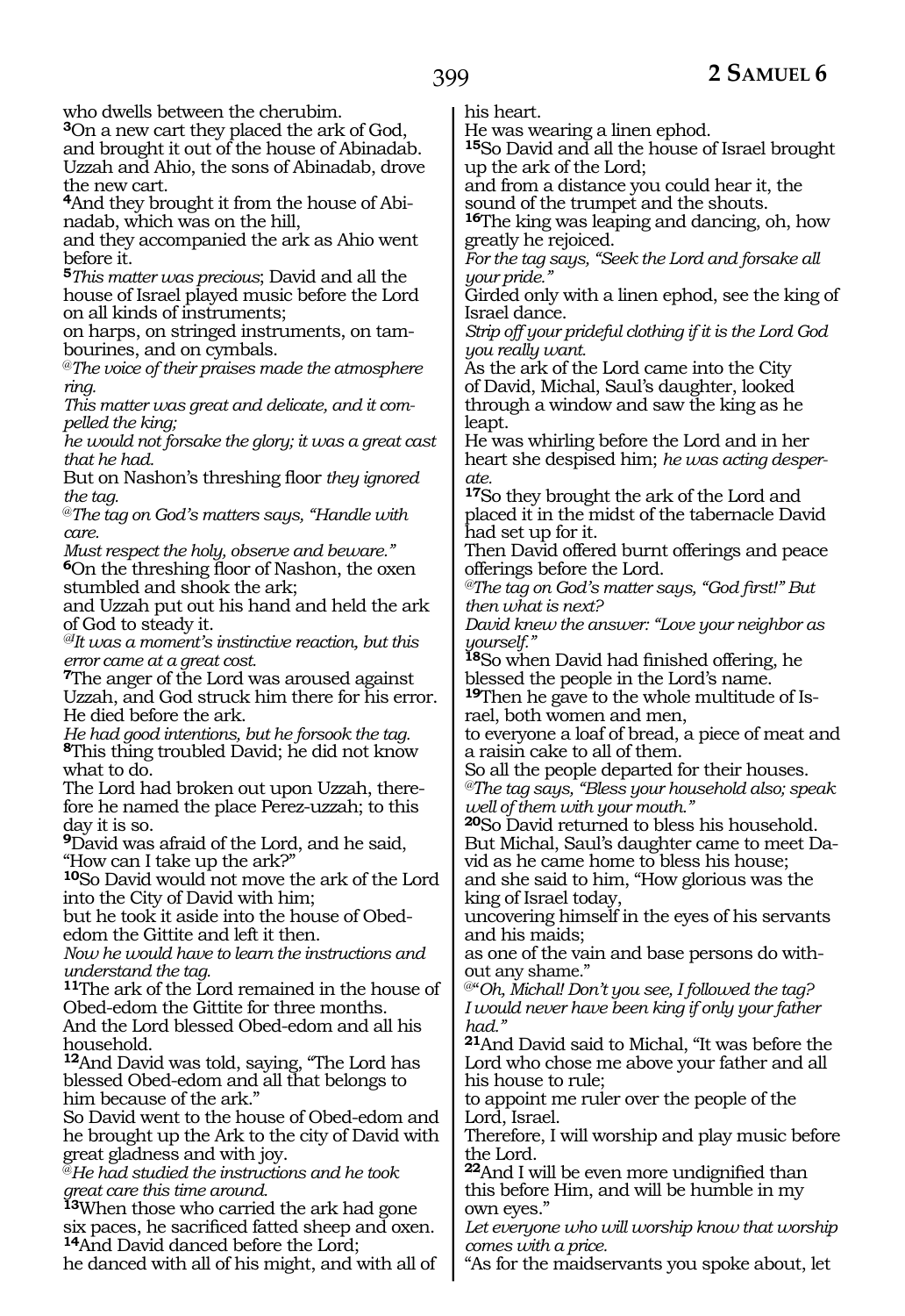who dwells between the cherubim.

**<sup>3</sup>**On a new cart they placed the ark of God, and brought it out of the house of Abinadab. Uzzah and Ahio, the sons of Abinadab, drove the new cart.

**4**And they brought it from the house of Abinadab, which was on the hill,

and they accompanied the ark as Ahio went before it.

**<sup>5</sup>***This matter was precious*; David and all the house of Israel played music before the Lord on all kinds of instruments;

on harps, on stringed instruments, on tam- bourines, and on cymbals.

@*The voice of their praises made the atmosphere ring.*

*This matter was great and delicate, and it compelled the king;*

*he would not forsake the glory; it was a great cast that he had.*

But on Nashon's threshing floor *they ignored the tag.*

@*The tag on God's matters says, "Handle with care.*

*Must respect the holy, observe and beware."* **<sup>6</sup>**On the threshing floor of Nashon, the oxen stumbled and shook the ark;

and Uzzah put out his hand and held the ark of God to steady it.

*@IIt was a moment's instinctive reaction, but this error came at a great cost.*

**<sup>7</sup>**The anger of the Lord was aroused against Uzzah, and God struck him there for his error. He died before the ark.

*He had good intentions, but he forsook the tag.*

**<sup>8</sup>**This thing troubled David; he did not know what to do.

The Lord had broken out upon Uzzah, there- fore he named the place Perez-uzzah; to this day it is so.

**<sup>9</sup>**David was afraid of the Lord, and he said, "How can I take up the ark?"

**<sup>10</sup>**So David would not move the ark of the Lord into the City of David with him;

but he took it aside into the house of Obededom the Gittite and left it then.

*Now he would have to learn the instructions and understand the tag.*

**<sup>11</sup>**The ark of the Lord remained in the house of Obed-edom the Gittite for three months. And the Lord blessed Obed-edom and all his household.

**<sup>12</sup>**And David was told, saying, "The Lord has blessed Obed-edom and all that belongs to him because of the ark."

So David went to the house of Obed-edom and he brought up the Ark to the city of David with great gladness and with joy.

@*He had studied the instructions and he took great care this time around.*

**<sup>13</sup>**When those who carried the ark had gone six paces, he sacrificed fatted sheep and oxen. **<sup>14</sup>**And David danced before the Lord;

he danced with all of his might, and with all of

his heart.

He was wearing a linen ephod.

**<sup>15</sup>**So David and all the house of Israel brought up the ark of the Lord;

and from a distance you could hear it, the sound of the trumpet and the shouts.

**<sup>16</sup>**The king was leaping and dancing, oh, how greatly he rejoiced.

*For the tag says, "Seek the Lord and forsake all your pride."*

Girded only with a linen ephod, see the king of Israel dance.

*Strip off your prideful clothing if it is the Lord God you really want.*

As the ark of the Lord came into the City of David, Michal, Saul's daughter, looked through a window and saw the king as he leapt.

He was whirling before the Lord and in her heart she despised him; *he was acting desperate.*

**<sup>17</sup>**So they brought the ark of the Lord and placed it in the midst of the tabernacle David had set up for it.

Then David offered burnt offerings and peace offerings before the Lord.

*@The tag on God's matter says, "God first!" But then what is next?*

*David knew the answer: "Love your neighbor as yourself."*

**<sup>18</sup>**So when David had finished offering, he blessed the people in the Lord's name.

**19**Then he gave to the whole multitude of Israel, both women and men,

to everyone a loaf of bread, a piece of meat and a raisin cake to all of them.

So all the people departed for their houses. *@The tag says, "Bless your household also; speak well of them with your mouth."*

**<sup>20</sup>**So David returned to bless his household. But Michal, Saul's daughter came to meet David as he came home to bless his house;

and she said to him, "How glorious was the king of Israel today,

uncovering himself in the eyes of his servants and his maids;

as one of the vain and base persons do without any shame."

@"*Oh, Michal! Don't you see, I followed the tag? I would never have been king if only your father had."*

**<sup>21</sup>**And David said to Michal, "It was before the Lord who chose me above your father and all his house to rule;

to appoint me ruler over the people of the Lord, Israel.

Therefore, I will worship and play music before the Lord.

**<sup>22</sup>**And I will be even more undignified than this before Him, and will be humble in my own eyes."

*Let everyone who will worship know that worship comes with a price.*

"As for the maidservants you spoke about, let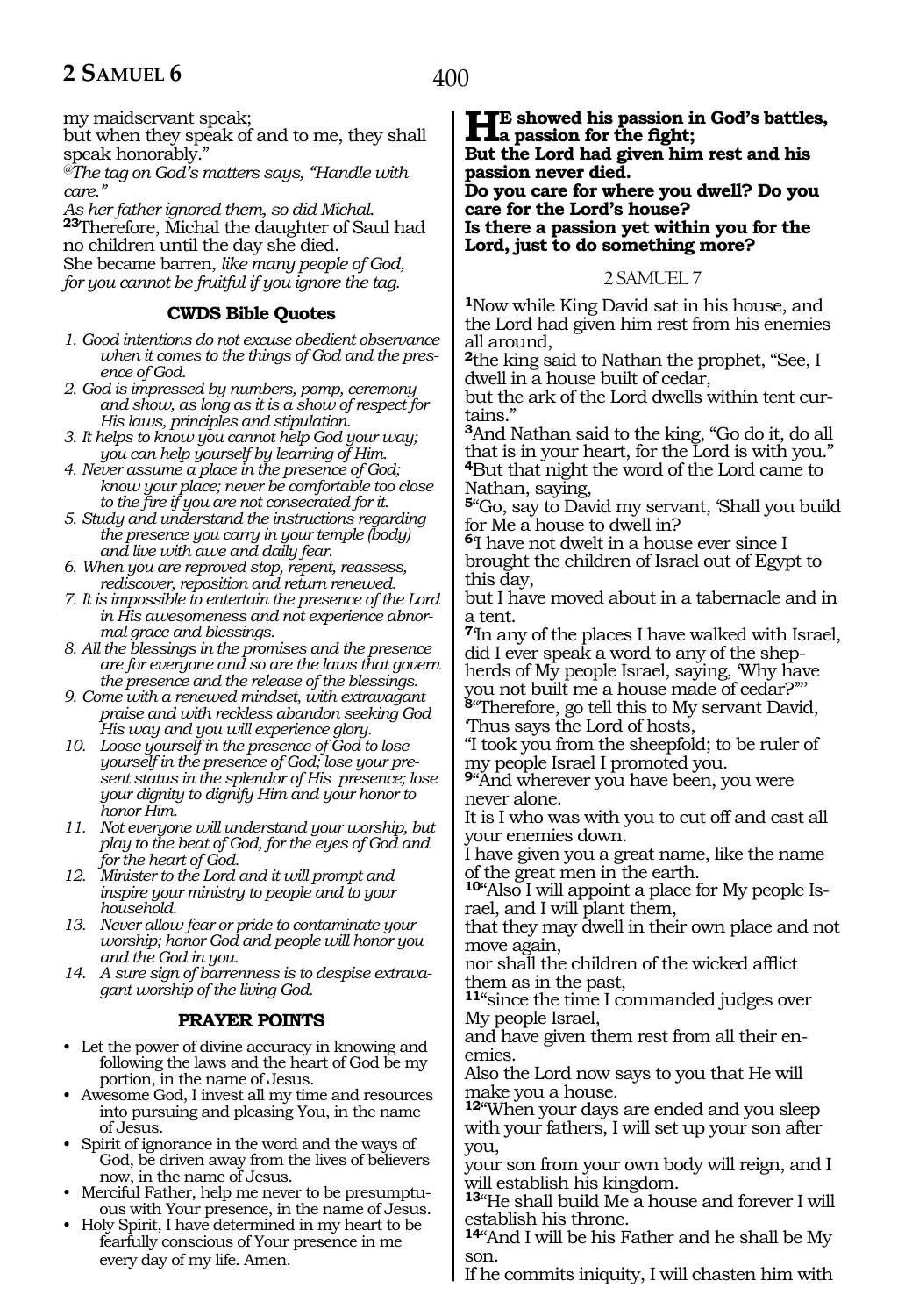my maidservant speak;

but when they speak of and to me, they shall speak honorably.

*@The tag on God's matters says, "Handle with care."*

*As her father ignored them, so did Michal.* **<sup>23</sup>**Therefore, Michal the daughter of Saul had no children until the day she died. She became barren, *like many people of God, for you cannot be fruitful if you ignore the tag.*

# **CWDS Bible Quotes**

- *1. Good intentions do not excuse obedient observance when it comes to the things of God and the presence of God.*
- *2. God is impressed by numbers, pomp, ceremony and show, as long as it is a show of respect for His laws, principles and stipulation.*
- *3. It helps to know you cannot help God your way; you can help yourself by learning of Him.*
- *4. Never assume a place in the presence of God; know your place; never be comfortable too close to the fire if you are not consecrated for it.*
- *5. Study and understand the instructions regarding the presence you carry in your temple (body) and live with awe and daily fear.*
- *6. When you are reproved stop, repent, reassess, rediscover, reposition and return renewed.*
- *7. It is impossible to entertain the presence of the Lord in His awesomeness and not experience abnormal grace and blessings.*
- *8. All the blessings in the promises and the presence are for everyone and so are the laws that govern the presence and the release of the blessings.*
- *9. Come with a renewed mindset, with extravagant praise and with reckless abandon seeking God His way and you will experience glory.*
- *10. Loose yourself in the presence of God to lose yourself in the presence of God; lose your present status in the splendor of His presence; lose your dignity to dignify Him and your honor to honor Him.*
- *11. Not everyone will understand your worship, but play to the beat of God, for the eyes of God and for the heart of God.*
- *12. Minister to the Lord and it will prompt and inspire your ministry to people and to your household.*
- *13. Never allow fear or pride to contaminate your worship; honor God and people will honor you and the God in you.*
- *14. A sure sign of barrenness is to despise extravagant worship of the living God.*

# **PRAYER POINTS**

- Let the power of divine accuracy in knowing and following the laws and the heart of God be my portion, in the name of Jesus.
- Awesome God, I invest all my time and resources into pursuing and pleasing You, in the name of Jesus.
- Spirit of ignorance in the word and the ways of God, be driven away from the lives of believers now, in the name of Jesus.
- Merciful Father, help me never to be presumptuous with Your presence, in the name of Jesus.
- Holy Spirit, I have determined in my heart to be fearfully conscious of Your presence in me every day of my life. Amen.

**He showed his passion in God's battles,**<br> **a** passion for the fight;<br>
But the Lead had given him got and his **But the Lord had given him rest and his passion never died. Do you care for where you dwell? Do you** 

**care for the Lord's house? Is there a passion yet within you for the Lord, just to do something more?**

#### 2 SAMUEL 7

**<sup>1</sup>**Now while King David sat in his house, and the Lord had given him rest from his enemies all around,

**<sup>2</sup>**the king said to Nathan the prophet, "See, I dwell in a house built of cedar,

but the ark of the Lord dwells within tent curtains.'

**<sup>3</sup>**And Nathan said to the king, "Go do it, do all that is in your heart, for the Lord is with you." **<sup>4</sup>**But that night the word of the Lord came to Nathan, saying,

**<sup>5</sup>**"Go, say to David my servant, 'Shall you build for Me a house to dwell in?

**<sup>6</sup>**'I have not dwelt in a house ever since I brought the children of Israel out of Egypt to this day,

but I have moved about in a tabernacle and in a tent.

**<sup>7</sup>**'In any of the places I have walked with Israel, did I ever speak a word to any of the shepherds of My people Israel, saying, 'Why have you not built me a house made of cedar?'"'

**<sup>8</sup>**"Therefore, go tell this to My servant David, 'Thus says the Lord of hosts,

"I took you from the sheepfold; to be ruler of my people Israel I promoted you.

**<sup>9</sup>**"And wherever you have been, you were never alone.

It is I who was with you to cut off and cast all your enemies down.

I have given you a great name, like the name of the great men in the earth.

**10**"Also I will appoint a place for My people Israel, and I will plant them,

that they may dwell in their own place and not move again,

nor shall the children of the wicked afflict them as in the past,

**<sup>11</sup>**"since the time I commanded judges over My people Israel,

and have given them rest from all their en- emies.

Also the Lord now says to you that He will make you a house.

**<sup>12</sup>**"When your days are ended and you sleep with your fathers, I will set up your son after you,

your son from your own body will reign, and I will establish his kingdom.

**<sup>13</sup>**"He shall build Me a house and forever I will establish his throne.

**<sup>14</sup>**"And I will be his Father and he shall be My son.

If he commits iniquity, I will chasten him with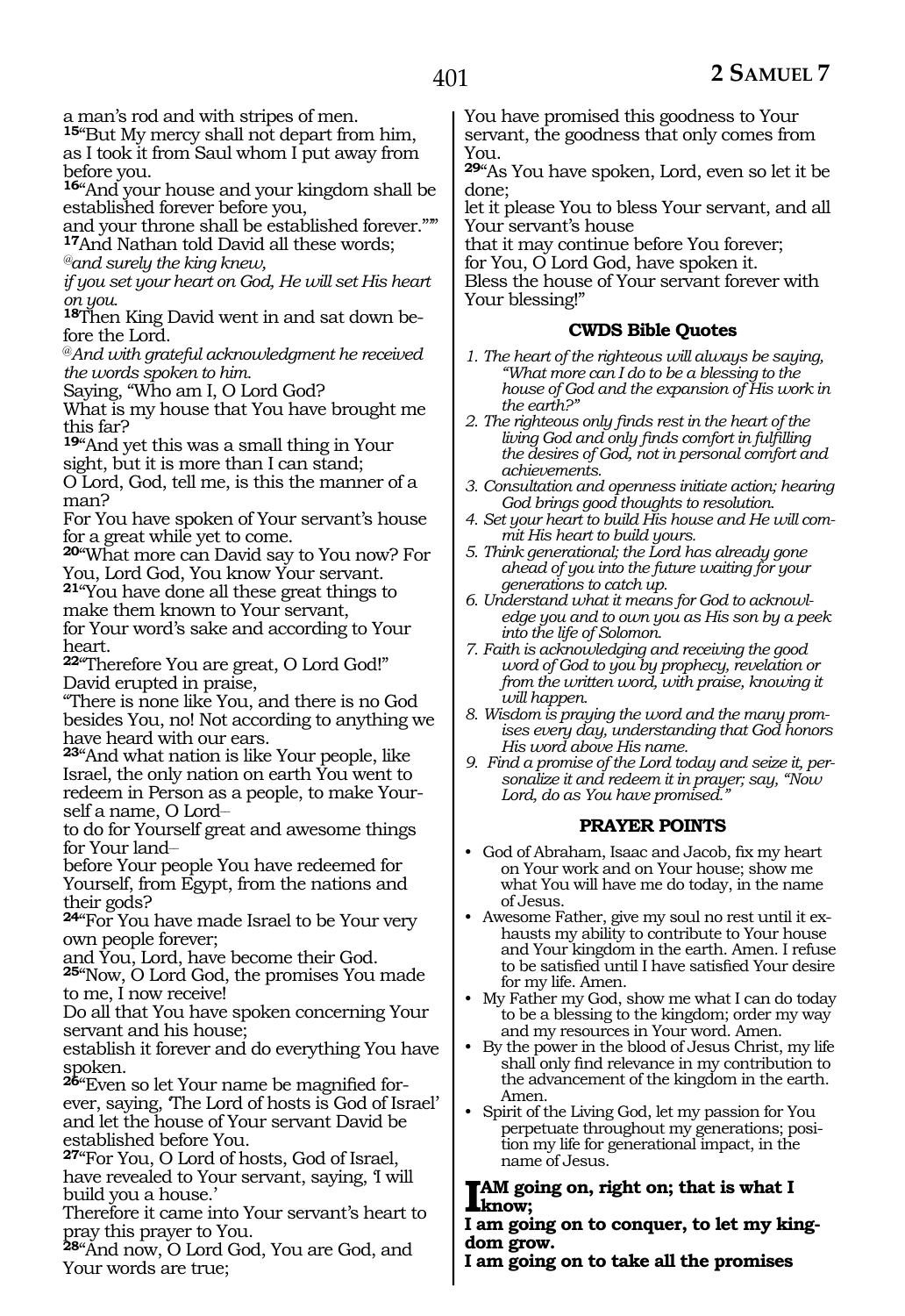a man's rod and with stripes of men.

**<sup>15</sup>**"But My mercy shall not depart from him, as I took it from Saul whom I put away from before you.

**<sup>16</sup>**"And your house and your kingdom shall be established forever before you,

and your throne shall be established forever."'" **<sup>17</sup>**And Nathan told David all these words; *@and surely the king knew,*

*if you set your heart on God, He will set His heart on you.*

**18**Then King David went in and sat down before the Lord.

@*And with grateful acknowledgment he received the words spoken to him.*

Saying, "Who am I, O Lord God?

What is my house that You have brought me this far?

**<sup>19</sup>**"And yet this was a small thing in Your sight, but it is more than I can stand;

O Lord, God, tell me, is this the manner of a man?

For You have spoken of Your servant's house for a great while yet to come.

**<sup>20</sup>**"What more can David say to You now? For You, Lord God, You know Your servant.

**<sup>21</sup>**"You have done all these great things to make them known to Your servant,

for Your word's sake and according to Your heart.

**<sup>22</sup>**"Therefore You are great, O Lord God!" David erupted in praise,

"There is none like You, and there is no God besides You, no! Not according to anything we have heard with our ears.

**<sup>23</sup>**"And what nation is like Your people, like Israel, the only nation on earth You went to redeem in Person as a people, to make Yourself a name, O Lord\_\_

to do for Yourself great and awesome things for Your land-

before Your people You have redeemed for Yourself, from Egypt, from the nations and their gods?

**<sup>24</sup>**"For You have made Israel to be Your very own people forever;

and You, Lord, have become their God.

**<sup>25</sup>**"Now, O Lord God, the promises You made to me, I now receive!

Do all that You have spoken concerning Your servant and his house;

establish it forever and do everything You have spoken.

**26**"Even so let Your name be magnified forever, saying, 'The Lord of hosts is God of Israel' and let the house of Your servant David be established before You.

**<sup>27</sup>**"For You, O Lord of hosts, God of Israel, have revealed to Your servant, saying, 'I will build you a house.'

Therefore it came into Your servant's heart to pray this prayer to You.

**<sup>28</sup>**"And now, O Lord God, You are God, and Your words are true;

You have promised this goodness to Your servant, the goodness that only comes from You.

**<sup>29</sup>**"As You have spoken, Lord, even so let it be done;

let it please You to bless Your servant, and all Your servant's house

that it may continue before You forever;

for You, O Lord God, have spoken it.

Bless the house of Your servant forever with Your blessing!"

# **CWDS Bible Quotes**

- *1. The heart of the righteous will always be saying, "What more can I do to be a blessing to the house of God and the expansion of His work in the earth?"*
- *2. The righteous only finds rest in the heart of the living God and only finds comfort in fulfilling the desires of God, not in personal comfort and achievements.*
- *3. Consultation and openness initiate action; hearing God brings good thoughts to resolution.*
- *4. Set your heart to build His house and He will commit His heart to build yours.*
- *5. Think generational; the Lord has already gone ahead of you into the future waiting for your generations to catch up.*
- *6. Understand what it means for God to acknowledge you and to own you as His son by a peek into the life of Solomon.*
- *7. Faith is acknowledging and receiving the good word of God to you by prophecy, revelation or from the written word, with praise, knowing it will happen.*
- *8. Wisdom is praying the word and the many promises every day, understanding that God honors His word above His name.*
- *9. Find a promise of the Lord today and seize it, personalize it and redeem it in prayer; say, "Now Lord, do as You have promised."*

#### **PRAYER POINTS**

- God of Abraham, Isaac and Jacob, fix my heart on Your work and on Your house; show me what You will have me do today, in the name of Jesus.
- Awesome Father, give my soul no rest until it exhausts my ability to contribute to Your house and Your kingdom in the earth. Amen. I refuse to be satisfied until I have satisfied Your desire for my life. Amen.
- My Father my God, show me what I can do today to be a blessing to the kingdom; order my way and my resources in Your word. Amen.
- By the power in the blood of Jesus Christ, my life shall only find relevance in my contribution to the advancement of the kingdom in the earth. Amen.
- Spirit of the Living God, let my passion for You perpetuate throughout my generations; position my life for generational impact, in the name of Jesus.

**I'M going on, right on; that is what I know;**

**I am going on to conquer, to let my king- dom grow.**

**I am going on to take all the promises**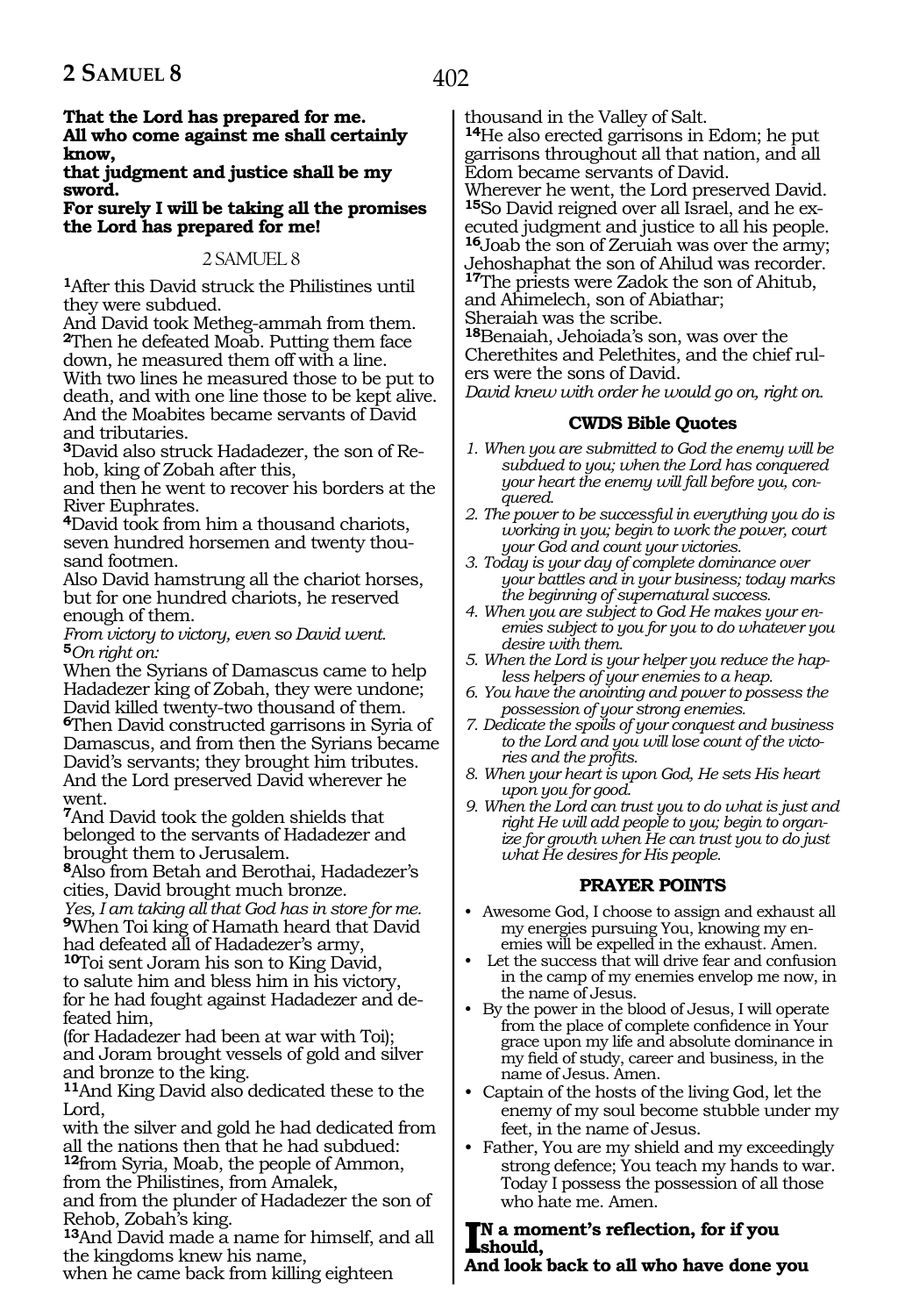**That the Lord has prepared for me. All who come against me shall certainly know,**

**that judgment and justice shall be my sword.**

**For surely I will be taking all the promises the Lord has prepared for me!**

#### 2 SAMUEL 8

**<sup>1</sup>**After this David struck the Philistines until they were subdued.

And David took Metheg-ammah from them. **<sup>2</sup>**Then he defeated Moab. Putting them face down, he measured them off with a line. With two lines he measured those to be put to death, and with one line those to be kept alive. And the Moabites became servants of David and tributaries.

**3**David also struck Hadadezer, the son of Rehob, king of Zobah after this,

and then he went to recover his borders at the River Euphrates.

**<sup>4</sup>**David took from him a thousand chariots, seven hundred horsemen and twenty thousand footmen.

Also David hamstrung all the chariot horses, but for one hundred chariots, he reserved enough of them.

*From victory to victory, even so David went.* **<sup>5</sup>***On right on:*

When the Syrians of Damascus came to help Hadadezer king of Zobah, they were undone; David killed twenty-two thousand of them. **<sup>6</sup>**Then David constructed garrisons in Syria of Damascus, and from then the Syrians became David's servants; they brought him tributes. And the Lord preserved David wherever he went.

**<sup>7</sup>**And David took the golden shields that belonged to the servants of Hadadezer and brought them to Jerusalem.

**<sup>8</sup>**Also from Betah and Berothai, Hadadezer's cities, David brought much bronze.

*Yes, I am taking all that God has in store for me.* **<sup>9</sup>**When Toi king of Hamath heard that David had defeated all of Hadadezer's army,

**<sup>10</sup>**Toi sent Joram his son to King David, to salute him and bless him in his victory, for he had fought against Hadadezer and de- feated him,

(for Hadadezer had been at war with Toi); and Joram brought vessels of gold and silver and bronze to the king.

**<sup>11</sup>**And King David also dedicated these to the Lord,

with the silver and gold he had dedicated from all the nations then that he had subdued: **<sup>12</sup>**from Syria, Moab, the people of Ammon,

from the Philistines, from Amalek,

and from the plunder of Hadadezer the son of Rehob, Zobah's king.

**<sup>13</sup>**And David made a name for himself, and all the kingdoms knew his name,

when he came back from killing eighteen

thousand in the Valley of Salt.

**<sup>14</sup>**He also erected garrisons in Edom; he put garrisons throughout all that nation, and all Edom became servants of David.

Wherever he went, the Lord preserved David. **<sup>15</sup>**So David reigned over all Israel, and he ex- ecuted judgment and justice to all his people. **<sup>16</sup>**Joab the son of Zeruiah was over the army;

Jehoshaphat the son of Ahilud was recorder. **<sup>17</sup>**The priests were Zadok the son of Ahitub,

and Ahimelech, son of Abiathar;

Sheraiah was the scribe.

**<sup>18</sup>**Benaiah, Jehoiada's son, was over the Cherethites and Pelethites, and the chief rulers were the sons of David.

*David knew with order he would go on, right on.*

#### **CWDS Bible Quotes**

- *1. When you are submitted to God the enemy will be subdued to you; when the Lord has conquered your heart the enemy will fall before you, conquered.*
- *2. The power to be successful in everything you do is working in you; begin to work the power, court your God and count your victories.*
- *3. Today is your day of complete dominance over your battles and in your business; today marks the beginning of supernatural success.*
- *4. When you are subject to God He makes your enemies subject to you for you to do whatever you desire with them.*
- *5. When the Lord is your helper you reduce the hapless helpers of your enemies to a heap.*
- *6. You have the anointing and power to possess the possession of your strong enemies.*
- *7. Dedicate the spoils of your conquest and business to the Lord and you will lose count of the victories and the profits.*
- *8. When your heart is upon God, He sets His heart upon you for good.*
- *9. When the Lord can trust you to do what is just and right He will add people to you; begin to organize for growth when He can trust you to do just what He desires for His people.*

# **PRAYER POINTS**

- Awesome God, I choose to assign and exhaust all my energies pursuing You, knowing my enemies will be expelled in the exhaust. Amen.
- Let the success that will drive fear and confusion in the camp of my enemies envelop me now, in the name of Jesus.
- By the power in the blood of Jesus, I will operate from the place of complete confidence in Your grace upon my life and absolute dominance in my field of study, career and business, in the name of Jesus. Amen.
- Captain of the hosts of the living God, let the enemy of my soul become stubble under my feet, in the name of Jesus.
- Father, You are my shield and my exceedingly strong defence; You teach my hands to war. Today I possess the possession of all those who hate me. Amen.

#### **I**N a moment's reflection, for if you<br> **And look back to all who have done you n a moment's reflection, for if you should,**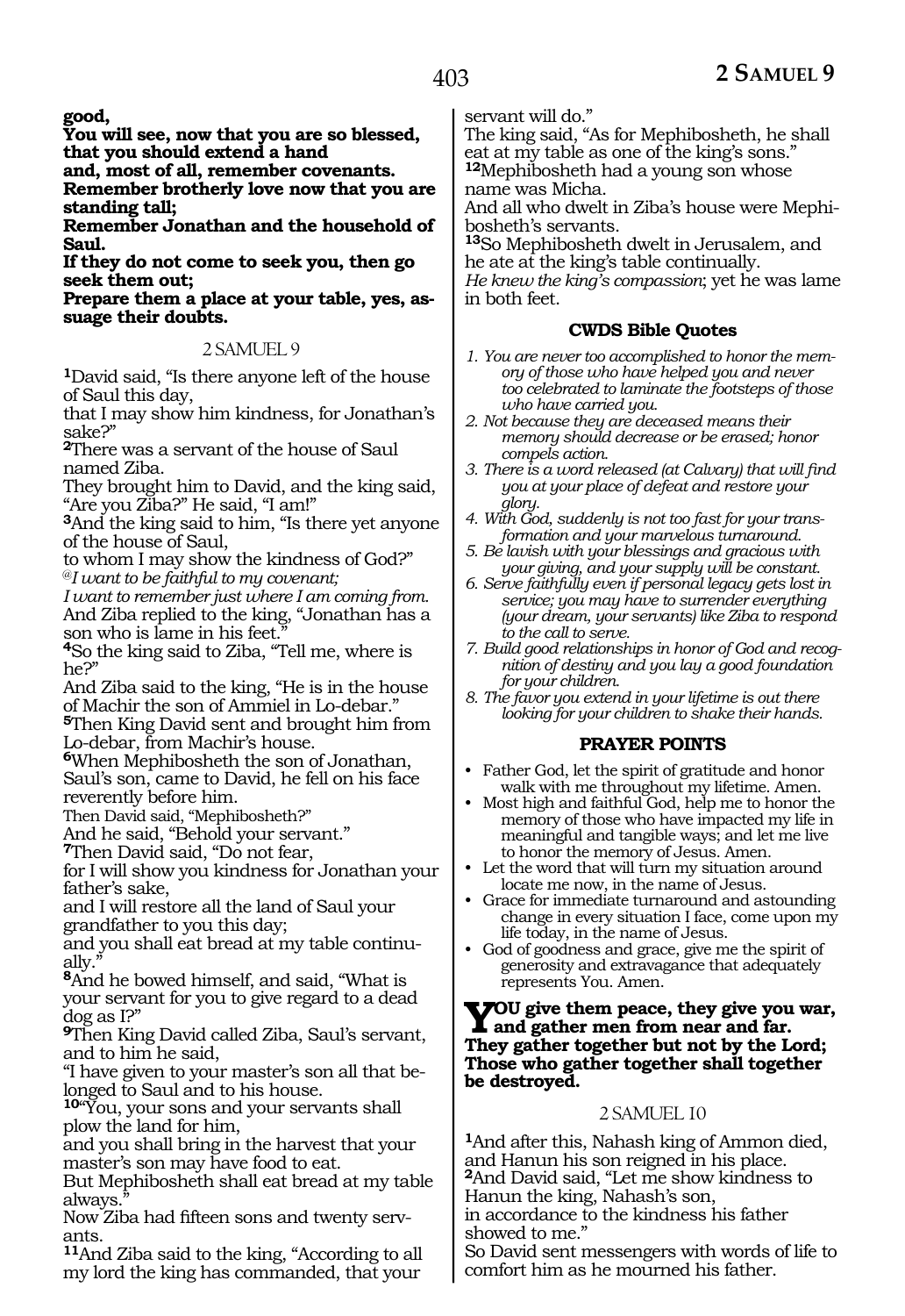**good,**

**You will see, now that you are so blessed, that you should extend a hand**

**and, most of all, remember covenants.**

**Remember brotherly love now that you are standing tall;**

**Remember Jonathan and the household of Saul.**

**If they do not come to seek you, then go seek them out;**

**Prepare them a place at your table, yes, assuage their doubts.**

#### 2 SAMUEL 9

**<sup>1</sup>**David said, "Is there anyone left of the house of Saul this day,

that I may show him kindness, for Jonathan's sake?"

**<sup>2</sup>**There was a servant of the house of Saul named Ziba.

They brought him to David, and the king said, "Are you Ziba?" He said, "I am!"

**<sup>3</sup>**And the king said to him, "Is there yet anyone of the house of Saul,

to whom I may show the kindness of God?" @*I want to be faithful to my covenant;*

*I want to remember just where I am coming from.* And Ziba replied to the king, "Jonathan has a son who is lame in his feet.

**<sup>4</sup>**So the king said to Ziba, "Tell me, where is he?"

And Ziba said to the king, "He is in the house of Machir the son of Ammiel in Lo-debar."

**<sup>5</sup>**Then King David sent and brought him from Lo-debar, from Machir's house.

**<sup>6</sup>**When Mephibosheth the son of Jonathan, Saul's son, came to David, he fell on his face reverently before him.

Then David said, "Mephibosheth?"

And he said, "Behold your servant."

**<sup>7</sup>**Then David said, "Do not fear,

for I will show you kindness for Jonathan your father's sake,

and I will restore all the land of Saul your grandfather to you this day;

and you shall eat bread at my table continually."

**<sup>8</sup>**And he bowed himself, and said, "What is your servant for you to give regard to a dead dog as I?"

**<sup>9</sup>**Then King David called Ziba, Saul's servant, and to him he said,

"I have given to your master's son all that belonged to Saul and to his house.

**<sup>10</sup>**"You, your sons and your servants shall plow the land for him,

and you shall bring in the harvest that your master's son may have food to eat.

But Mephibosheth shall eat bread at my table always.

Now Ziba had fifteen sons and twenty servants.

**<sup>11</sup>**And Ziba said to the king, "According to all my lord the king has commanded, that your

servant will do."

The king said, "As for Mephibosheth, he shall eat at my table as one of the king's sons." **<sup>12</sup>**Mephibosheth had a young son whose name was Micha.

And all who dwelt in Ziba's house were Mephibosheth's servants.

**<sup>13</sup>**So Mephibosheth dwelt in Jerusalem, and he ate at the king's table continually.

*He knew the king's compassion*; yet he was lame in both feet.

#### **CWDS Bible Quotes**

- *1. You are never too accomplished to honor the memory of those who have helped you and never too celebrated to laminate the footsteps of those who have carried you.*
- *2. Not because they are deceased means their memory should decrease or be erased; honor compels action.*
- *3. There is a word released (at Calvary) that will find you at your place of defeat and restore your glory.*
- *4. With God, suddenly is not too fast for your transformation and your marvelous turnaround.*
- *5. Be lavish with your blessings and gracious with your giving, and your supply will be constant.*
- *6. Serve faithfully even if personal legacy gets lost in service; you may have to surrender everything (your dream, your servants) like Ziba to respond to the call to serve.*
- *7. Build good relationships in honor of God and recognition of destiny and you lay a good foundation for your children.*
- *8. The favor you extend in your lifetime is out there looking for your children to shake their hands.*

#### **PRAYER POINTS**

- Father God, let the spirit of gratitude and honor walk with me throughout my lifetime. Amen.
- Most high and faithful God, help me to honor the memory of those who have impacted my life in meaningful and tangible ways; and let me live to honor the memory of Jesus. Amen.
- Let the word that will turn my situation around locate me now, in the name of Jesus.
- Grace for immediate turnaround and astounding change in every situation I face, come upon my life today, in the name of Jesus.
- God of goodness and grace, give me the spirit of generosity and extravagance that adequately represents You. Amen.

# **You give them peace, they give you war, and gather men from near and far. They gather together but not by the Lord; Those who gather together shall together be destroyed.**

# 2 SAMUEL 10

**<sup>1</sup>**And after this, Nahash king of Ammon died, and Hanun his son reigned in his place. **<sup>2</sup>**And David said, "Let me show kindness to Hanun the king, Nahash's son, in accordance to the kindness his father showed to me."

So David sent messengers with words of life to comfort him as he mourned his father.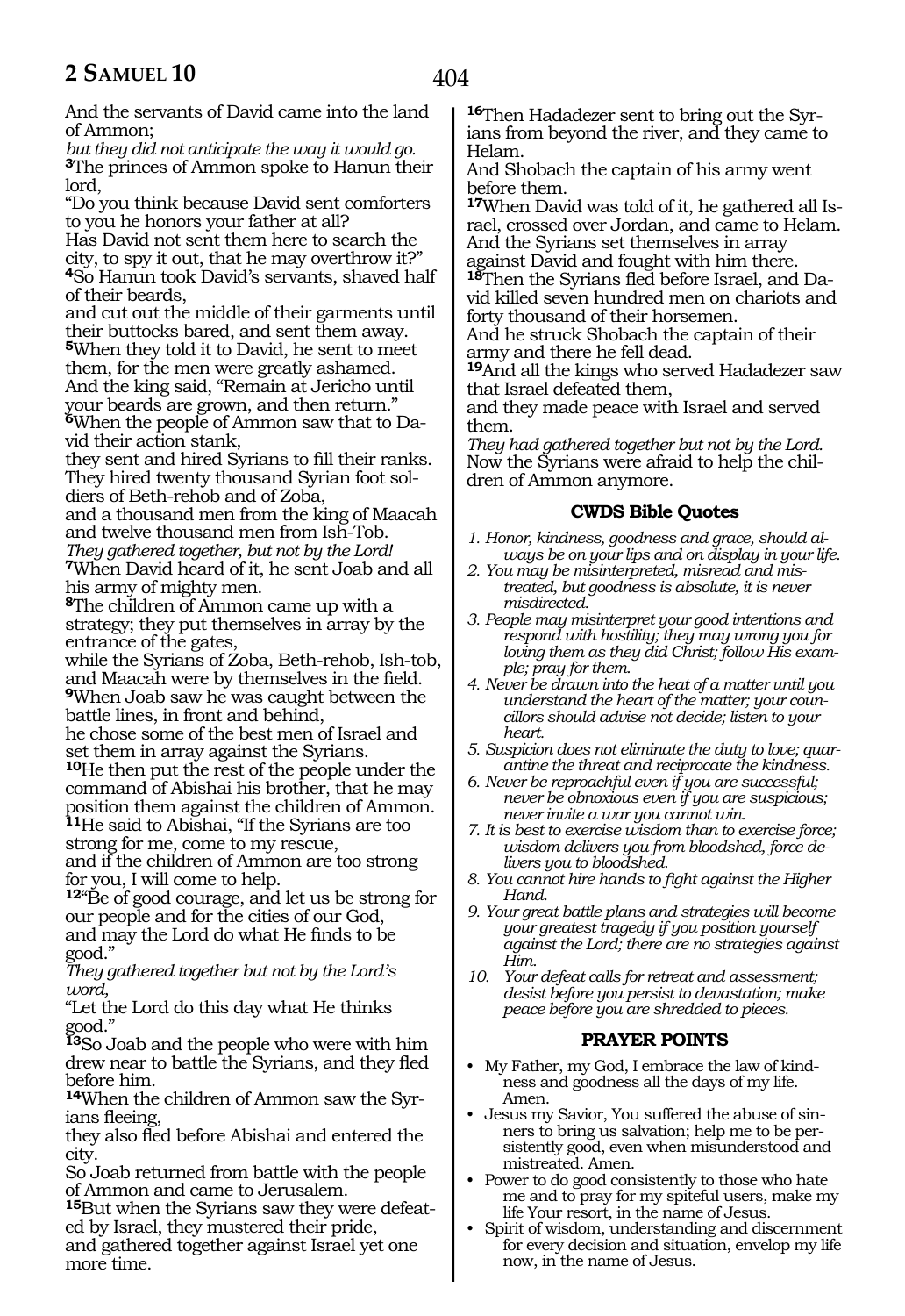And the servants of David came into the land of Ammon;

*but they did not anticipate the way it would go.* **<sup>3</sup>**The princes of Ammon spoke to Hanun their lord,

"Do you think because David sent comforters to you he honors your father at all? Has David not sent them here to search the city, to spy it out, that he may overthrow it?" **<sup>4</sup>**So Hanun took David's servants, shaved half of their beards,

and cut out the middle of their garments until their buttocks bared, and sent them away. **<sup>5</sup>**When they told it to David, he sent to meet them, for the men were greatly ashamed. And the king said, "Remain at Jericho until your beards are grown, and then return." **6**When the people of Ammon saw that to Da-

vid their action stank,

they sent and hired Syrians to fill their ranks. They hired twenty thousand Syrian foot soldiers of Beth-rehob and of Zoba,

and a thousand men from the king of Maacah and twelve thousand men from Ish-Tob. *They gathered together, but not by the Lord!*

**<sup>7</sup>**When David heard of it, he sent Joab and all his army of mighty men.

**<sup>8</sup>**The children of Ammon came up with a strategy; they put themselves in array by the entrance of the gates,

while the Syrians of Zoba, Beth-rehob, Ish-tob, and Maacah were by themselves in the field. **<sup>9</sup>**When Joab saw he was caught between the battle lines, in front and behind,

he chose some of the best men of Israel and set them in array against the Syrians.

**<sup>10</sup>**He then put the rest of the people under the command of Abishai his brother, that he may position them against the children of Ammon.

**<sup>11</sup>**He said to Abishai, "If the Syrians are too strong for me, come to my rescue,

and if the children of Ammon are too strong for you, I will come to help.

12<sup>"</sup>Be of good courage, and let us be strong for our people and for the cities of our God, and may the Lord do what He finds to be good."

*They gathered together but not by the Lord's word,*

"Let the Lord do this day what He thinks good."

**<sup>13</sup>**So Joab and the people who were with him drew near to battle the Syrians, and they fled before him.

**14**When the children of Ammon saw the Syrians fleeing,

they also fled before Abishai and entered the city.

So Joab returned from battle with the people of Ammon and came to Jerusalem.

**15**But when the Syrians saw they were defeated by Israel, they mustered their pride,

and gathered together against Israel yet one more time.

**16**Then Hadadezer sent to bring out the Syrians from beyond the river, and they came to Helam.

And Shobach the captain of his army went before them.

**17**When David was told of it, he gathered all Israel, crossed over Jordan, and came to Helam. And the Syrians set themselves in array

against David and fought with him there. **<sup>18</sup>**Then the Syrians fled before Israel, and Da- vid killed seven hundred men on chariots and forty thousand of their horsemen.

And he struck Shobach the captain of their army and there he fell dead.

**<sup>19</sup>**And all the kings who served Hadadezer saw that Israel defeated them,

and they made peace with Israel and served them.

*They had gathered together but not by the Lord.* Now the Syrians were afraid to help the children of Ammon anymore.

#### **CWDS Bible Quotes**

- *1. Honor, kindness, goodness and grace, should always be on your lips and on display in your life.*
- *2. You may be misinterpreted, misread and mistreated, but goodness is absolute, it is never misdirected.*
- *3. People may misinterpret your good intentions and respond with hostility; they may wrong you for loving them as they did Christ; follow His example; pray for them.*
- *4. Never be drawn into the heat of a matter until you understand the heart of the matter; your councillors should advise not decide; listen to your heart.*
- *5. Suspicion does not eliminate the duty to love; quarantine the threat and reciprocate the kindness.*
- *6. Never be reproachful even if you are successful; never be obnoxious even if you are suspicious; never invite a war you cannot win.*
- *7. It is best to exercise wisdom than to exercise force; wisdom delivers you from bloodshed, force delivers you to bloodshed.*
- *8. You cannot hire hands to fight against the Higher Hand.*
- *9. Your great battle plans and strategies will become your greatest tragedy if you position yourself against the Lord; there are no strategies against Him.*
- *10. Your defeat calls for retreat and assessment; desist before you persist to devastation; make peace before you are shredded to pieces.*

# **PRAYER POINTS**

- My Father, my God, I embrace the law of kindness and goodness all the days of my life. Amen.
- Jesus my Savior, You suffered the abuse of sinners to bring us salvation; help me to be persistently good, even when misunderstood and mistreated. Amen.
- Power to do good consistently to those who hate me and to pray for my spiteful users, make my life Your resort, in the name of Jesus.
- Spirit of wisdom, understanding and discernment for every decision and situation, envelop my life now, in the name of Jesus.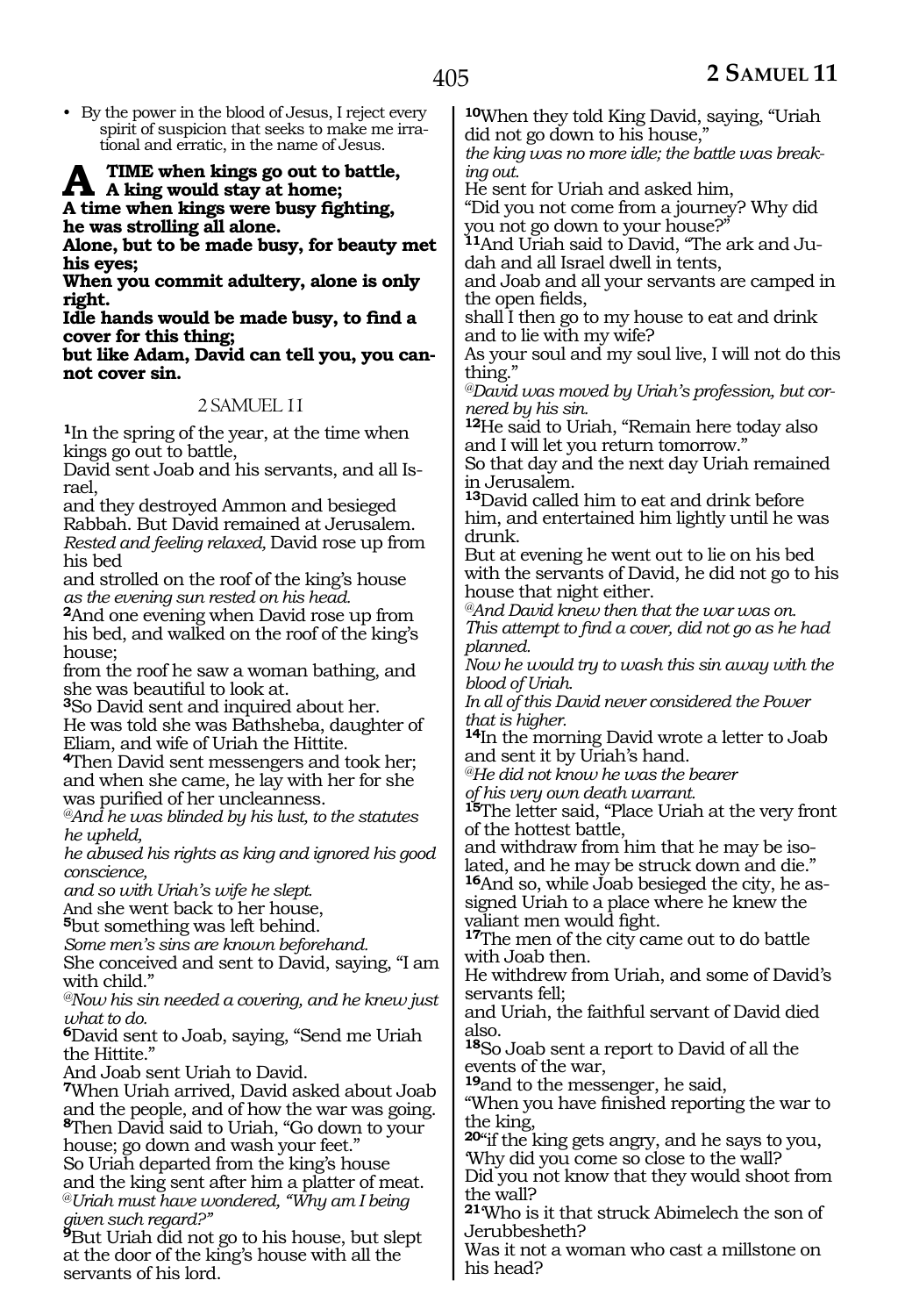• By the power in the blood of Jesus, I reject every spirit of suspicion that seeks to make me irrational and erratic, in the name of Jesus.

#### TIME when kings go out to battle, **A king would stay at home; A time when kings were busy fighting,**

**he was strolling all alone.**

**Alone, but to be made busy, for beauty met his eyes;**

**When you commit adultery, alone is only right.**

**Idle hands would be made busy, to find a cover for this thing;**

**but like Adam, David can tell you, you cannot cover sin.**

#### 2. SAMLJEL 11

**<sup>1</sup>**In the spring of the year, at the time when kings go out to battle,

David sent Joab and his servants, and all Israel,

and they destroyed Ammon and besieged Rabbah. But David remained at Jerusalem. *Rested and feeling relaxed,* David rose up from his bed

and strolled on the roof of the king's house *as the evening sun rested on his head.*

**<sup>2</sup>**And one evening when David rose up from his bed, and walked on the roof of the king's house;

from the roof he saw a woman bathing, and she was beautiful to look at.

**<sup>3</sup>**So David sent and inquired about her. He was told she was Bathsheba, daughter of Eliam, and wife of Uriah the Hittite.

**<sup>4</sup>**Then David sent messengers and took her; and when she came, he lay with her for she was purified of her uncleanness.

*@And he was blinded by his lust, to the statutes he upheld,*

*he abused his rights as king and ignored his good conscience,*

*and so with Uriah's wife he slept.*

And she went back to her house,

**<sup>5</sup>**but something was left behind.

*Some men's sins are known beforehand.*

She conceived and sent to David, saying, "I am with child."

*@Now his sin needed a covering, and he knew just what to do.*

**<sup>6</sup>**David sent to Joab, saying, "Send me Uriah the Hittite."

And Joab sent Uriah to David.

**<sup>7</sup>**When Uriah arrived, David asked about Joab and the people, and of how the war was going. **<sup>8</sup>**Then David said to Uriah, "Go down to your house; go down and wash your feet."

So Uriah departed from the king's house and the king sent after him a platter of meat. @*Uriah must have wondered, "Why am I being given such regard?"*

**<sup>9</sup>**But Uriah did not go to his house, but slept at the door of the king's house with all the servants of his lord.

**<sup>10</sup>**When they told King David, saying, "Uriah did not go down to his house,"

*the king was no more idle; the battle was breaking out.*

He sent for Uriah and asked him,

"Did you not come from a journey? Why did you not go down to your house?"

**11**And Uriah said to David, "The ark and Judah and all Israel dwell in tents,

and Joab and all your servants are camped in the open fields,

shall I then go to my house to eat and drink and to lie with my wife?

As your soul and my soul live, I will not do this thing."

*@David was moved by Uriah's profession, but cornered by his sin.*

**<sup>12</sup>**He said to Uriah, "Remain here today also and I will let you return tomorrow."

So that day and the next day Uriah remained in Jerusalem.

**<sup>13</sup>**David called him to eat and drink before him, and entertained him lightly until he was drunk.

But at evening he went out to lie on his bed with the servants of David, he did not go to his house that night either.

*@And David knew then that the war was on. This attempt to find a cover, did not go as he had planned.*

*Now he would try to wash this sin away with the blood of Uriah.*

*In all of this David never considered the Power that is higher.*

**<sup>14</sup>**In the morning David wrote a letter to Joab and sent it by Uriah's hand.

*@He did not know he was the bearer*

*of his very own death warrant.*

**<sup>15</sup>**The letter said, "Place Uriah at the very front of the hottest battle,

and withdraw from him that he may be isolated, and he may be struck down and die." **16**And so, while Joab besieged the city, he assigned Uriah to a place where he knew the

<sup>17</sup>The men of the city came out to do battle with Joab then.

He withdrew from Uriah, and some of David's servants fell;

and Uriah, the faithful servant of David died also.

**<sup>18</sup>**So Joab sent a report to David of all the events of the war,

**<sup>19</sup>**and to the messenger, he said,

"When you have finished reporting the war to the king,

**<sup>20</sup>**"if the king gets angry, and he says to you, 'Why did you come so close to the wall?

Did you not know that they would shoot from the wall?

**<sup>21</sup>**'Who is it that struck Abimelech the son of Jerubbesheth?

Was it not a woman who cast a millstone on his head?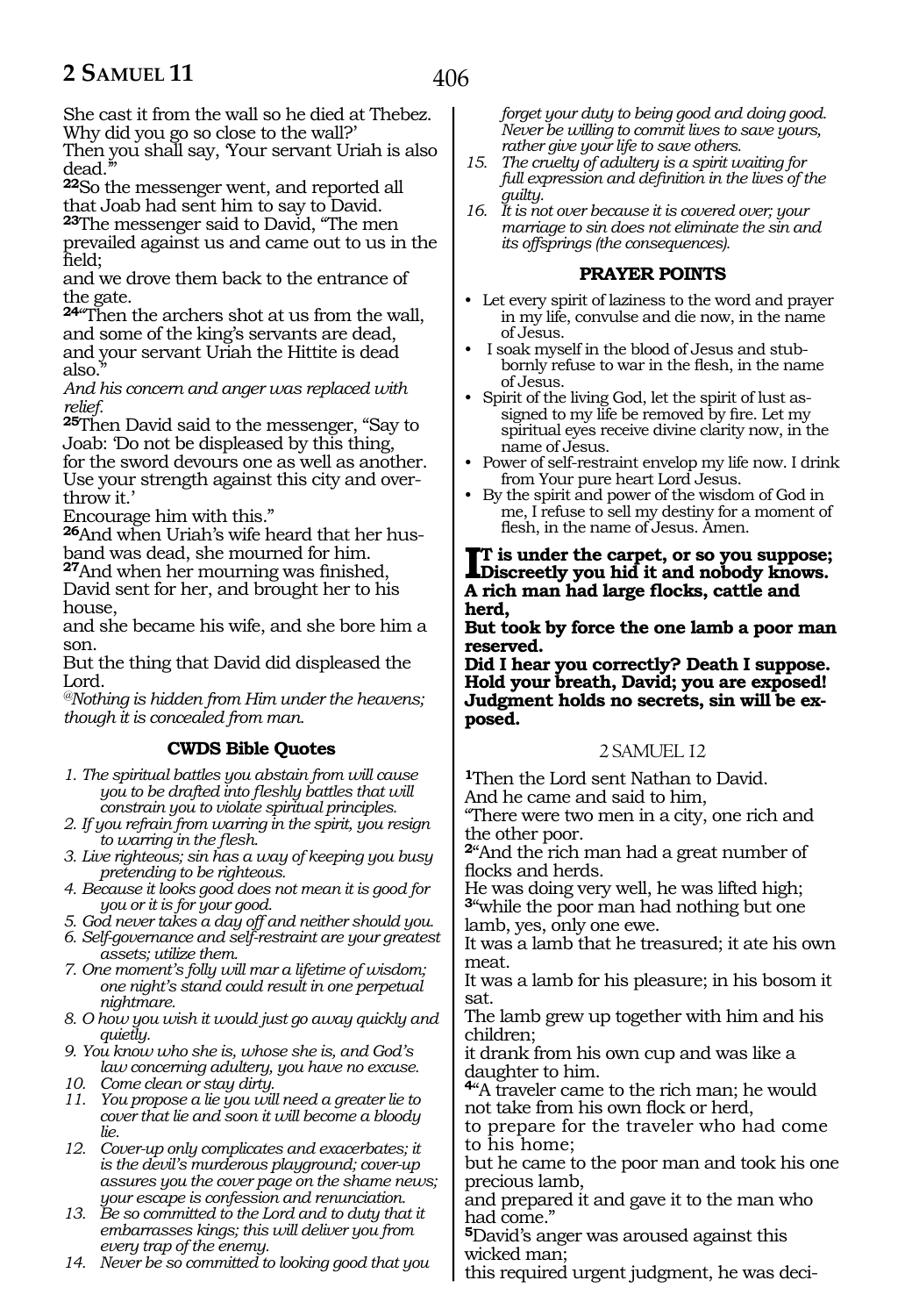She cast it from the wall so he died at Thebez. Why did you go so close to the wall?'

Then you shall say, 'Your servant Uriah is also dead.

**<sup>22</sup>**So the messenger went, and reported all that Joab had sent him to say to David.

**<sup>23</sup>**The messenger said to David, "The men prevailed against us and came out to us in the field;

and we drove them back to the entrance of the gate.

**<sup>24</sup>**"Then the archers shot at us from the wall, and some of the king's servants are dead, and your servant Uriah the Hittite is dead also."

*And his concern and anger was replaced with relief.* 

**<sup>25</sup>**Then David said to the messenger, "Say to Joab: 'Do not be displeased by this thing, for the sword devours one as well as another. Use your strength against this city and overthrow it.'

Encourage him with this."

**26**And when Uriah's wife heard that her husband was dead, she mourned for him.

**<sup>27</sup>**And when her mourning was finished, David sent for her, and brought her to his house,

and she became his wife, and she bore him a son.

But the thing that David did displeased the Lord.

*@Nothing is hidden from Him under the heavens; though it is concealed from man.*

# **CWDS Bible Quotes**

- *1. The spiritual battles you abstain from will cause you to be drafted into fleshly battles that will constrain you to violate spiritual principles.*
- *2. If you refrain from warring in the spirit, you resign to warring in the flesh.*
- *3. Live righteous; sin has a way of keeping you busy pretending to be righteous.*
- *4. Because it looks good does not mean it is good for you or it is for your good.*
- *5. God never takes a day off and neither should you.*
- *6. Self-governance and self-restraint are your greatest assets; utilize them.*
- *7. One moment's folly will mar a lifetime of wisdom; one night's stand could result in one perpetual nightmare.*
- *8. O how you wish it would just go away quickly and quietly.*
- *9. You know who she is, whose she is, and God's law concerning adultery, you have no excuse.*
- *10. Come clean or stay dirty.*
- *11. You propose a lie you will need a greater lie to cover that lie and soon it will become a bloody lie.*
- *12. Cover-up only complicates and exacerbates; it is the devil's murderous playground; cover-up assures you the cover page on the shame news; your escape is confession and renunciation.*
- *13. Be so committed to the Lord and to duty that it embarrasses kings; this will deliver you from every trap of the enemy.*
- *14. Never be so committed to looking good that you*

*forget your duty to being good and doing good. Never be willing to commit lives to save yours, rather give your life to save others.*

- *15. The cruelty of adultery is a spirit waiting for full expression and definition in the lives of the guilty.*
- *16. It is not over because it is covered over; your marriage to sin does not eliminate the sin and its offsprings (the consequences).*

#### **PRAYER POINTS**

- Let every spirit of laziness to the word and prayer in my life, convulse and die now, in the name of Jesus.
- I soak myself in the blood of Jesus and stubbornly refuse to war in the flesh, in the name of Jesus.
- Spirit of the living God, let the spirit of lust assigned to my life be removed by fire. Let my spiritual eyes receive divine clarity now, in the name of Jesus.
- Power of self-restraint envelop my life now. I drink from Your pure heart Lord Jesus.
- By the spirit and power of the wisdom of God in me, I refuse to sell my destiny for a moment of flesh, in the name of Jesus. Amen.

**I** is under the carpet, or so you suppose;<br>Discreetly you hid it and nobody knows. **Discreetly you hid it and nobody knows. A rich man had large flocks, cattle and herd,** 

**But took by force the one lamb a poor man reserved.** 

**Did I hear you correctly? Death I suppose. Hold your breath, David; you are exposed! Judgment holds no secrets, sin will be exposed.**

# 2. SAMLJEL 12.

**<sup>1</sup>**Then the Lord sent Nathan to David. And he came and said to him,

"There were two men in a city, one rich and the other poor.

**<sup>2</sup>**"And the rich man had a great number of flocks and herds.

He was doing very well, he was lifted high; **<sup>3</sup>**"while the poor man had nothing but one lamb, yes, only one ewe.

It was a lamb that he treasured; it ate his own meat.

It was a lamb for his pleasure; in his bosom it sat.

The lamb grew up together with him and his children;

it drank from his own cup and was like a daughter to him.

**<sup>4</sup>**"A traveler came to the rich man; he would not take from his own flock or herd,

to prepare for the traveler who had come to his home;

but he came to the poor man and took his one precious lamb,

and prepared it and gave it to the man who had come."

**<sup>5</sup>**David's anger was aroused against this wicked man;

this required urgent judgment, he was deci-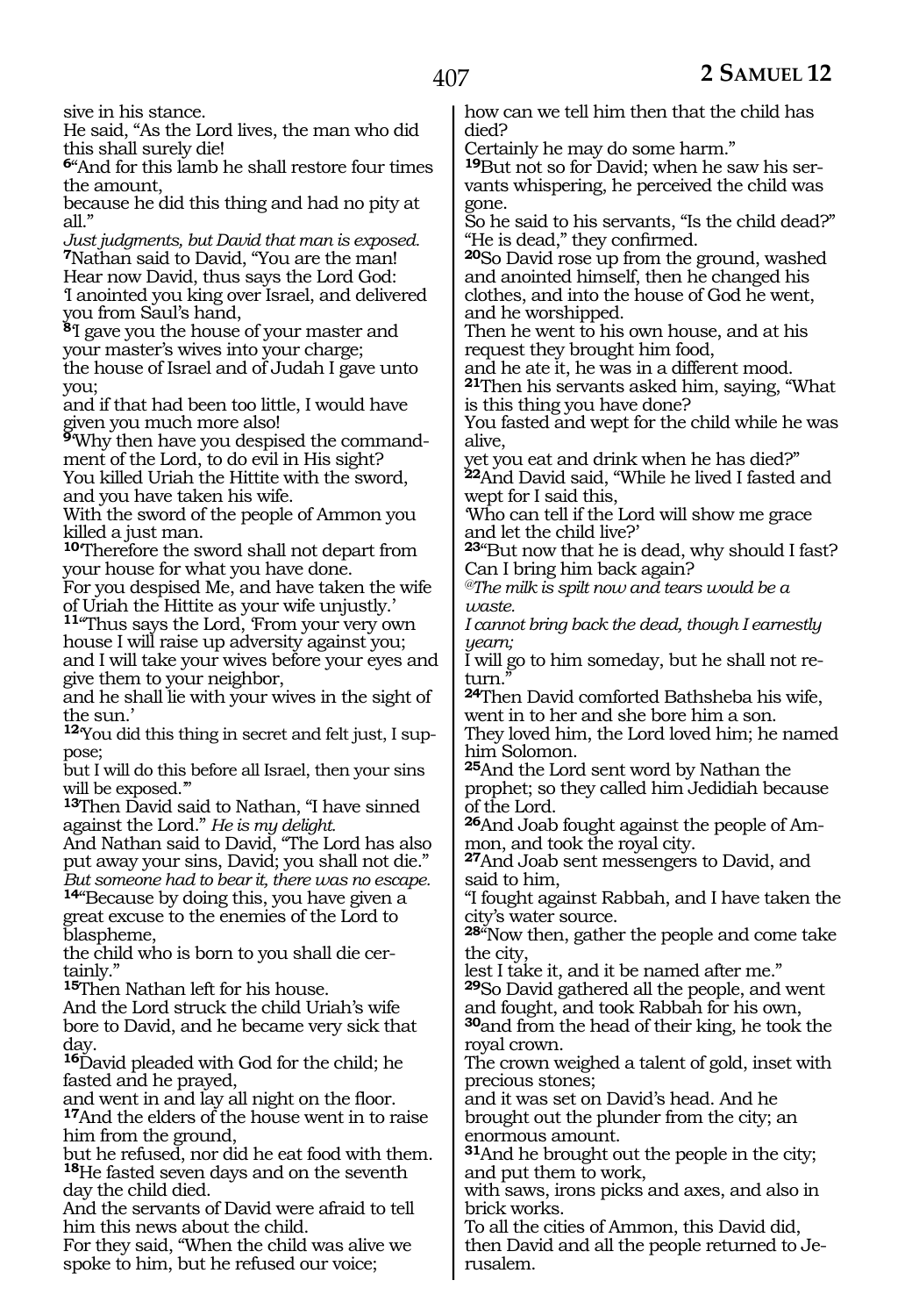sive in his stance.

He said, "As the Lord lives, the man who did this shall surely die!

**<sup>6</sup>**"And for this lamb he shall restore four times the amount,

because he did this thing and had no pity at all."

*Just judgments, but David that man is exposed.* **<sup>7</sup>**Nathan said to David, "You are the man! Hear now David, thus says the Lord God: 'I anointed you king over Israel, and delivered you from Saul's hand,

**<sup>8</sup>**'I gave you the house of your master and your master's wives into your charge; the house of Israel and of Judah I gave unto you;

and if that had been too little, I would have given you much more also!

**9**'Why then have you despised the commandment of the Lord, to do evil in His sight? You killed Uriah the Hittite with the sword, and you have taken his wife.

With the sword of the people of Ammon you killed a just man.

**<sup>10</sup>**'Therefore the sword shall not depart from your house for what you have done.

For you despised Me, and have taken the wife of Uriah the Hittite as your wife unjustly.'

**<sup>11</sup>**"Thus says the Lord, 'From your very own house I will raise up adversity against you; and I will take your wives before your eyes and give them to your neighbor,

and he shall lie with your wives in the sight of the sun.'

**<sup>12</sup>**'You did this thing in secret and felt just, I suppose;

but I will do this before all Israel, then your sins will be exposed.'"

**<sup>13</sup>**Then David said to Nathan, "I have sinned against the Lord." *He is my delight.*

And Nathan said to David, "The Lord has also put away your sins, David; you shall not die." *But someone had to bear it, there was no escape.*

**<sup>14</sup>**"Because by doing this, you have given a great excuse to the enemies of the Lord to blaspheme,

the child who is born to you shall die certainly."

**<sup>15</sup>**Then Nathan left for his house.

And the Lord struck the child Uriah's wife bore to David, and he became very sick that day.

**<sup>16</sup>**David pleaded with God for the child; he fasted and he prayed,

and went in and lay all night on the floor. **<sup>17</sup>**And the elders of the house went in to raise him from the ground,

but he refused, nor did he eat food with them. **<sup>18</sup>**He fasted seven days and on the seventh day the child died.

And the servants of David were afraid to tell him this news about the child.

For they said, "When the child was alive we spoke to him, but he refused our voice;

how can we tell him then that the child has died?

Certainly he may do some harm."

**19**But not so for David; when he saw his servants whispering, he perceived the child was gone.

So he said to his servants, "Is the child dead?" "He is dead," they confirmed.

**<sup>20</sup>**So David rose up from the ground, washed and anointed himself, then he changed his clothes, and into the house of God he went, and he worshipped.

Then he went to his own house, and at his request they brought him food,

and he ate it, he was in a different mood.

**<sup>21</sup>**Then his servants asked him, saying, "What is this thing you have done?

You fasted and wept for the child while he was alive,

yet you eat and drink when he has died?" **<sup>22</sup>**And David said, "While he lived I fasted and wept for I said this,

'Who can tell if the Lord will show me grace and let the child live?'

**<sup>23</sup>**"But now that he is dead, why should I fast? Can I bring him back again?

*@The milk is spilt now and tears would be a waste.* 

*I cannot bring back the dead, though I earnestly yearn;* 

I will go to him someday, but he shall not return."

**<sup>24</sup>**Then David comforted Bathsheba his wife, went in to her and she bore him a son.

They loved him, the Lord loved him; he named him Solomon.

**<sup>25</sup>**And the Lord sent word by Nathan the prophet; so they called him Jedidiah because of the Lord.

**<sup>26</sup>**And Joab fought against the people of Am- mon, and took the royal city.

**<sup>27</sup>**And Joab sent messengers to David, and said to him,

"I fought against Rabbah, and I have taken the city's water source.

**<sup>28</sup>**"Now then, gather the people and come take the city,

lest I take it, and it be named after me." **<sup>29</sup>**So David gathered all the people, and went and fought, and took Rabbah for his own,

**<sup>30</sup>**and from the head of their king, he took the royal crown.

The crown weighed a talent of gold, inset with precious stones;

and it was set on David's head. And he brought out the plunder from the city; an enormous amount.

**<sup>31</sup>**And he brought out the people in the city; and put them to work,

with saws, irons picks and axes, and also in brick works.

To all the cities of Ammon, this David did, then David and all the people returned to Jerusalem.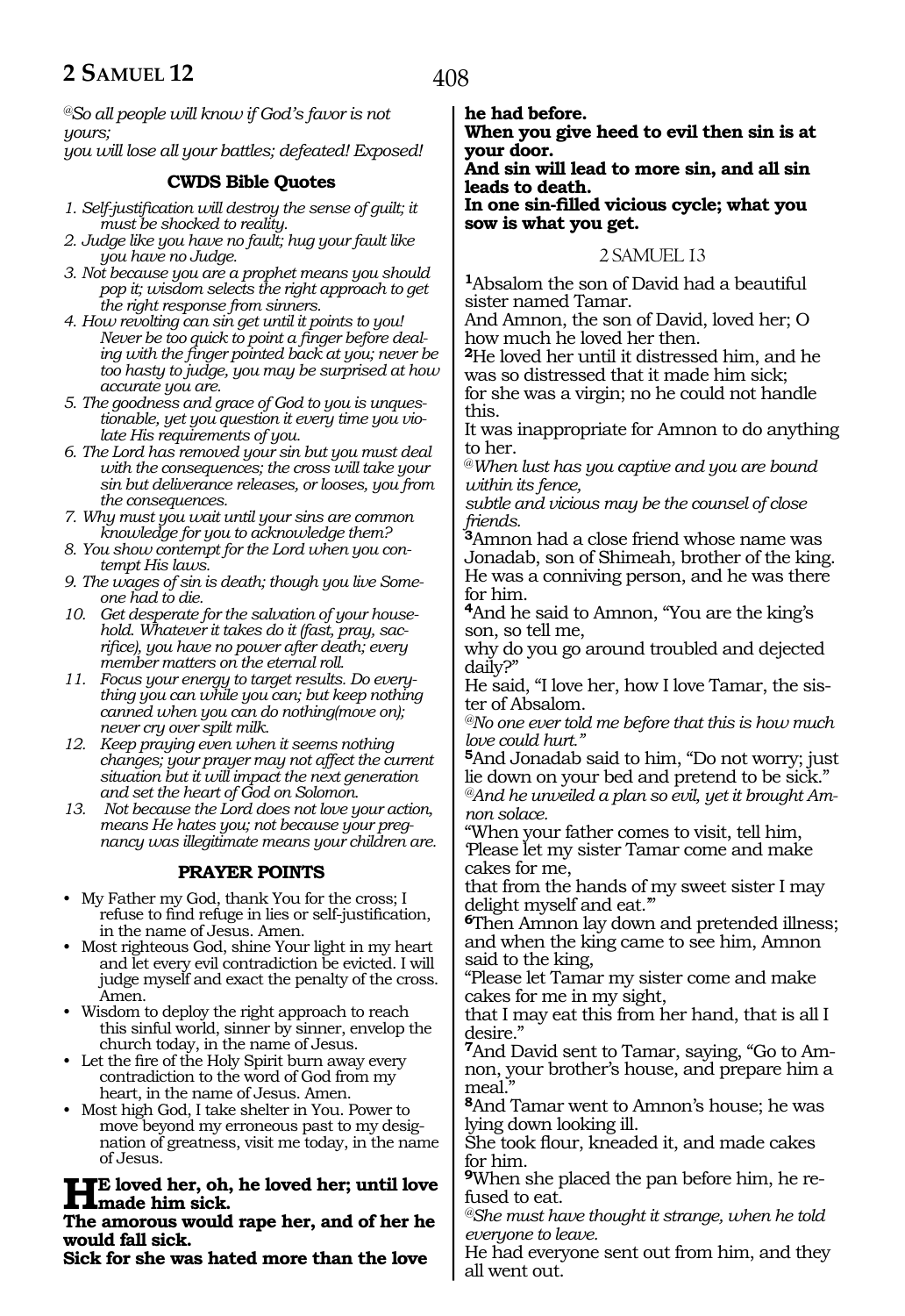*@So all people will know if God's favor is not yours; you will lose all your battles; defeated! Exposed!* 

#### **CWDS Bible Quotes**

- *1. Self-justification will destroy the sense of guilt; it must be shocked to reality.*
- *2. Judge like you have no fault; hug your fault like you have no Judge.*
- *3. Not because you are a prophet means you should pop it; wisdom selects the right approach to get the right response from sinners.*
- *4. How revolting can sin get until it points to you! Never be too quick to point a finger before dealing with the finger pointed back at you; never be too hasty to judge, you may be surprised at how accurate you are.*
- *5. The goodness and grace of God to you is unquestionable, yet you question it every time you violate His requirements of you.*
- *6. The Lord has removed your sin but you must deal with the consequences; the cross will take your sin but deliverance releases, or looses, you from the consequences.*
- *7. Why must you wait until your sins are common knowledge for you to acknowledge them?*
- *8. You show contempt for the Lord when you contempt His laws.*
- *9. The wages of sin is death; though you live Someone had to die.*
- *10. Get desperate for the salvation of your household. Whatever it takes do it (fast, pray, sacrifice), you have no power after death; every member matters on the eternal roll.*
- *11. Focus your energy to target results. Do everything you can while you can; but keep nothing canned when you can do nothing(move on); never cry over spilt milk.*
- *12. Keep praying even when it seems nothing changes; your prayer may not affect the current situation but it will impact the next generation and set the heart of God on Solomon.*
- *13. Not because the Lord does not love your action, means He hates you; not because your pregnancy was illegitimate means your children are.*

# **PRAYER POINTS**

- My Father my God, thank You for the cross; I refuse to find refuge in lies or self-justification, in the name of Jesus. Amen.
- Most righteous God, shine Your light in my heart and let every evil contradiction be evicted. I will judge myself and exact the penalty of the cross. Amen.
- Wisdom to deploy the right approach to reach this sinful world, sinner by sinner, envelop the church today, in the name of Jesus.
- Let the fire of the Holy Spirit burn away every contradiction to the word of God from my heart, in the name of Jesus. Amen.
- Most high God, I take shelter in You. Power to move beyond my erroneous past to my designation of greatness, visit me today, in the name of Jesus.

# **HE** loved her, oh, he loved her; until love **made him sick.**

**The amorous would rape her, and of her he would fall sick.**

**Sick for she was hated more than the love** 

**he had before.**

**When you give heed to evil then sin is at your door.**

**And sin will lead to more sin, and all sin leads to death.**

**In one sin-filled vicious cycle; what you sow is what you get.**

#### 2 SAMUEL 13

**<sup>1</sup>**Absalom the son of David had a beautiful sister named Tamar.

And Amnon, the son of David, loved her; O how much he loved her then.

**<sup>2</sup>**He loved her until it distressed him, and he was so distressed that it made him sick; for she was a virgin; no he could not handle this.

It was inappropriate for Amnon to do anything to her.

@*When lust has you captive and you are bound within its fence,*

*subtle and vicious may be the counsel of close friends.*

**<sup>3</sup>**Amnon had a close friend whose name was Jonadab, son of Shimeah, brother of the king. He was a conniving person, and he was there for him.

**<sup>4</sup>**And he said to Amnon, "You are the king's son, so tell me,

why do you go around troubled and dejected daily?"

He said, "I love her, how I love Tamar, the sister of Absalom.

*@No one ever told me before that this is how much love could hurt."*

**<sup>5</sup>**And Jonadab said to him, "Do not worry; just lie down on your bed and pretend to be sick." *@And he unveiled a plan so evil, yet it brought Amnon solace.*

"When your father comes to visit, tell him, 'Please let my sister Tamar come and make cakes for me,

that from the hands of my sweet sister I may delight myself and eat."

**<sup>6</sup>**Then Amnon lay down and pretended illness; and when the king came to see him, Amnon said to the king,

"Please let Tamar my sister come and make cakes for me in my sight,

that I may eat this from her hand, that is all I desire."

**7**And David sent to Tamar, saying, "Go to Amnon, your brother's house, and prepare him a meal."

**<sup>8</sup>**And Tamar went to Amnon's house; he was lying down looking ill.

She took flour, kneaded it, and made cakes for him.

**9**When she placed the pan before him, he refused to eat.

*@She must have thought it strange, when he told everyone to leave.*

He had everyone sent out from him, and they all went out.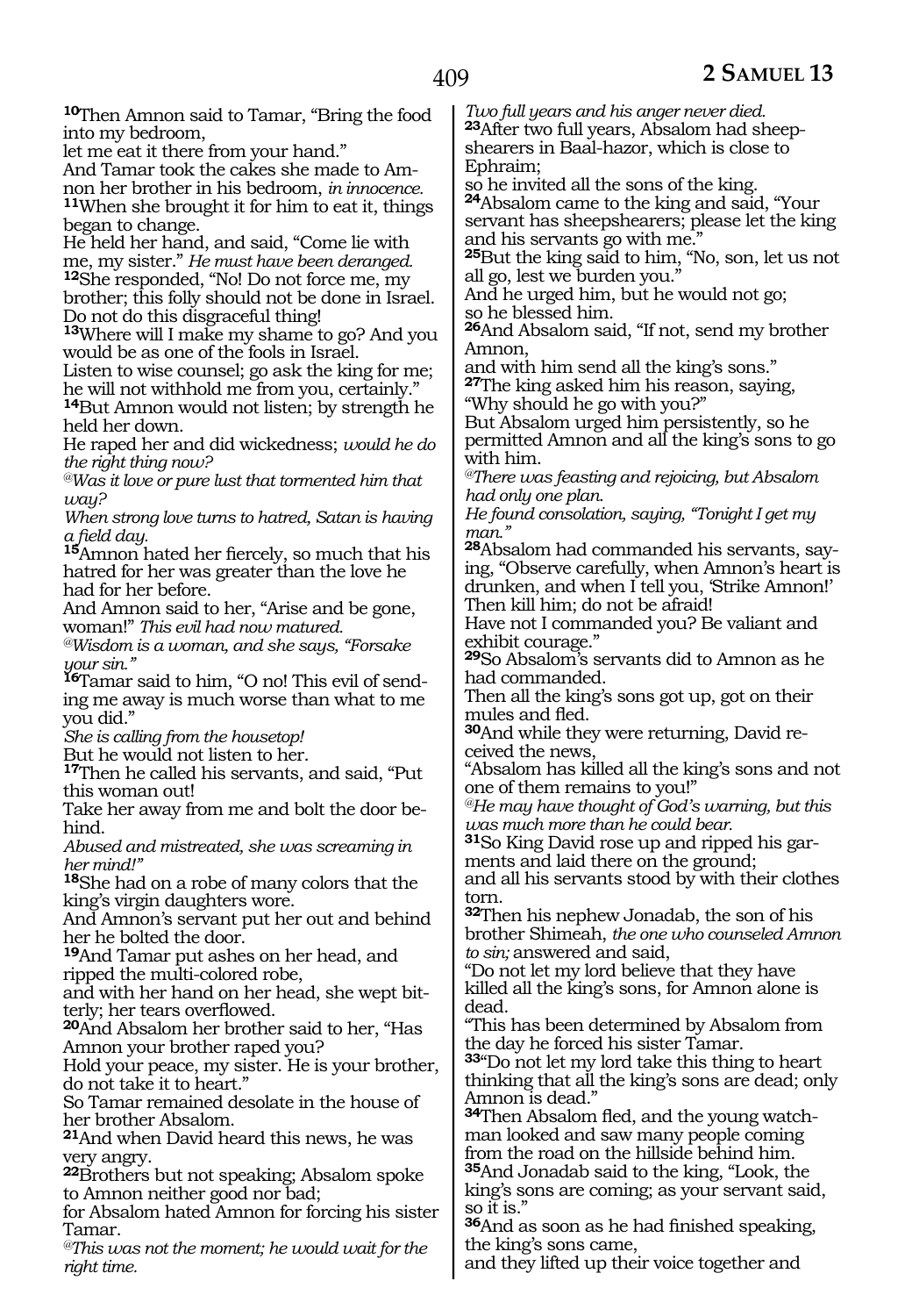**<sup>10</sup>**Then Amnon said to Tamar, "Bring the food into my bedroom,

let me eat it there from your hand."

And Tamar took the cakes she made to Am-<br>non her brother in his bedroom, *in innocence.* <sup>11</sup>When she brought it for him to eat it, things began to change.

He held her hand, and said, "Come lie with me, my sister." He must have been deranged. <sup>12</sup>She responded, "No! Do not force me, my brother; this folly should not be done in Israel. Do not do this disgraceful thing!

**<sup>13</sup>**Where will I make my shame to go? And you would be as one of the fools in Israel.

Listen to wise counsel; go ask the king for me; he will not withhold me from you, certainly."

**<sup>14</sup>**But Amnon would not listen; by strength he held her down.

He raped her and did wickedness; *would he do the right thing now?*

*@Was it love or pure lust that tormented him that way?*

*When strong love turns to hatred, Satan is having* 

15Amnon hated her fiercely, so much that his hatred for her was greater than the love he had for her before.

And Amnon said to her, "Arise and be gone, woman!" *This evil had now matured.*

*@Wisdom is a woman, and she says, "Forsake your sin."*

**16**Tamar said to him, "O no! This evil of sending me away is much worse than what to me you did."

*She is calling from the housetop!*

But he would not listen to her.

**<sup>17</sup>**Then he called his servants, and said, "Put this woman out!

Take her away from me and bolt the door behind.

*Abused and mistreated, she was screaming in her mind!"*

**<sup>18</sup>**She had on a robe of many colors that the king's virgin daughters wore.

And Amnon's servant put her out and behind her he bolted the door.

**<sup>19</sup>**And Tamar put ashes on her head, and ripped the multi-colored robe,

and with her hand on her head, she wept bitterly; her tears overflowed.

**<sup>20</sup>**And Absalom her brother said to her, "Has Amnon your brother raped you?

Hold your peace, my sister. He is your brother, do not take it to heart."

So Tamar remained desolate in the house of her brother Absalom.

**<sup>21</sup>**And when David heard this news, he was very angry.

**<sup>22</sup>**Brothers but not speaking; Absalom spoke to Amnon neither good nor bad;

for Absalom hated Amnon for forcing his sister Tamar.

*@This was not the moment; he would wait for the right time.*

*Two full years and his anger never died.* **23**After two full years, Absalom had sheepshearers in Baal-hazor, which is close to Ephraim;

so he invited all the sons of the king. **<sup>24</sup>**Absalom came to the king and said, "Your servant has sheepshearers; please let the king and his servants go with me."

**<sup>25</sup>**But the king said to him, "No, son, let us not all go, lest we burden you."

And he urged him, but he would not go; so he blessed him.

**<sup>26</sup>**And Absalom said, "If not, send my brother Amnon,

and with him send all the king's sons." **<sup>27</sup>**The king asked him his reason, saying, "Why should he go with you?"

But Absalom urged him persistently, so he permitted Amnon and all the king's sons to go with him.

*@There was feasting and rejoicing, but Absalom had only one plan.*

*He found consolation, saying, "Tonight I get my man."*

**28**Absalom had commanded his servants, saying, "Observe carefully, when Amnon's heart is drunken, and when I tell you, 'Strike Amnon!' Then kill him; do not be afraid!

Have not I commanded you? Be valiant and exhibit courage."

**<sup>29</sup>**So Absalom's servants did to Amnon as he had commanded.

Then all the king's sons got up, got on their mules and fled.

**30**And while they were returning, David received the news,

"Absalom has killed all the king's sons and not one of them remains to you!"

*@He may have thought of God's warning, but this was much more than he could bear.*

**31**So King David rose up and ripped his garments and laid there on the ground;

and all his servants stood by with their clothes torn.

**<sup>32</sup>**Then his nephew Jonadab, the son of his brother Shimeah, *the one who counseled Amnon to sin;* answered and said,

"Do not let my lord believe that they have killed all the king's sons, for Amnon alone is dead.

"This has been determined by Absalom from the day he forced his sister Tamar.

**<sup>33</sup>**"Do not let my lord take this thing to heart thinking that all the king's sons are dead; only Amnon is dead."

**34**Then Absalom fled, and the young watchman looked and saw many people coming from the road on the hillside behind him. **<sup>35</sup>**And Jonadab said to the king, "Look, the king's sons are coming; as your servant said, so it is."

**<sup>36</sup>**And as soon as he had finished speaking, the king's sons came,

and they lifted up their voice together and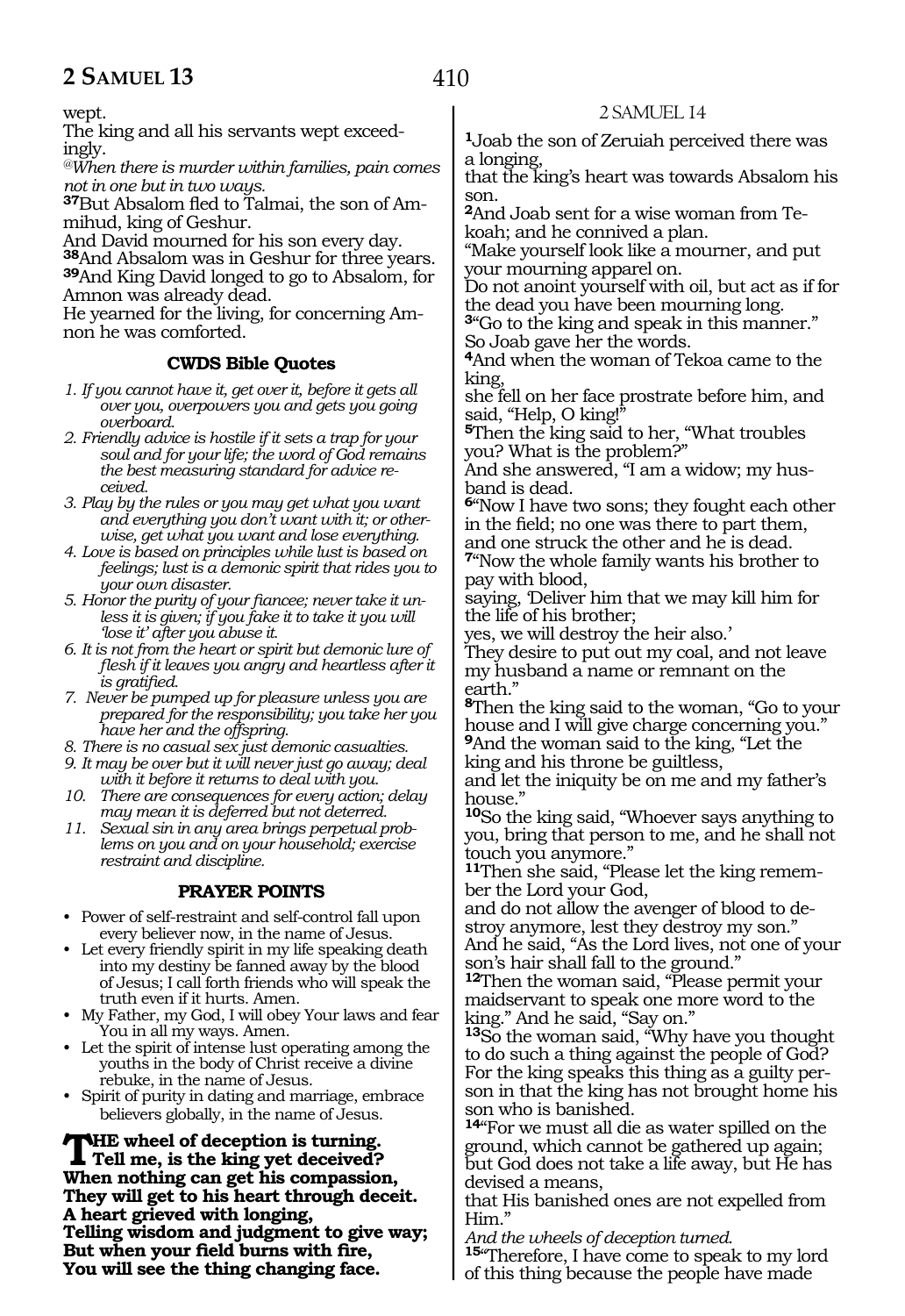wept.

The king and all his servants wept exceed- ingly.

*@When there is murder within families, pain comes not in one but in two ways.*

**37**But Absalom fled to Talmai, the son of Ammihud, king of Geshur.

And David mourned for his son every day.

**<sup>38</sup>**And Absalom was in Geshur for three years. **<sup>39</sup>**And King David longed to go to Absalom, for Amnon was already dead.

He yearned for the living, for concerning Amnon he was comforted.

#### **CWDS Bible Quotes**

- *1. If you cannot have it, get over it, before it gets all over you, overpowers you and gets you going overboard.*
- *2. Friendly advice is hostile if it sets a trap for your soul and for your life; the word of God remains the best measuring standard for advice received.*
- *3. Play by the rules or you may get what you want and everything you don't want with it; or otherwise, get what you want and lose everything.*
- *4. Love is based on principles while lust is based on feelings; lust is a demonic spirit that rides you to your own disaster.*
- *5. Honor the purity of your fiancee; never take it unless it is given; if you fake it to take it you will 'lose it' after you abuse it.*
- *6. It is not from the heart or spirit but demonic lure of flesh if it leaves you angry and heartless after it is gratified.*
- *7. Never be pumped up for pleasure unless you are prepared for the responsibility; you take her you have her and the offspring.*
- *8. There is no casual sex just demonic casualties.*
- *9. It may be over but it will never just go away; deal with it before it returns to deal with you.*
- *10. There are consequences for every action; delay may mean it is deferred but not deterred.*
- *11. Sexual sin in any area brings perpetual problems on you and on your household; exercise restraint and discipline.*

# **PRAYER POINTS**

- Power of self-restraint and self-control fall upon every believer now, in the name of Jesus.
- Let every friendly spirit in my life speaking death into my destiny be fanned away by the blood of Jesus; I call forth friends who will speak the truth even if it hurts. Amen.
- My Father, my God, I will obey Your laws and fear You in all my ways. Amen.
- Let the spirit of intense lust operating among the youths in the body of Christ receive a divine rebuke, in the name of Jesus.
- Spirit of purity in dating and marriage, embrace believers globally, in the name of Jesus.

**THE wheel of deception is turning.**<br>Tell me, is the king yet deceived? **When nothing can get his compassion, They will get to his heart through deceit. A heart grieved with longing, Telling wisdom and judgment to give way; But when your field burns with fire, You will see the thing changing face.**

# 2 SAMUEL 14

**<sup>1</sup>**Joab the son of Zeruiah perceived there was a longing,

that the king's heart was towards Absalom his son.

**2**And Joab sent for a wise woman from Tekoah; and he connived a plan.

"Make yourself look like a mourner, and put your mourning apparel on.

Do not anoint yourself with oil, but act as if for the dead you have been mourning long.

**<sup>3</sup>**"Go to the king and speak in this manner." So Joab gave her the words.

**<sup>4</sup>**And when the woman of Tekoa came to the king,

she fell on her face prostrate before him, and said, "Help, O king!"

**<sup>5</sup>**Then the king said to her, "What troubles you? What is the problem?"

And she answered, "I am a widow; my husband is dead.

**<sup>6</sup>**"Now I have two sons; they fought each other in the field; no one was there to part them, and one struck the other and he is dead.

**<sup>7</sup>**"Now the whole family wants his brother to pay with blood,

saying, 'Deliver him that we may kill him for the life of his brother;

yes, we will destroy the heir also.'

They desire to put out my coal, and not leave my husband a name or remnant on the earth."

**<sup>8</sup>**Then the king said to the woman, "Go to your house and I will give charge concerning you." **<sup>9</sup>**And the woman said to the king, "Let the

king and his throne be guiltless,

and let the iniquity be on me and my father's house."

**<sup>10</sup>**So the king said, "Whoever says anything to you, bring that person to me, and he shall not touch you anymore."

**11**Then she said, "Please let the king remember the Lord your God,

and do not allow the avenger of blood to destroy anymore, lest they destroy my son." And he said, "As the Lord lives, not one of your

son's hair shall fall to the ground." **<sup>12</sup>**Then the woman said, "Please permit your maidservant to speak one more word to the

king." And he said, "Say on." **<sup>13</sup>**So the woman said, "Why have you thought

to do such a thing against the people of God? son in that the king has not brought home his son who is banished.

**<sup>14</sup>**"For we must all die as water spilled on the ground, which cannot be gathered up again; but God does not take a life away, but He has devised a means,

that His banished ones are not expelled from Him."

*And the wheels of deception turned.*

**<sup>15</sup>**"Therefore, I have come to speak to my lord of this thing because the people have made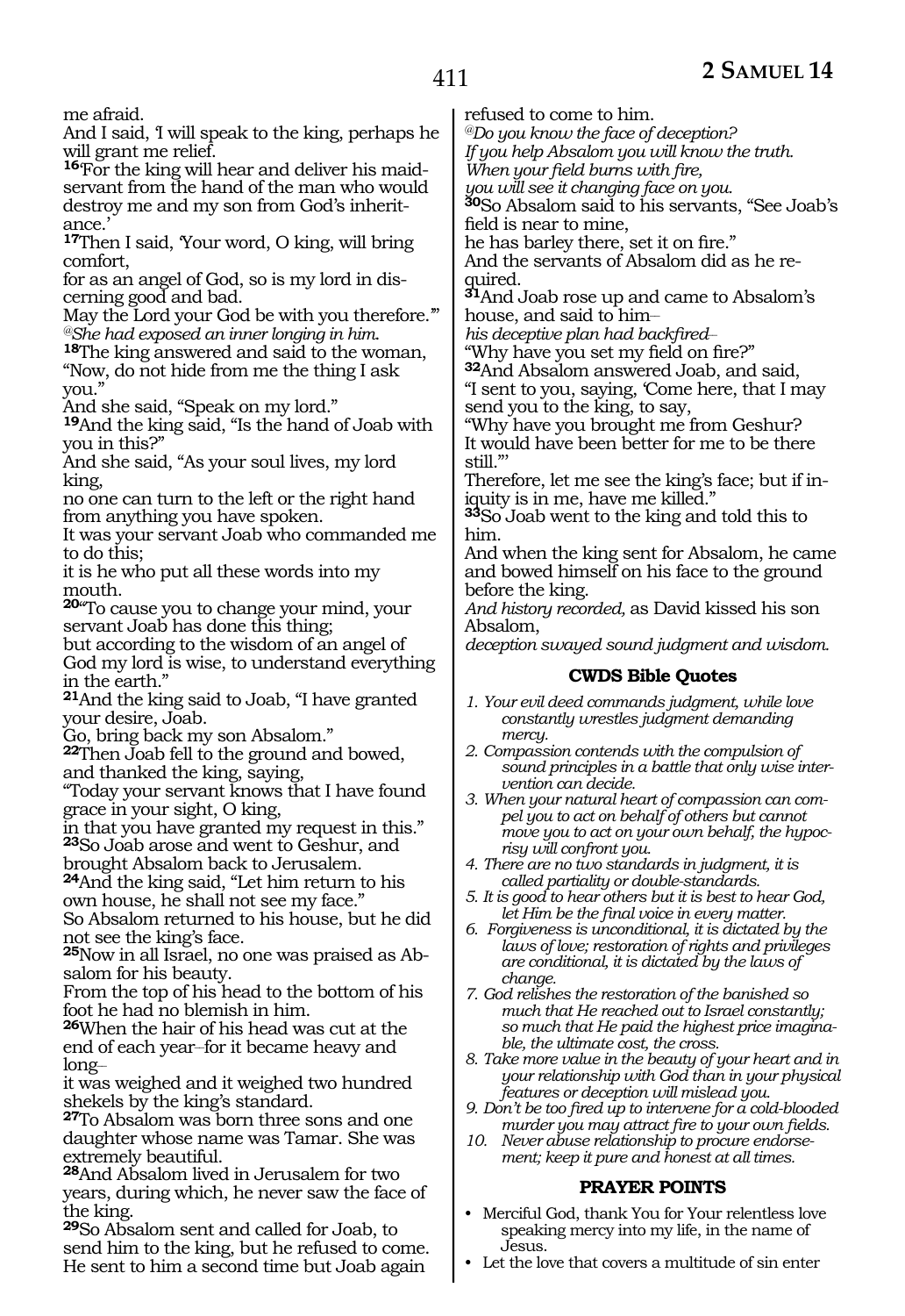# 411

me afraid.

And I said, 'I will speak to the king, perhaps he will grant me relief.

**16**'For the king will hear and deliver his maidservant from the hand of the man who would destroy me and my son from God's inheritance.'

**<sup>17</sup>**Then I said, 'Your word, O king, will bring comfort,

for as an angel of God, so is my lord in discerning good and bad.

May the Lord your God be with you therefore."'<br>®She had exposed an inner longing in him.

<sup>18</sup>The king answered and said to the woman, "Now, do not hide from me the thing I ask you."

And she said, "Speak on my lord."

**<sup>19</sup>**And the king said, "Is the hand of Joab with you in this?"

And she said, "As your soul lives, my lord king,

no one can turn to the left or the right hand from anything you have spoken.

It was your servant Joab who commanded me to do this;

it is he who put all these words into my mouth.

**<sup>20</sup>**"To cause you to change your mind, your servant Joab has done this thing;

but according to the wisdom of an angel of God my lord is wise, to understand everything in the earth."

**<sup>21</sup>**And the king said to Joab, "I have granted your desire, Joab.

Go, bring back my son Absalom."

**<sup>22</sup>**Then Joab fell to the ground and bowed, and thanked the king, saying,

"Today your servant knows that I have found grace in your sight, O king,

in that you have granted my request in this." **<sup>23</sup>**So Joab arose and went to Geshur, and brought Absalom back to Jerusalem.

**<sup>24</sup>**And the king said, "Let him return to his own house, he shall not see my face."

So Absalom returned to his house, but he did not see the king's face.

**25**Now in all Israel, no one was praised as Absalom for his beauty.

From the top of his head to the bottom of his foot he had no blemish in him.

**<sup>26</sup>**When the hair of his head was cut at the end of each year-for it became heavy and long\_\_

it was weighed and it weighed two hundred shekels by the king's standard.

**<sup>27</sup>**To Absalom was born three sons and one daughter whose name was Tamar. She was extremely beautiful.

**<sup>28</sup>**And Absalom lived in Jerusalem for two years, during which, he never saw the face of the king.

**<sup>29</sup>**So Absalom sent and called for Joab, to send him to the king, but he refused to come. He sent to him a second time but Joab again

refused to come to him.

*@Do you know the face of deception?*

*If you help Absalom you will know the truth.*

*When your field burns with fire,* 

*you will see it changing face on you.*

**<sup>30</sup>**So Absalom said to his servants, "See Joab's field is near to mine,

he has barley there, set it on fire."

And the servants of Absalom did as he required.

**<sup>31</sup>**And Joab rose up and came to Absalom's house, and said to him-

*his deceptive plan had backfired\_\_*

"Why have you set my field on fire?"

**<sup>32</sup>**And Absalom answered Joab, and said,

"I sent to you, saying, 'Come here, that I may send you to the king, to say,

"Why have you brought me from Geshur? It would have been better for me to be there still<sup>"</sup>

Therefore, let me see the king's face; but if iniquity is in me, have me killed."

**<sup>33</sup>**So Joab went to the king and told this to him.

And when the king sent for Absalom, he came and bowed himself on his face to the ground before the king.

*And history recorded,* as David kissed his son Absalom,

*deception swayed sound judgment and wisdom.*

#### **CWDS Bible Quotes**

- *1. Your evil deed commands judgment, while love constantly wrestles judgment demanding mercy.*
- *2. Compassion contends with the compulsion of sound principles in a battle that only wise intervention can decide.*
- *3. When your natural heart of compassion can compel you to act on behalf of others but cannot move you to act on your own behalf, the hypocrisy will confront you.*
- *4. There are no two standards in judgment, it is called partiality or double-standards.*
- *5. It is good to hear others but it is best to hear God, let Him be the final voice in every matter.*
- *6. Forgiveness is unconditional, it is dictated by the laws of love; restoration of rights and privileges are conditional, it is dictated by the laws of change.*

*7. God relishes the restoration of the banished so much that He reached out to Israel constantly; so much that He paid the highest price imaginable, the ultimate cost, the cross.*

*8. Take more value in the beauty of your heart and in your relationship with God than in your physical features or deception will mislead you.*

*9. Don't be too fired up to intervene for a cold-blooded murder you may attract fire to your own fields.*

*10. Never abuse relationship to procure endorsement; keep it pure and honest at all times.*

#### **PRAYER POINTS**

- Merciful God, thank You for Your relentless love speaking mercy into my life, in the name of Jesus.
- Let the love that covers a multitude of sin enter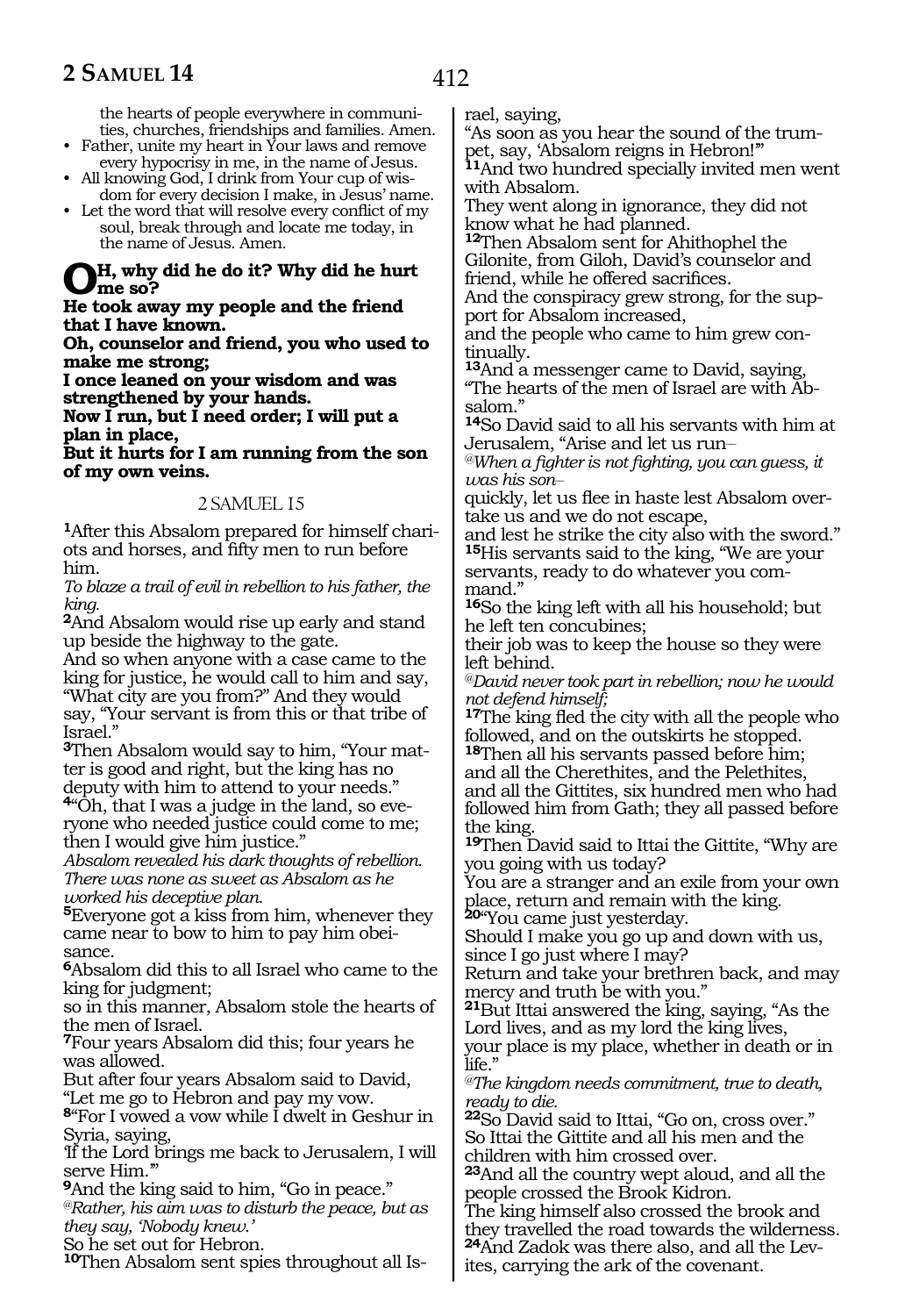the hearts of people everywhere in communities, churches, friendships and families. Amen.

- Father, unite my heart in Your laws and remove every hypocrisy in me, in the name of Jesus.
- All knowing God, I drink from Your cup of wisdom for every decision I make, in Jesus' name.
- Let the word that will resolve every conflict of my soul, break through and locate me today, in the name of Jesus. Amen.

# **Oh, why did he do it? Why did he hurt me so?**

**He took away my people and the friend that I have known.**

**Oh, counselor and friend, you who used to make me strong;**

**I once leaned on your wisdom and was strengthened by your hands. Now I run, but I need order; I will put a** 

**plan in place,**

**But it hurts for I am running from the son of my own veins.**

#### 2 SAMLJEL 15

**1**After this Absalom prepared for himself chariots and horses, and fifty men to run before him.

*To blaze a trail of evil in rebellion to his father, the king.*

**<sup>2</sup>**And Absalom would rise up early and stand up beside the highway to the gate.

And so when anyone with a case came to the king for justice, he would call to him and say, "What city are you from?" And they would say, "Your servant is from this or that tribe of Israel."

**3**Then Absalom would say to him, "Your matter is good and right, but the king has no deputy with him to attend to your needs."

**4**"Oh, that I was a judge in the land, so everyone who needed justice could come to me; then I would give him justice."

*Absalom revealed his dark thoughts of rebellion. There was none as sweet as Absalom as he worked his deceptive plan.*

**<sup>5</sup>**Everyone got a kiss from him, whenever they came near to bow to him to pay him obeisance.

**<sup>6</sup>**Absalom did this to all Israel who came to the king for judgment;

so in this manner, Absalom stole the hearts of the men of Israel.

**<sup>7</sup>**Four years Absalom did this; four years he was allowed.

But after four years Absalom said to David, "Let me go to Hebron and pay my vow.

**<sup>8</sup>**"For I vowed a vow while I dwelt in Geshur in Syria, saying,

'If the Lord brings me back to Jerusalem, I will serve Him."

**<sup>9</sup>**And the king said to him, "Go in peace." *@Rather, his aim was to disturb the peace, but as they say, 'Nobody knew.'*

So he set out for Hebron.

**10**Then Absalom sent spies throughout all Is-

rael, saying,

"As soon as you hear the sound of the trumpet, say, 'Absalom reigns in Hebron!'"

**<sup>11</sup>**And two hundred specially invited men went with Absalom.

They went along in ignorance, they did not know what he had planned.

**<sup>12</sup>**Then Absalom sent for Ahithophel the Gilonite, from Giloh, David's counselor and friend, while he offered sacrifices.

And the conspiracy grew strong, for the support for Absalom increased,

and the people who came to him grew continually.

**<sup>13</sup>**And a messenger came to David, saying, "The hearts of the men of Israel are with Absalom."

**<sup>14</sup>**So David said to all his servants with him at Jerusalem, "Arise and let us run\_\_

*@When a fighter is not fighting, you can guess, it was his son\_\_*

quickly, let us flee in haste lest Absalom overtake us and we do not escape,

and lest he strike the city also with the sword." **<sup>15</sup>**His servants said to the king, "We are your servants, ready to do whatever you command."

**<sup>16</sup>**So the king left with all his household; but he left ten concubines;

their job was to keep the house so they were left behind.

*@David never took part in rebellion; now he would not defend himself;*

**<sup>17</sup>**The king fled the city with all the people who followed, and on the outskirts he stopped.

**<sup>18</sup>**Then all his servants passed before him; and all the Cherethites, and the Pelethites,

and all the Gittites, six hundred men who had followed him from Gath; they all passed before the king.

**<sup>19</sup>**Then David said to Ittai the Gittite, "Why are you going with us today?

You are a stranger and an exile from your own place, return and remain with the king.

**<sup>20</sup>**"You came just yesterday.

Should I make you go up and down with us, since I go just where I may?

Return and take your brethren back, and may mercy and truth be with you."

**<sup>21</sup>**But Ittai answered the king, saying, "As the Lord lives, and as my lord the king lives,

your place is my place, whether in death or in life."

*@The kingdom needs commitment, true to death, ready to die.*

**<sup>22</sup>**So David said to Ittai, "Go on, cross over." So Ittai the Gittite and all his men and the children with him crossed over.

**<sup>23</sup>**And all the country wept aloud, and all the people crossed the Brook Kidron.

The king himself also crossed the brook and they travelled the road towards the wilderness. **24**And Zadok was there also, and all the Levites, carrying the ark of the covenant.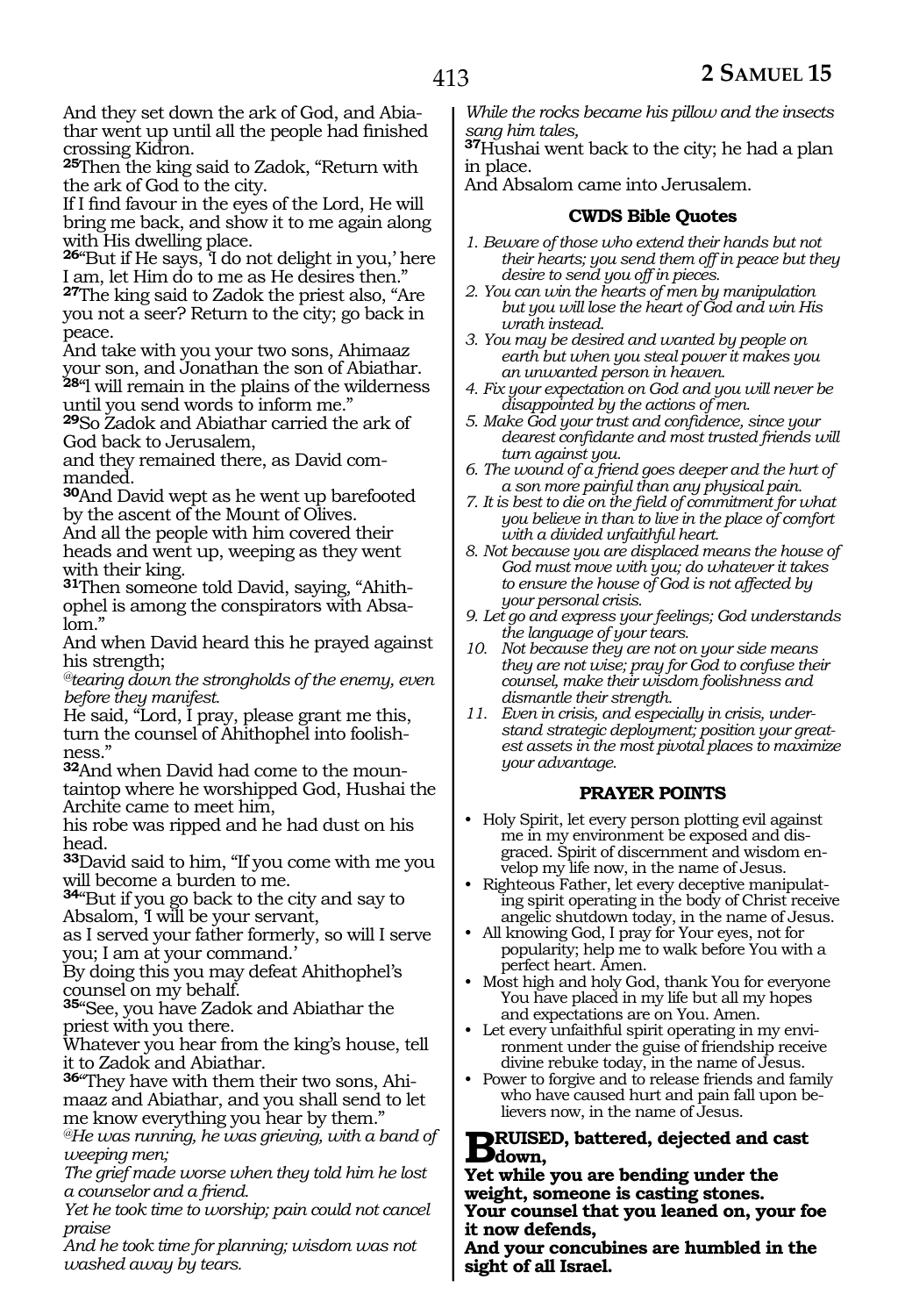And they set down the ark of God, and Abiathar went up until all the people had finished crossing Kidron.

**<sup>25</sup>**Then the king said to Zadok, "Return with the ark of God to the city.

If I find favour in the eyes of the Lord, He will bring me back, and show it to me again along with His dwelling place.

**<sup>26</sup>**"But if He says, 'I do not delight in you,' here I am, let Him do to me as He desires then."

**<sup>27</sup>**The king said to Zadok the priest also, "Are you not a seer? Return to the city; go back in peace.

And take with you your two sons, Ahimaaz your son, and Jonathan the son of Abiathar. **<sup>28</sup>**"l will remain in the plains of the wilderness

until you send words to inform me." **<sup>29</sup>**So Zadok and Abiathar carried the ark of

God back to Jerusalem, and they remained there, as David commanded.

**<sup>30</sup>**And David wept as he went up barefooted by the ascent of the Mount of Olives.

And all the people with him covered their heads and went up, weeping as they went with their king.

**31**Then someone told David, saying, "Ahithophel is among the conspirators with Absalom."

And when David heard this he prayed against his strength;

*@tearing down the strongholds of the enemy, even before they manifest.*

He said, "Lord, I pray, please grant me this, turn the counsel of Ahithophel into foolishness."

**32**And when David had come to the mountaintop where he worshipped God, Hushai the Archite came to meet him,

his robe was ripped and he had dust on his head.

**<sup>33</sup>**David said to him, "If you come with me you will become a burden to me.

**<sup>34</sup>**"But if you go back to the city and say to Absalom, 'I will be your servant,

as I served your father formerly, so will I serve you; I am at your command.'

By doing this you may defeat Ahithophel's counsel on my behalf.

**<sup>35</sup>**"See, you have Zadok and Abiathar the priest with you there.

Whatever you hear from the king's house, tell it to Zadok and Abiathar.

**36**"They have with them their two sons, Ahimaaz and Abiathar, and you shall send to let me know everything you hear by them."

*@He was running, he was grieving, with a band of weeping men;*

*The grief made worse when they told him he lost a counselor and a friend.*

*Yet he took time to worship; pain could not cancel praise*

*And he took time for planning; wisdom was not washed away by tears.*

*While the rocks became his pillow and the insects sang him tales,*

**<sup>37</sup>**Hushai went back to the city; he had a plan in place.

And Absalom came into Jerusalem.

#### **CWDS Bible Quotes**

- *1. Beware of those who extend their hands but not their hearts; you send them off in peace but they desire to send you off in pieces.*
- *2. You can win the hearts of men by manipulation but you will lose the heart of God and win His wrath instead.*
- *3. You may be desired and wanted by people on earth but when you steal power it makes you an unwanted person in heaven.*
- *4. Fix your expectation on God and you will never be disappointed by the actions of men.*
- *5. Make God your trust and confidence, since your dearest confidante and most trusted friends will turn against you.*
- *6. The wound of a friend goes deeper and the hurt of a son more painful than any physical pain.*
- *7. It is best to die on the field of commitment for what you believe in than to live in the place of comfort with a divided unfaithful heart.*
- *8. Not because you are displaced means the house of God must move with you; do whatever it takes to ensure the house of God is not affected by your personal crisis.*
- *9. Let go and express your feelings; God understands the language of your tears.*
- *10. Not because they are not on your side means they are not wise; pray for God to confuse their counsel, make their wisdom foolishness and dismantle their strength.*
- *11. Even in crisis, and especially in crisis, understand strategic deployment; position your greatest assets in the most pivotal places to maximize your advantage.*

# **PRAYER POINTS**

- Holy Spirit, let every person plotting evil against me in my environment be exposed and disgraced. Spirit of discernment and wisdom envelop my life now, in the name of Jesus.
- Righteous Father, let every deceptive manipulating spirit operating in the body of Christ receive angelic shutdown today, in the name of Jesus.
- All knowing God, I pray for Your eyes, not for popularity; help me to walk before You with a perfect heart. Amen.
- Most high and holy God, thank You for everyone You have placed in my life but all my hopes and expectations are on You. Amen.
- Let every unfaithful spirit operating in my environment under the guise of friendship receive divine rebuke today, in the name of Jesus.
- Power to forgive and to release friends and family who have caused hurt and pain fall upon believers now, in the name of Jesus.

# **BRUISED, battered, dejected and cast**<br> **Bdown,**<br> **Vet while you are harding under the**

**Yet while you are bending under the weight, someone is casting stones. Your counsel that you leaned on, your foe it now defends,**

**And your concubines are humbled in the sight of all Israel.**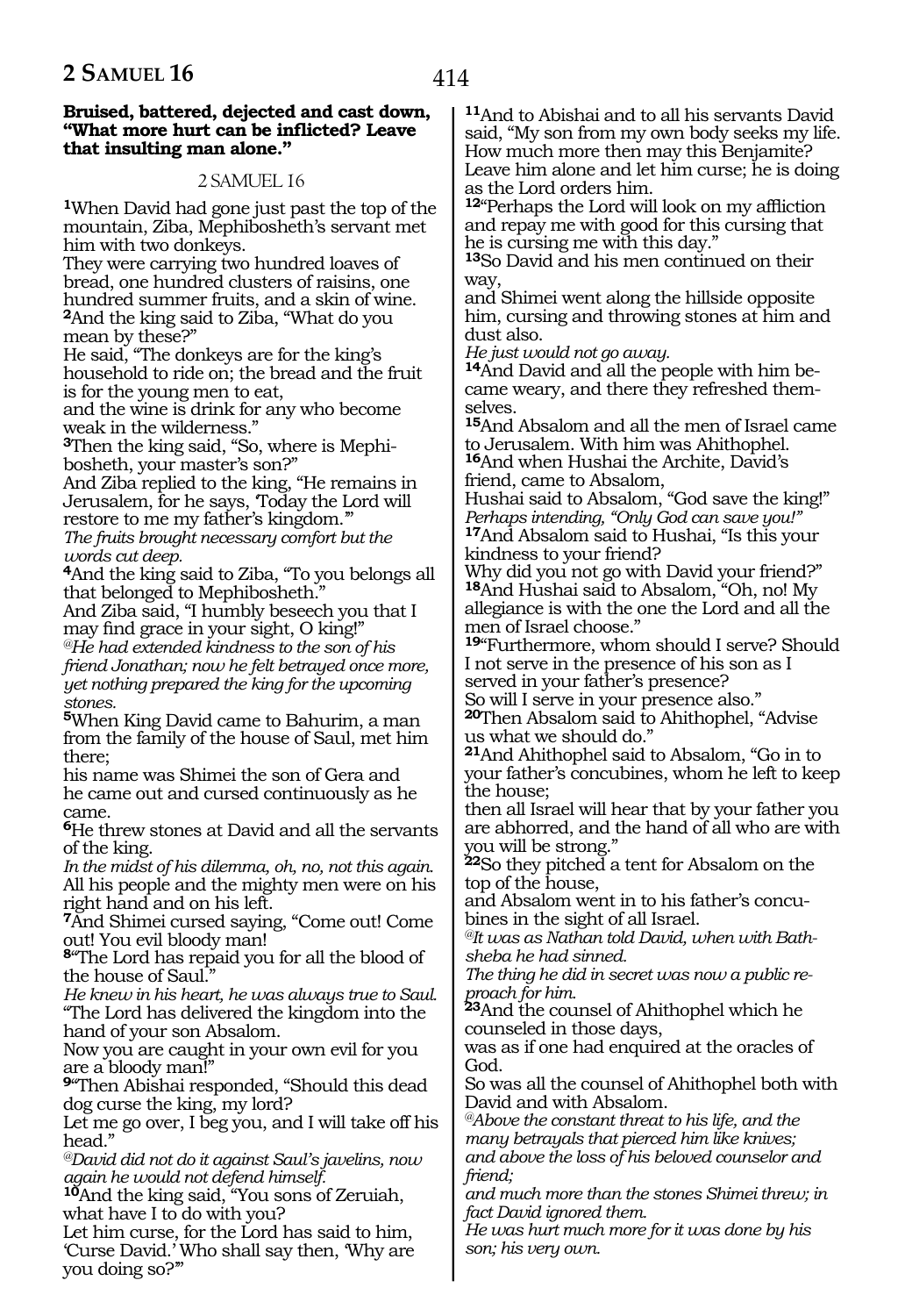#### **Bruised, battered, dejected and cast down, "What more hurt can be inflicted? Leave that insulting man alone."**

#### 2 SAMUEL 16

**<sup>1</sup>**When David had gone just past the top of the mountain, Ziba, Mephibosheth's servant met him with two donkeys.

They were carrying two hundred loaves of bread, one hundred clusters of raisins, one hundred summer fruits, and a skin of wine. **<sup>2</sup>**And the king said to Ziba, "What do you mean by these?"

He said, "The donkeys are for the king's household to ride on; the bread and the fruit is for the young men to eat,

and the wine is drink for any who become weak in the wilderness."

**3**Then the king said, "So, where is Mephibosheth, your master's son?"

And Ziba replied to the king, "He remains in Jerusalem, for he says, 'Today the Lord will restore to me my father's kingdom.'" *The fruits brought necessary comfort but the* 

*words cut deep.*

**<sup>4</sup>**And the king said to Ziba, "To you belongs all that belonged to Mephibosheth."

And Ziba said, "I humbly beseech you that I may find grace in your sight, O king!"

*@He had extended kindness to the son of his friend Jonathan; now he felt betrayed once more, yet nothing prepared the king for the upcoming stones.*

**<sup>5</sup>**When King David came to Bahurim, a man from the family of the house of Saul, met him there;

his name was Shimei the son of Gera and he came out and cursed continuously as he came.

**<sup>6</sup>**He threw stones at David and all the servants of the king.

*In the midst of his dilemma, oh, no, not this again.* All his people and the mighty men were on his right hand and on his left.

**<sup>7</sup>**And Shimei cursed saying, "Come out! Come out! You evil bloody man!

**<sup>8</sup>**"The Lord has repaid you for all the blood of the house of Saul."

*He knew in his heart, he was always true to Saul.* "The Lord has delivered the kingdom into the hand of your son Absalom.

Now you are caught in your own evil for you are a bloody man!"

**<sup>9</sup>**"Then Abishai responded, "Should this dead dog curse the king, my lord?

Let me go over, I beg you, and I will take off his head."

*@David did not do it against Saul's javelins, now again he would not defend himself.*

**<sup>10</sup>**And the king said, "You sons of Zeruiah, what have I to do with you?

Let him curse, for the Lord has said to him, 'Curse David.' Who shall say then, 'Why are you doing so?'"

**<sup>11</sup>**And to Abishai and to all his servants David said, "My son from my own body seeks my life. How much more then may this Benjamite? Leave him alone and let him curse; he is doing as the Lord orders him.

**<sup>12</sup>**"Perhaps the Lord will look on my affliction and repay me with good for this cursing that he is cursing me with this day."

**<sup>13</sup>**So David and his men continued on their way,

and Shimei went along the hillside opposite him, cursing and throwing stones at him and dust also.

*He just would not go away.*

**<sup>14</sup>**And David and all the people with him be- came weary, and there they refreshed themselves.

**<sup>15</sup>**And Absalom and all the men of Israel came to Jerusalem. With him was Ahithophel.

**<sup>16</sup>**And when Hushai the Archite, David's friend, came to Absalom,

Hushai said to Absalom, "God save the king!" *Perhaps intending, "Only God can save you!"* **<sup>17</sup>**And Absalom said to Hushai, "Is this your

kindness to your friend?

Why did you not go with David your friend?" **<sup>18</sup>**And Hushai said to Absalom, "Oh, no! My allegiance is with the one the Lord and all the men of Israel choose."

**<sup>19</sup>**"Furthermore, whom should I serve? Should I not serve in the presence of his son as I served in your father's presence?

So will I serve in your presence also."

**<sup>20</sup>**Then Absalom said to Ahithophel, "Advise us what we should do."

**<sup>21</sup>**And Ahithophel said to Absalom, "Go in to your father's concubines, whom he left to keep the house;

then all Israel will hear that by your father you are abhorred, and the hand of all who are with you will be strong."

**<sup>22</sup>**So they pitched a tent for Absalom on the top of the house,

and Absalom went in to his father's concubines in the sight of all Israel.

*@It was as Nathan told David, when with Bathsheba he had sinned.*

*The thing he did in secret was now a public reproach for him.* 

**<sup>23</sup>**And the counsel of Ahithophel which he counseled in those days,

was as if one had enquired at the oracles of God.

So was all the counsel of Ahithophel both with David and with Absalom.

*@Above the constant threat to his life, and the many betrayals that pierced him like knives; and above the loss of his beloved counselor and friend;*

*and much more than the stones Shimei threw; in fact David ignored them.*

*He was hurt much more for it was done by his son; his very own.*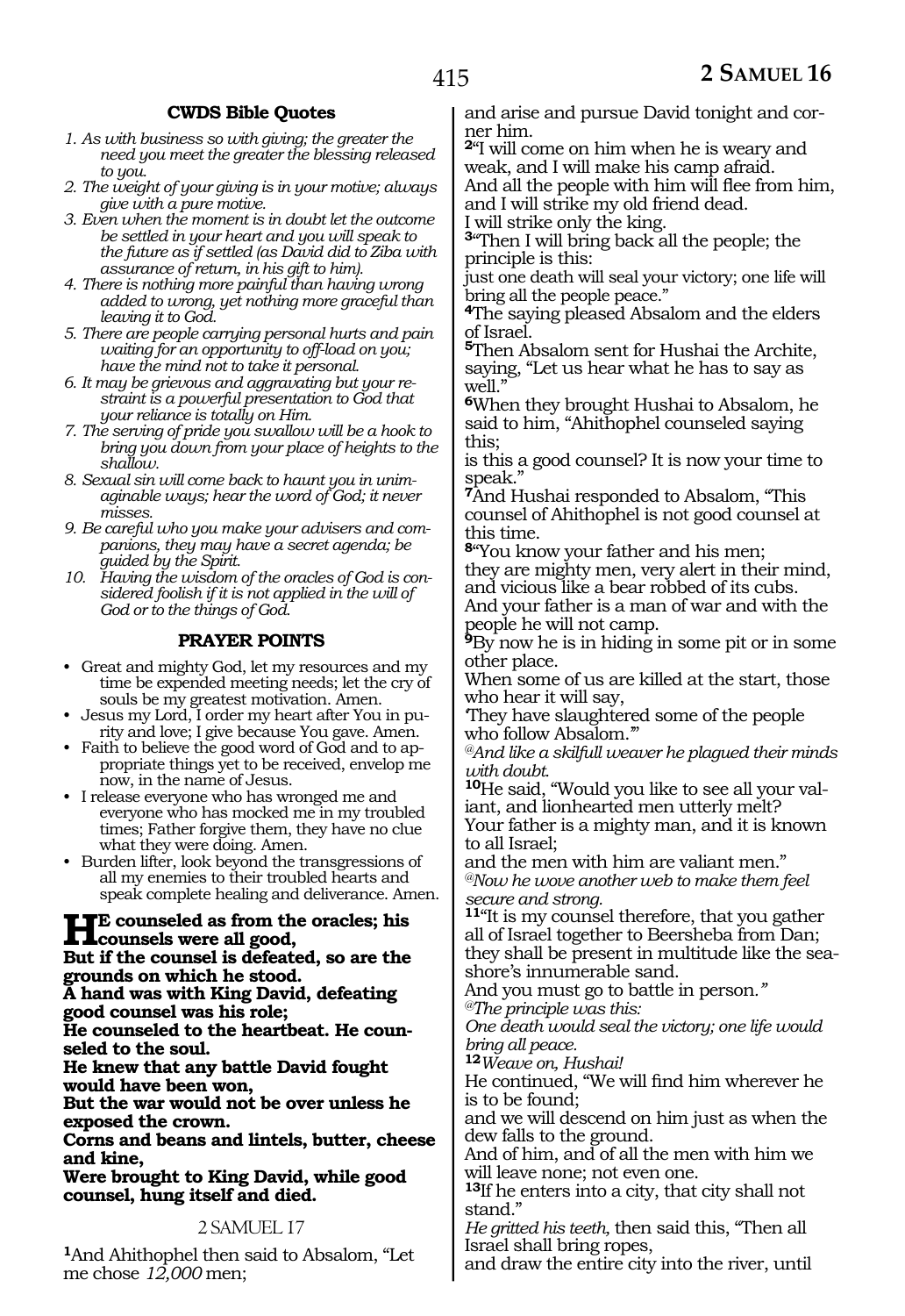# **CWDS Bible Quotes**

- *1. As with business so with giving; the greater the need you meet the greater the blessing released to you.*
- *2. The weight of your giving is in your motive; always give with a pure motive.*
- *3. Even when the moment is in doubt let the outcome be settled in your heart and you will speak to the future as if settled (as David did to Ziba with assurance of return, in his gift to him).*
- *4. There is nothing more painful than having wrong added to wrong, yet nothing more graceful than leaving it to God.*
- *5. There are people carrying personal hurts and pain waiting for an opportunity to off-load on you; have the mind not to take it personal.*
- *6. It may be grievous and aggravating but your restraint is a powerful presentation to God that your reliance is totally on Him.*
- *7. The serving of pride you swallow will be a hook to bring you down from your place of heights to the shallow.*
- *8. Sexual sin will come back to haunt you in unimaginable ways; hear the word of God; it never misses.*
- *9. Be careful who you make your advisers and companions, they may have a secret agenda; be guided by the Spirit.*
- *10. Having the wisdom of the oracles of God is considered foolish if it is not applied in the will of God or to the things of God.*

# **PRAYER POINTS**

- Great and mighty God, let my resources and my time be expended meeting needs; let the cry of souls be my greatest motivation. Amen.
- Jesus my Lord, I order my heart after You in purity and love; I give because You gave. Amen.
- Faith to believe the good word of God and to appropriate things yet to be received, envelop me now, in the name of Jesus.
- I release everyone who has wronged me and everyone who has mocked me in my troubled times; Father forgive them, they have no clue what they were doing. Amen.
- Burden lifter, look beyond the transgressions of all my enemies to their troubled hearts and speak complete healing and deliverance. Amen.

**HE counseled as from the oracles; his counsels were all good, But if the counsel is defeated, so are the grounds on which he stood. A hand was with King David, defeating good counsel was his role; He counseled to the heartbeat. He counseled to the soul. He knew that any battle David fought would have been won, But the war would not be over unless he exposed the crown. Corns and beans and lintels, butter, cheese and kine, Were brought to King David, while good** 

**counsel, hung itself and died.** 

# 2 SAMUEL 17

**<sup>1</sup>**And Ahithophel then said to Absalom, "Let me chose *12,000* men;

and arise and pursue David tonight and corner him.

**<sup>2</sup>**"I will come on him when he is weary and weak, and I will make his camp afraid. And all the people with him will flee from him, and I will strike my old friend dead.

I will strike only the king.

**<sup>3</sup>**"Then I will bring back all the people; the principle is this:

just one death will seal your victory; one life will bring all the people peace."

**<sup>4</sup>**The saying pleased Absalom and the elders of Israel.

**<sup>5</sup>**Then Absalom sent for Hushai the Archite, saying, "Let us hear what he has to say as well.'

**<sup>6</sup>**When they brought Hushai to Absalom, he said to him, "Ahithophel counseled saying this;

is this a good counsel? It is now your time to speak."

**<sup>7</sup>**And Hushai responded to Absalom, "This counsel of Ahithophel is not good counsel at this time.

**<sup>8</sup>**"You know your father and his men;

they are mighty men, very alert in their mind, and vicious like a bear robbed of its cubs. And your father is a man of war and with the

people he will not camp. **<sup>9</sup>**By now he is in hiding in some pit or in some other place.

When some of us are killed at the start, those who hear it will say,

'They have slaughtered some of the people who follow Absalom."

*@And like a skilfull weaver he plagued their minds with doubt.* 

**10**He said, "Would you like to see all your valiant, and lionhearted men utterly melt? Your father is a mighty man, and it is known to all Israel;

and the men with him are valiant men." *@Now he wove another web to make them feel secure and strong.* 

**<sup>11</sup>**"It is my counsel therefore, that you gather all of Israel together to Beersheba from Dan; they shall be present in multitude like the seashore's innumerable sand.

And you must go to battle in person*."* 

*@The principle was this:*

*One death would seal the victory; one life would bring all peace.*

**<sup>12</sup>***Weave on, Hushai!*

He continued, "We will find him wherever he is to be found;

and we will descend on him just as when the dew falls to the ground.

And of him, and of all the men with him we will leave none; not even one.

**<sup>13</sup>**If he enters into a city, that city shall not stand."

*He gritted his teeth,* then said this, "Then all Israel shall bring ropes,

and draw the entire city into the river, until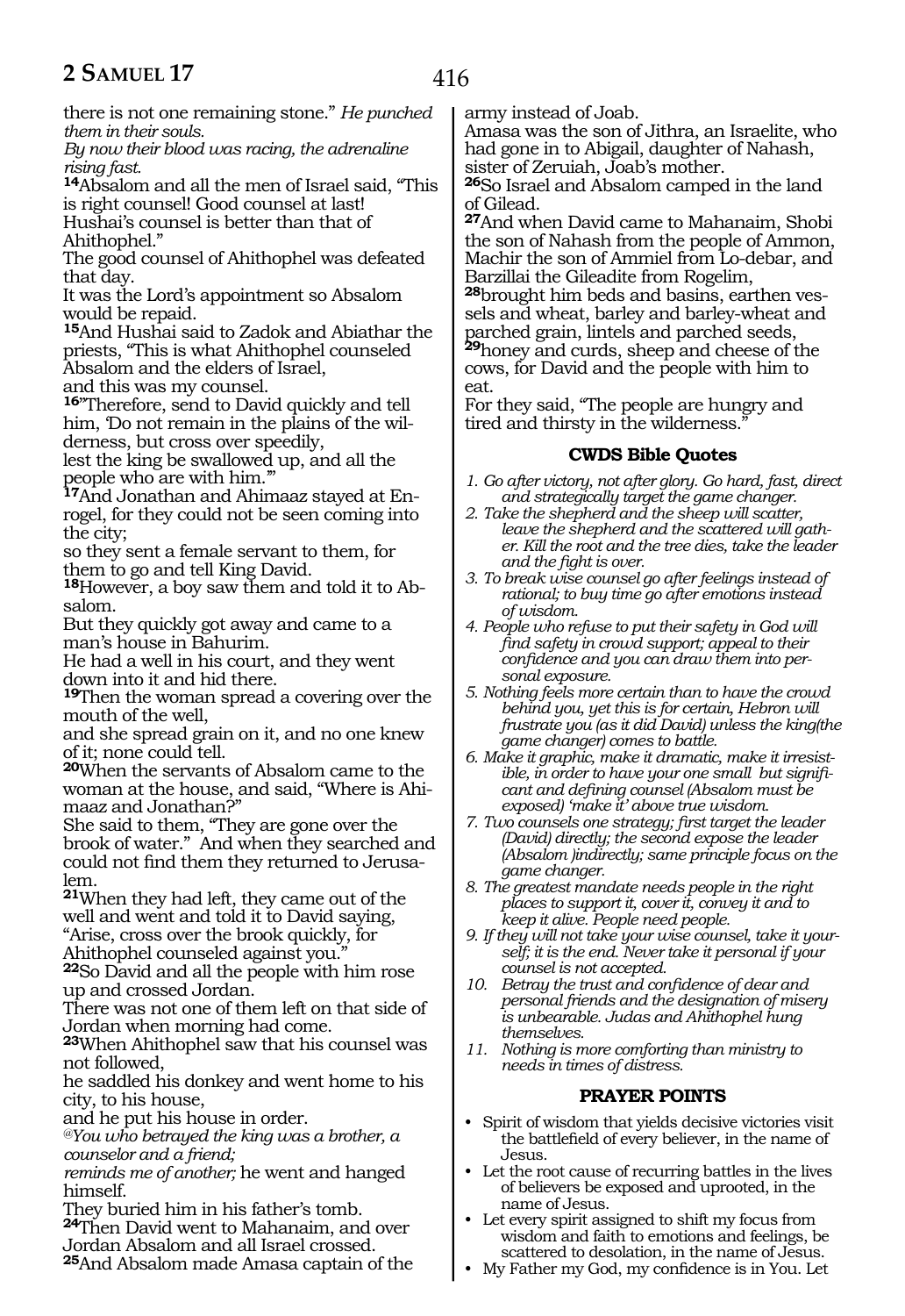there is not one remaining stone." *He punched them in their souls.* 

*By now their blood was racing, the adrenaline rising fast.* 

**<sup>14</sup>**Absalom and all the men of Israel said, "This is right counsel! Good counsel at last!

Hushai's counsel is better than that of Ahithophel."

The good counsel of Ahithophel was defeated that day.

It was the Lord's appointment so Absalom would be repaid.

**<sup>15</sup>**And Hushai said to Zadok and Abiathar the priests, "This is what Ahithophel counseled Absalom and the elders of Israel,

and this was my counsel.

**<sup>16</sup>**"Therefore, send to David quickly and tell him, 'Do not remain in the plains of the wilderness, but cross over speedily,

lest the king be swallowed up, and all the people who are with him.'"

**17**And Jonathan and Ahimaaz stayed at Enrogel, for they could not be seen coming into the city;

so they sent a female servant to them, for them to go and tell King David.

**18**However, a boy saw them and told it to Absalom.

But they quickly got away and came to a man's house in Bahurim.

He had a well in his court, and they went down into it and hid there.

**<sup>19</sup>**Then the woman spread a covering over the mouth of the well,

and she spread grain on it, and no one knew of it; none could tell.

**<sup>20</sup>**When the servants of Absalom came to the woman at the house, and said, "Where is Ahimaaz and Jonathan?"

She said to them, "They are gone over the brook of water." And when they searched and could not find them they returned to Jerusalem.

**<sup>21</sup>**When they had left, they came out of the well and went and told it to David saying, "Arise, cross over the brook quickly, for Ahithophel counseled against you."

**<sup>22</sup>**So David and all the people with him rose up and crossed Jordan.

There was not one of them left on that side of Jordan when morning had come.

**<sup>23</sup>**When Ahithophel saw that his counsel was not followed,

he saddled his donkey and went home to his city, to his house,

and he put his house in order.

*@You who betrayed the king was a brother, a counselor and a friend;* 

*reminds me of another;* he went and hanged himself.

They buried him in his father's tomb. **<sup>24</sup>**Then David went to Mahanaim, and over

Jordan Absalom and all Israel crossed.

**<sup>25</sup>**And Absalom made Amasa captain of the

army instead of Joab.

Amasa was the son of Jithra, an Israelite, who had gone in to Abigail, daughter of Nahash, sister of Zeruiah, Joab's mother.

**<sup>26</sup>**So Israel and Absalom camped in the land of Gilead.

**<sup>27</sup>**And when David came to Mahanaim, Shobi the son of Nahash from the people of Ammon, Machir the son of Ammiel from Lo-debar, and Barzillai the Gileadite from Rogelim,

**28**brought him beds and basins, earthen vessels and wheat, barley and barley-wheat and parched grain, lintels and parched seeds, **<sup>29</sup>**honey and curds, sheep and cheese of the cows, for David and the people with him to eat.

For they said, "The people are hungry and tired and thirsty in the wilderness."

# **CWDS Bible Quotes**

- *1. Go after victory, not after glory. Go hard, fast, direct and strategically target the game changer.*
- *2. Take the shepherd and the sheep will scatter, leave the shepherd and the scattered will gather. Kill the root and the tree dies, take the leader and the fight is over.*
- *3. To break wise counsel go after feelings instead of rational; to buy time go after emotions instead of wisdom.*
- *4. People who refuse to put their safety in God will find safety in crowd support; appeal to their confidence and you can draw them into personal exposure.*
- *5. Nothing feels more certain than to have the crowd behind you, yet this is for certain, Hebron will frustrate you (as it did David) unless the king(the game changer) comes to battle.*
- *6. Make it graphic, make it dramatic, make it irresistible, in order to have your one small but significant and defining counsel (Absalom must be exposed) 'make it' above true wisdom.*
- *7. Two counsels one strategy; first target the leader (David) directly; the second expose the leader (Absalom )indirectly; same principle focus on the game changer.*
- *8. The greatest mandate needs people in the right places to support it, cover it, convey it and to keep it alive. People need people.*
- *9. If they will not take your wise counsel, take it yourself; it is the end. Never take it personal if your counsel is not accepted.*
- *10. Betray the trust and confidence of dear and personal friends and the designation of misery is unbearable. Judas and Ahithophel hung themselves.*
- *11. Nothing is more comforting than ministry to needs in times of distress.*

# **PRAYER POINTS**

- Spirit of wisdom that yields decisive victories visit the battlefield of every believer, in the name of Jesus.
- Let the root cause of recurring battles in the lives of believers be exposed and uprooted, in the name of Jesus.
- Let every spirit assigned to shift my focus from wisdom and faith to emotions and feelings, be scattered to desolation, in the name of Jesus.
- My Father my God, my confidence is in You. Let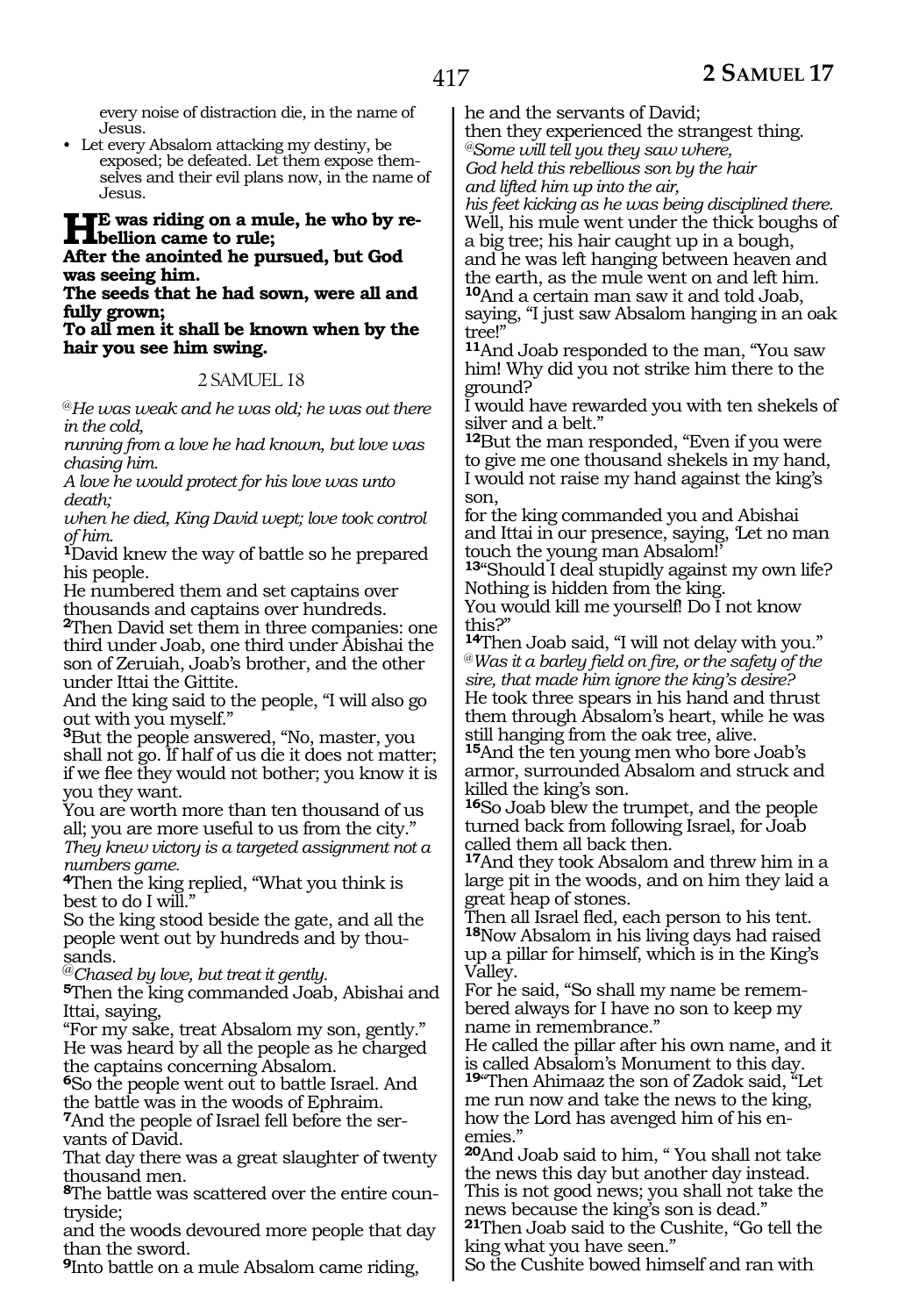every noise of distraction die, in the name of Jesus.

• Let every Absalom attacking my destiny, be exposed; be defeated. Let them expose themselves and their evil plans now, in the name of Jesus.

# **HE** was riding on a mule, he who by re-<br> **bellion came to rule;**<br>
After the enginted be nurmed, but God

# **After the anointed he pursued, but God was seeing him.**

**The seeds that he had sown, were all and fully grown;**

**To all men it shall be known when by the hair you see him swing.**

# 2 SAMUEL 18

@*He was weak and he was old; he was out there in the cold,* 

*running from a love he had known, but love was chasing him.* 

*A love he would protect for his love was unto death;* 

*when he died, King David wept; love took control of him.* 

**<sup>1</sup>**David knew the way of battle so he prepared his people.

He numbered them and set captains over thousands and captains over hundreds.

**<sup>2</sup>**Then David set them in three companies: one third under Joab, one third under Abishai the son of Zeruiah, Joab's brother, and the other under Ittai the Gittite.

And the king said to the people, "I will also go out with you myself."

**<sup>3</sup>**But the people answered, "No, master, you shall not go. If half of us die it does not matter; if we flee they would not bother; you know it is you they want.

You are worth more than ten thousand of us all; you are more useful to us from the city." *They knew victory is a targeted assignment not a numbers game.*

**<sup>4</sup>**Then the king replied, "What you think is best to do I will."

So the king stood beside the gate, and all the people went out by hundreds and by thousands.

@*Chased by love, but treat it gently.*

**<sup>5</sup>**Then the king commanded Joab, Abishai and Ittai, saying,

"For my sake, treat Absalom my son, gently." He was heard by all the people as he charged the captains concerning Absalom.

**<sup>6</sup>**So the people went out to battle Israel. And the battle was in the woods of Ephraim.

**7**And the people of Israel fell before the servants of David.

That day there was a great slaughter of twenty thousand men.

**8**The battle was scattered over the entire countryside;

and the woods devoured more people that day than the sword.

**<sup>9</sup>**Into battle on a mule Absalom came riding,

he and the servants of David;

then they experienced the strangest thing. *@Some will tell you they saw where,* 

*God held this rebellious son by the hair* 

*and lifted him up into the air,* 

*his feet kicking as he was being disciplined there.*  Well, his mule went under the thick boughs of a big tree; his hair caught up in a bough, and he was left hanging between heaven and the earth, as the mule went on and left him. **<sup>10</sup>**And a certain man saw it and told Joab, saying, "I just saw Absalom hanging in an oak tree!"

**<sup>11</sup>**And Joab responded to the man, "You saw him! Why did you not strike him there to the ground?

I would have rewarded you with ten shekels of silver and a belt."

**<sup>12</sup>**But the man responded, "Even if you were to give me one thousand shekels in my hand, I would not raise my hand against the king's son,

for the king commanded you and Abishai and Ittai in our presence, saying, 'Let no man touch the young man Absalom!'

**<sup>13</sup>**"Should I deal stupidly against my own life? Nothing is hidden from the king.

You would kill me yourself! Do I not know this?"

**<sup>14</sup>**Then Joab said, "I will not delay with you." @*Was it a barley field on fire, or the safety of the sire, that made him ignore the king's desire?* He took three spears in his hand and thrust them through Absalom's heart, while he was still hanging from the oak tree, alive.

**<sup>15</sup>**And the ten young men who bore Joab's armor, surrounded Absalom and struck and killed the king's son.

**<sup>16</sup>**So Joab blew the trumpet, and the people turned back from following Israel, for Joab called them all back then.

**<sup>17</sup>**And they took Absalom and threw him in a large pit in the woods, and on him they laid a great heap of stones.

Then all Israel fled, each person to his tent. **<sup>18</sup>**Now Absalom in his living days had raised up a pillar for himself, which is in the King's Valley.

For he said, "So shall my name be remembered always for I have no son to keep my name in remembrance."

He called the pillar after his own name, and it is called Absalom's Monument to this day.

**<sup>19</sup>**"Then Ahimaaz the son of Zadok said, "Let me run now and take the news to the king, how the Lord has avenged him of his enemies."

**<sup>20</sup>**And Joab said to him, " You shall not take the news this day but another day instead. This is not good news; you shall not take the news because the king's son is dead."

**<sup>21</sup>**Then Joab said to the Cushite, "Go tell the king what you have seen."

So the Cushite bowed himself and ran with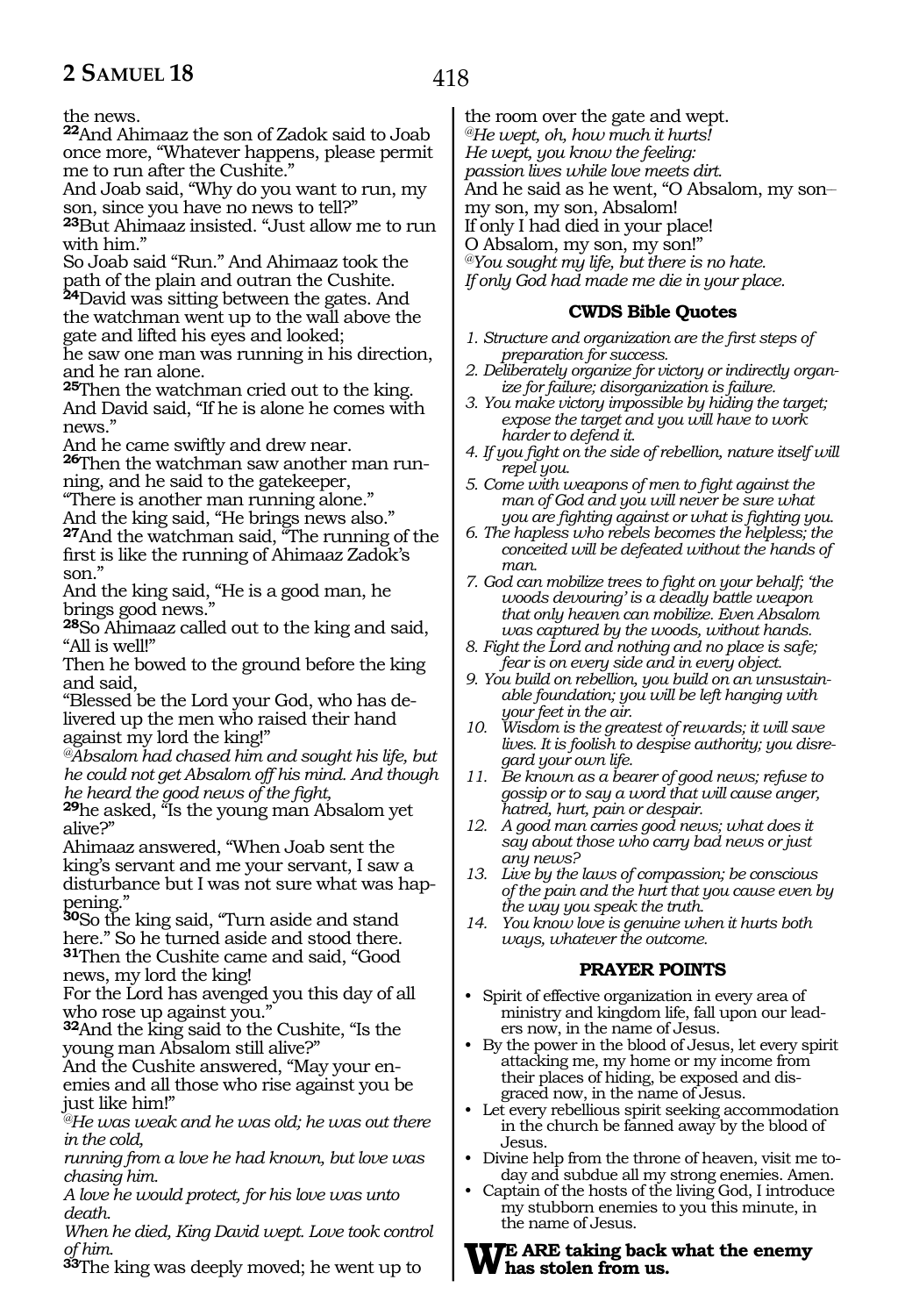the news.

**<sup>22</sup>**And Ahimaaz the son of Zadok said to Joab once more, "Whatever happens, please permit me to run after the Cushite."

And Joab said, "Why do you want to run, my son, since you have no news to tell?"

**<sup>23</sup>**But Ahimaaz insisted. "Just allow me to run with him."

So Joab said "Run." And Ahimaaz took the path of the plain and outran the Cushite. **<sup>24</sup>**David was sitting between the gates. And

the watchman went up to the wall above the gate and lifted his eyes and looked;

he saw one man was running in his direction, and he ran alone.

**<sup>25</sup>**Then the watchman cried out to the king. And David said, "If he is alone he comes with news."

And he came swiftly and drew near.

**26**Then the watchman saw another man running, and he said to the gatekeeper,

"There is another man running alone."

And the king said, "He brings news also." **<sup>27</sup>**And the watchman said, "The running of the

first is like the running of Ahimaaz Zadok's son."

And the king said, "He is a good man, he brings good news."

**<sup>28</sup>**So Ahimaaz called out to the king and said, "All is well!"

Then he bowed to the ground before the king and said,

"Blessed be the Lord your God, who has delivered up the men who raised their hand against my lord the king!"

*@Absalom had chased him and sought his life, but he could not get Absalom off his mind. And though he heard the good news of the fight,* 

**<sup>29</sup>**he asked, "Is the young man Absalom yet alive?"

Ahimaaz answered, "When Joab sent the king's servant and me your servant, I saw a disturbance but I was not sure what was happening."

**<sup>30</sup>**So the king said, "Turn aside and stand here." So he turned aside and stood there. **<sup>31</sup>**Then the Cushite came and said, "Good news, my lord the king!

For the Lord has avenged you this day of all who rose up against you."

**<sup>32</sup>**And the king said to the Cushite, "Is the young man Absalom still alive?"

And the Cushite answered, "May your enemies and all those who rise against you be just like him!"

*@He was weak and he was old; he was out there in the cold,*

*running from a love he had known, but love was chasing him.* 

*A love he would protect, for his love was unto death.*

*When he died, King David wept. Love took control of him.*

**<sup>33</sup>**The king was deeply moved; he went up to

the room over the gate and wept.

*@He wept, oh, how much it hurts!*

*He wept, you know the feeling:*

*passion lives while love meets dirt.*

And he said as he went, "O Absalom, my son-

my son, my son, Absalom!

If only I had died in your place!

O Absalom, my son, my son!"

*@You sought my life, but there is no hate.*

*If only God had made me die in your place.* 

#### **CWDS Bible Quotes**

- *1. Structure and organization are the first steps of preparation for success.*
- *2. Deliberately organize for victory or indirectly organize for failure; disorganization is failure.*
- *3. You make victory impossible by hiding the target; expose the target and you will have to work harder to defend it.*
- *4. If you fight on the side of rebellion, nature itself will repel you.*
- *5. Come with weapons of men to fight against the man of God and you will never be sure what you are fighting against or what is fighting you.*
- *6. The hapless who rebels becomes the helpless; the conceited will be defeated without the hands of man.*

*7. God can mobilize trees to fight on your behalf; 'the woods devouring' is a deadly battle weapon that only heaven can mobilize. Even Absalom was captured by the woods, without hands.*

- *8. Fight the Lord and nothing and no place is safe; fear is on every side and in every object.*
- *9. You build on rebellion, you build on an unsustainable foundation; you will be left hanging with your feet in the air.*
- *10. Wisdom is the greatest of rewards; it will save lives. It is foolish to despise authority; you disregard your own life.*
- *11. Be known as a bearer of good news; refuse to gossip or to say a word that will cause anger, hatred, hurt, pain or despair.*
- *12. A good man carries good news; what does it say about those who carry bad news or just any news?*
- *13. Live by the laws of compassion; be conscious of the pain and the hurt that you cause even by the way you speak the truth.*
- *14. You know love is genuine when it hurts both ways, whatever the outcome.*

# **PRAYER POINTS**

- Spirit of effective organization in every area of ministry and kingdom life, fall upon our leaders now, in the name of Jesus.
- By the power in the blood of Jesus, let every spirit attacking me, my home or my income from their places of hiding, be exposed and disgraced now, in the name of Jesus.
- Let every rebellious spirit seeking accommodation in the church be fanned away by the blood of Jesus.
- Divine help from the throne of heaven, visit me today and subdue all my strong enemies. Amen.
- Captain of the hosts of the living God, I introduce my stubborn enemies to you this minute, in the name of Jesus.

**We Are taking back what the enemy has stolen from us.**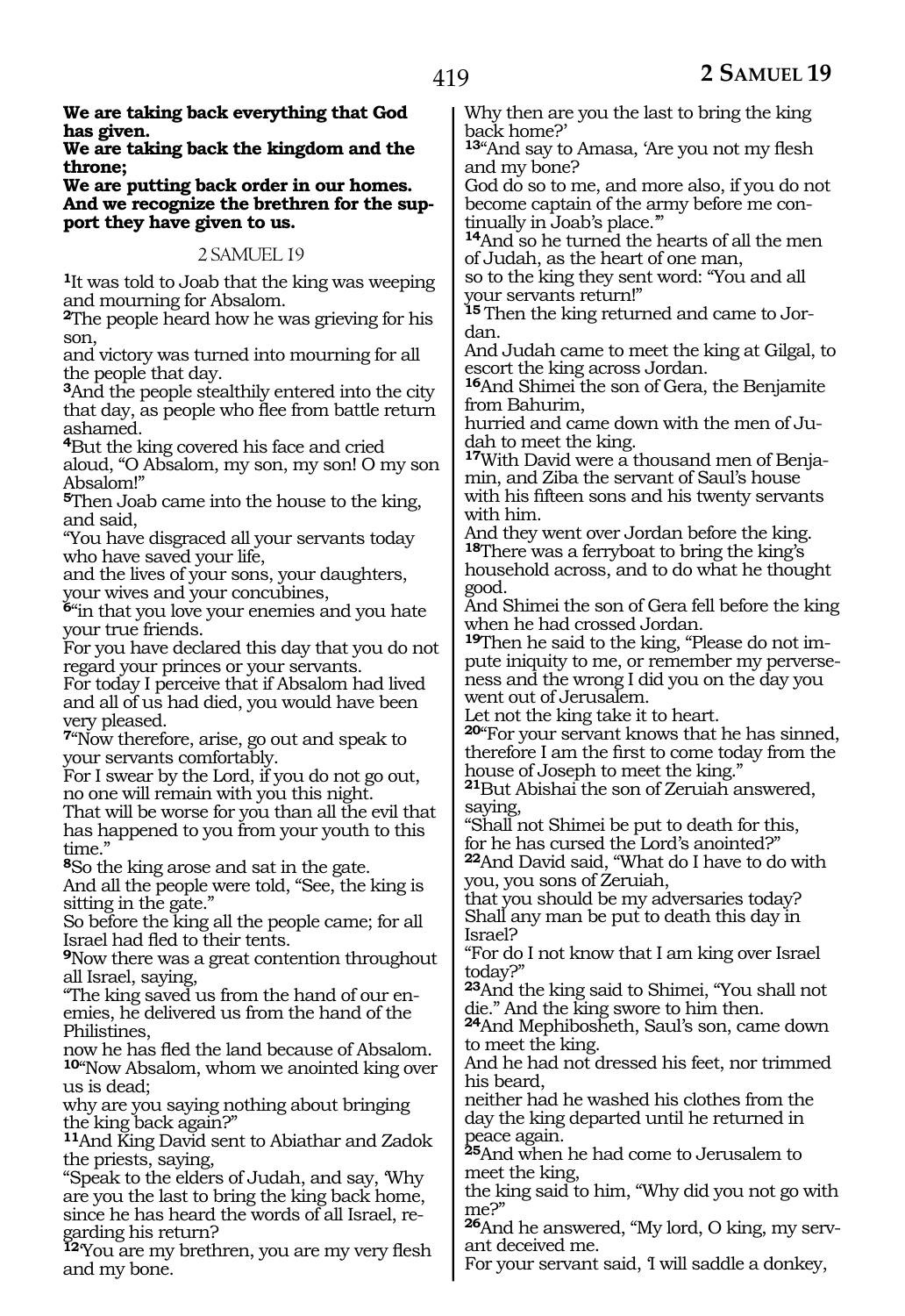**We are taking back everything that God has given.**

**We are taking back the kingdom and the throne;**

**We are putting back order in our homes. And we recognize the brethren for the sup port they have given to us.**

#### 2 SAMUEL 19

**<sup>1</sup>**It was told to Joab that the king was weeping and mourning for Absalom.

**<sup>2</sup>**The people heard how he was grieving for his son,

and victory was turned into mourning for all the people that day.

**<sup>3</sup>**And the people stealthily entered into the city that day, as people who flee from battle return ashamed.

**<sup>4</sup>**But the king covered his face and cried aloud, "O Absalom, my son, my son! O my son Absalom!"

**<sup>5</sup>**Then Joab came into the house to the king, and said,

"You have disgraced all your servants today who have saved your life,

and the lives of your sons, your daughters, your wives and your concubines,

**<sup>6</sup>**"in that you love your enemies and you hate your true friends.

For you have declared this day that you do not regard your princes or your servants.

For today I perceive that if Absalom had lived and all of us had died, you would have been very pleased.

**<sup>7</sup>**"Now therefore, arise, go out and speak to your servants comfortably.

For I swear by the Lord, if you do not go out, no one will remain with you this night.

That will be worse for you than all the evil that has happened to you from your youth to this time."

**<sup>8</sup>**So the king arose and sat in the gate.

And all the people were told, "See, the king is sitting in the gate."

So before the king all the people came; for all Israel had fled to their tents.

**<sup>9</sup>**Now there was a great contention throughout all Israel, saying,

"The king saved us from the hand of our enemies, he delivered us from the hand of the Philistines,

now he has fled the land because of Absalom. **<sup>10</sup>**"Now Absalom, whom we anointed king over us is dead;

why are you saying nothing about bringing the king back again?"

**<sup>11</sup>**And King David sent to Abiathar and Zadok the priests, saying,

"Speak to the elders of Judah, and say, 'Why are you the last to bring the king back home, since he has heard the words of all Israel, regarding his return?

**<sup>12</sup>**'You are my brethren, you are my very flesh and my bone.

Why then are you the last to bring the king back home?'

**<sup>13</sup>**"And say to Amasa, 'Are you not my flesh and my bone?

God do so to me, and more also, if you do not become captain of the army before me continually in Joab's place."

**<sup>14</sup>**And so he turned the hearts of all the men of Judah, as the heart of one man,

so to the king they sent word: "You and all your servants return!"

**15** Then the king returned and came to Jordan.

And Judah came to meet the king at Gilgal, to escort the king across Jordan.

**<sup>16</sup>**And Shimei the son of Gera, the Benjamite from Bahurim,

hurried and came down with the men of Judah to meet the king.

**17**With David were a thousand men of Benjamin, and Ziba the servant of Saul's house with his fifteen sons and his twenty servants with him.

And they went over Jordan before the king. **<sup>18</sup>**There was a ferryboat to bring the king's household across, and to do what he thought good.

And Shimei the son of Gera fell before the king when he had crossed Jordan.

**19**Then he said to the king, "Please do not impute iniquity to me, or remember my perverseness and the wrong I did you on the day you went out of Jerusalem.

Let not the king take it to heart.

**<sup>20</sup>**"For your servant knows that he has sinned, therefore I am the first to come today from the house of Joseph to meet the king."

**<sup>21</sup>**But Abishai the son of Zeruiah answered, saying,

"Shall not Shimei be put to death for this, for he has cursed the Lord's anointed?"

**<sup>22</sup>**And David said, "What do I have to do with you, you sons of Zeruiah,

that you should be my adversaries today? Shall any man be put to death this day in Israel?

"For do I not know that I am king over Israel today?"

**<sup>23</sup>**And the king said to Shimei, "You shall not die." And the king swore to him then.

**<sup>24</sup>**And Mephibosheth, Saul's son, came down to meet the king.

And he had not dressed his feet, nor trimmed his beard,

neither had he washed his clothes from the day the king departed until he returned in peace again.

**<sup>25</sup>**And when he had come to Jerusalem to meet the king,

the king said to him, "Why did you not go with me?"

**<sup>26</sup>**And he answered, "My lord, O king, my serv- ant deceived me.

For your servant said, I will saddle a donkey,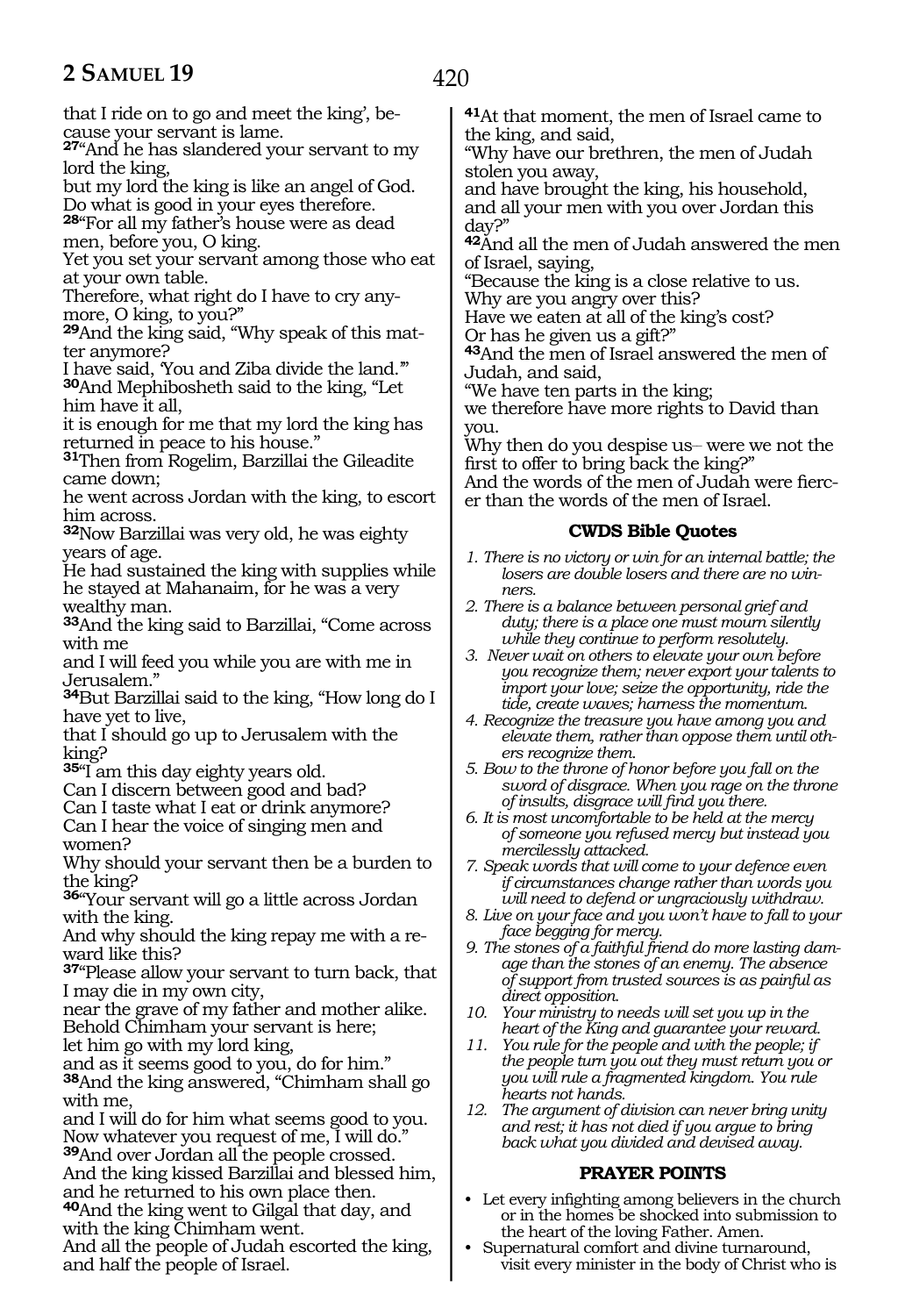that I ride on to go and meet the king', because your servant is lame.

**<sup>27</sup>**"And he has slandered your servant to my lord the king,

but my lord the king is like an angel of God. Do what is good in your eyes therefore.

**<sup>28</sup>**"For all my father's house were as dead men, before you, O king.

Yet you set your servant among those who eat at your own table.

Therefore, what right do I have to cry anymore, O king, to you?"

**29**And the king said, "Why speak of this matter anymore?

I have said, 'You and Ziba divide the land.'" **<sup>30</sup>**And Mephibosheth said to the king, "Let him have it all,

it is enough for me that my lord the king has returned in peace to his house."

**<sup>31</sup>**Then from Rogelim, Barzillai the Gileadite came down;

he went across Jordan with the king, to escort him across.

**<sup>32</sup>**Now Barzillai was very old, he was eighty years of age.

He had sustained the king with supplies while he stayed at Mahanaim, for he was a very wealthy man.

**<sup>33</sup>**And the king said to Barzillai, "Come across with me

and I will feed you while you are with me in Jerusalem."

**<sup>34</sup>**But Barzillai said to the king, "How long do I have yet to live,

that I should go up to Jerusalem with the king?

**<sup>35</sup>**"I am this day eighty years old.

Can I discern between good and bad?

Can I taste what I eat or drink anymore?

Can I hear the voice of singing men and women?

Why should your servant then be a burden to the king?

**<sup>36</sup>**"Your servant will go a little across Jordan with the king.

And why should the king repay me with a reward like this?

**<sup>37</sup>**"Please allow your servant to turn back, that I may die in my own city,

near the grave of my father and mother alike. Behold Chimham your servant is here;

let him go with my lord king,

and as it seems good to you, do for him." **<sup>38</sup>**And the king answered, "Chimham shall go with me,

and I will do for him what seems good to you. Now whatever you request of me, I will do." **<sup>39</sup>**And over Jordan all the people crossed. And the king kissed Barzillai and blessed him, and he returned to his own place then. **<sup>40</sup>**And the king went to Gilgal that day, and

with the king Chimham went.

And all the people of Judah escorted the king, and half the people of Israel.

**<sup>41</sup>**At that moment, the men of Israel came to the king, and said,

"Why have our brethren, the men of Judah stolen you away,

and have brought the king, his household, and all your men with you over Jordan this day?"

**<sup>42</sup>**And all the men of Judah answered the men of Israel, saying,

"Because the king is a close relative to us. Why are you angry over this?

Have we eaten at all of the king's cost?

Or has he given us a gift?"

**<sup>43</sup>**And the men of Israel answered the men of Judah, and said,

"We have ten parts in the king;

we therefore have more rights to David than you.

Why then do you despise us— were we not the first to offer to bring back the king?"

And the words of the men of Judah were fiercer than the words of the men of Israel.

# **CWDS Bible Quotes**

- *1. There is no victory or win for an internal battle; the losers are double losers and there are no winners.*
- *2. There is a balance between personal grief and duty; there is a place one must mourn silently while they continue to perform resolutely.*
- *3. Never wait on others to elevate your own before you recognize them; never export your talents to import your love; seize the opportunity, ride the tide, create waves; harness the momentum.*
- *4. Recognize the treasure you have among you and elevate them, rather than oppose them until others recognize them.*
- *5. Bow to the throne of honor before you fall on the sword of disgrace. When you rage on the throne of insults, disgrace will find you there.*
- *6. It is most uncomfortable to be held at the mercy of someone you refused mercy but instead you mercilessly attacked.*
- *7. Speak words that will come to your defence even if circumstances change rather than words you will need to defend or ungraciously withdraw.*
- *8. Live on your face and you won't have to fall to your face begging for mercy.*
- *9. The stones of a faithful friend do more lasting damage than the stones of an enemy. The absence of support from trusted sources is as painful as direct opposition.*
- *10. Your ministry to needs will set you up in the heart of the King and guarantee your reward.*
- *11. You rule for the people and with the people; if the people turn you out they must return you or you will rule a fragmented kingdom. You rule hearts not hands.*
- *12. The argument of division can never bring unity and rest; it has not died if you argue to bring back what you divided and devised away.*

# **PRAYER POINTS**

- Let every infighting among believers in the church or in the homes be shocked into submission to the heart of the loving Father. Amen.
- Supernatural comfort and divine turnaround, visit every minister in the body of Christ who is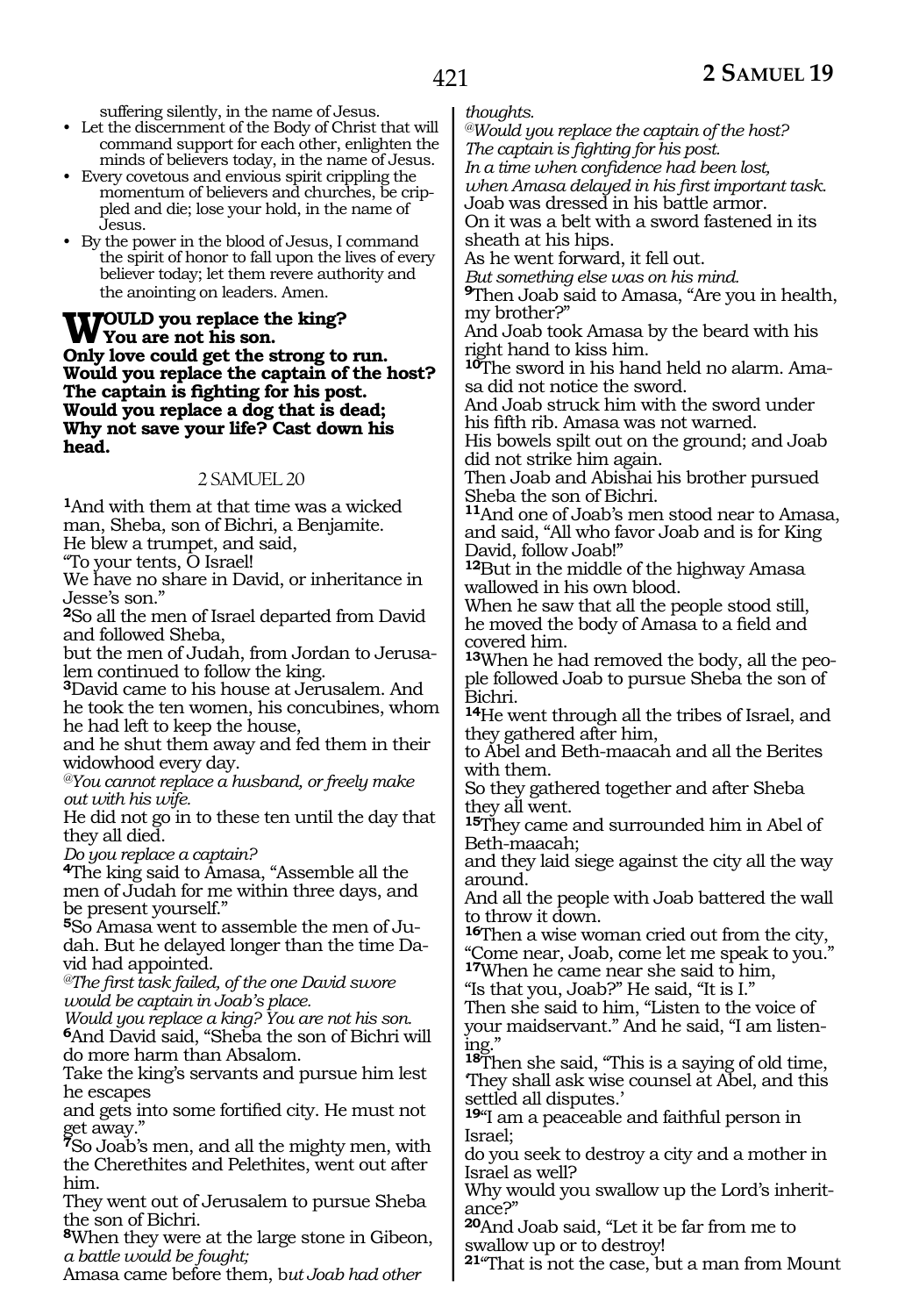421

suffering silently, in the name of Jesus.

- Let the discernment of the Body of Christ that will command support for each other, enlighten the minds of believers today, in the name of Jesus.
- Every covetous and envious spirit crippling the momentum of believers and churches, be crippled and die; lose your hold, in the name of Jesus.
- By the power in the blood of Jesus, I command the spirit of honor to fall upon the lives of every believer today; let them revere authority and the anointing on leaders. Amen.

**Would you replace the king? You are not his son. Only love could get the strong to run. Would you replace the captain of the host? The captain is fighting for his post. Would you replace a dog that is dead; Why not save your life? Cast down his head.**

#### 2 SAMUEL 20

**<sup>1</sup>**And with them at that time was a wicked man, Sheba, son of Bichri, a Benjamite. He blew a trumpet, and said,

"To your tents, O Israel!

We have no share in David, or inheritance in Jesse's son."

**<sup>2</sup>**So all the men of Israel departed from David and followed Sheba,

but the men of Judah, from Jordan to Jerusalem continued to follow the king.

**<sup>3</sup>**David came to his house at Jerusalem. And he took the ten women, his concubines, whom he had left to keep the house,

and he shut them away and fed them in their widowhood every day.

*@You cannot replace a husband, or freely make out with his wife.*

He did not go in to these ten until the day that they all died.

*Do you replace a captain?* 

**<sup>4</sup>**The king said to Amasa, "Assemble all the men of Judah for me within three days, and be present yourself."

**<sup>5</sup>**So Amasa went to assemble the men of Ju- dah. But he delayed longer than the time Da- vid had appointed.

*@The first task failed, of the one David swore would be captain in Joab's place.*

*Would you replace a king? You are not his son.* **<sup>6</sup>**And David said, "Sheba the son of Bichri will do more harm than Absalom.

Take the king's servants and pursue him lest he escapes

and gets into some fortified city. He must not get away."

**<sup>7</sup>**So Joab's men, and all the mighty men, with the Cherethites and Pelethites, went out after him.

They went out of Jerusalem to pursue Sheba the son of Bichri.

**<sup>8</sup>**When they were at the large stone in Gibeon, *a battle would be fought;*

Amasa came before them, b*ut Joab had other* 

*thoughts.*

*@Would you replace the captain of the host? The captain is fighting for his post.*

*In a time when confidence had been lost, when Amasa delayed in his first important task.* Joab was dressed in his battle armor.

On it was a belt with a sword fastened in its sheath at his hips.

As he went forward, it fell out.

*But something else was on his mind.*

**<sup>9</sup>**Then Joab said to Amasa, "Are you in health, my brother?"

And Joab took Amasa by the beard with his right hand to kiss him.

**10**The sword in his hand held no alarm. Amasa did not notice the sword.

And Joab struck him with the sword under his fifth rib. Amasa was not warned.

His bowels spilt out on the ground; and Joab did not strike him again.

Then Joab and Abishai his brother pursued Sheba the son of Bichri.

**<sup>11</sup>**And one of Joab's men stood near to Amasa, and said, "All who favor Joab and is for King David, follow Joab!"

**<sup>12</sup>**But in the middle of the highway Amasa wallowed in his own blood.

When he saw that all the people stood still, he moved the body of Amasa to a field and covered him.

**13**When he had removed the body, all the people followed Joab to pursue Sheba the son of Bichri.

**<sup>14</sup>**He went through all the tribes of Israel, and they gathered after him,

to Abel and Beth-maacah and all the Berites with them.

So they gathered together and after Sheba they all went.

**<sup>15</sup>**They came and surrounded him in Abel of Beth-maacah;

and they laid siege against the city all the way around.

And all the people with Joab battered the wall to throw it down.

**<sup>16</sup>**Then a wise woman cried out from the city, "Come near, Joab, come let me speak to you."

**<sup>17</sup>**When he came near she said to him,

"Is that you, Joab?" He said, "It is I."

Then she said to him, "Listen to the voice of your maidservant." And he said, "I am listening."

**<sup>18</sup>**Then she said, "This is a saying of old time, 'They shall ask wise counsel at Abel, and this settled all disputes.'

**<sup>19</sup>**"I am a peaceable and faithful person in Israel;

do you seek to destroy a city and a mother in Israel as well?

Why would you swallow up the Lord's inheritance?"

**<sup>20</sup>**And Joab said, "Let it be far from me to swallow up or to destroy!

**<sup>21</sup>**"That is not the case, but a man from Mount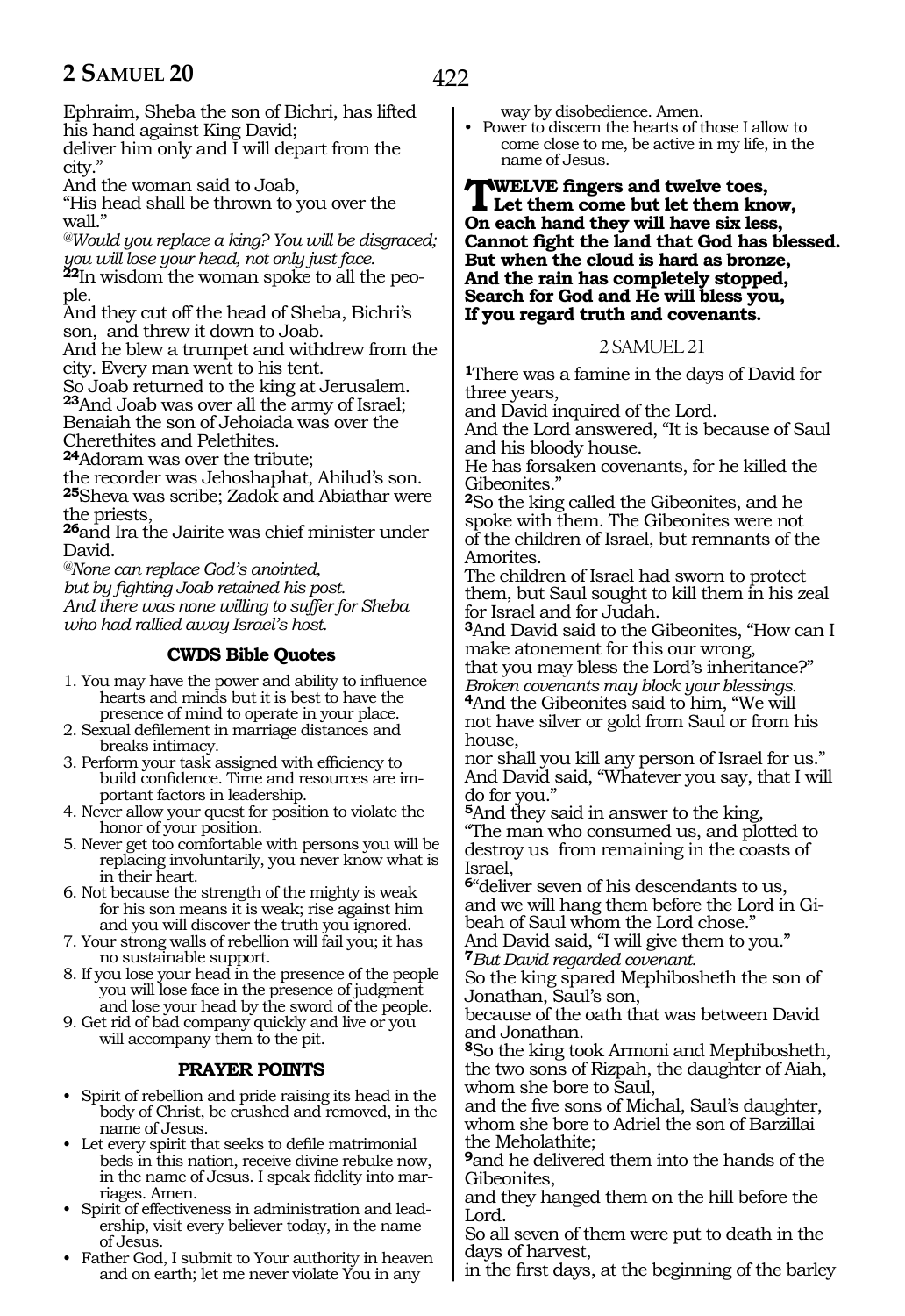422

Ephraim, Sheba the son of Bichri, has lifted his hand against King David;

deliver him only and I will depart from the city."

And the woman said to Joab,

"His head shall be thrown to you over the wall."

*@Would you replace a king? You will be disgraced; you will lose your head, not only just face.*

**<sup>22</sup>**In wisdom the woman spoke to all the peo- ple.

And they cut off the head of Sheba, Bichri's son, and threw it down to Joab.

And he blew a trumpet and withdrew from the city. Every man went to his tent.

So Joab returned to the king at Jerusalem. **<sup>23</sup>**And Joab was over all the army of Israel; Benaiah the son of Jehoiada was over the Cherethites and Pelethites.

**<sup>24</sup>**Adoram was over the tribute;

the recorder was Jehoshaphat, Ahilud's son. **<sup>25</sup>**Sheva was scribe; Zadok and Abiathar were the priests,

**<sup>26</sup>**and Ira the Jairite was chief minister under David.

*@None can replace God's anointed,*

*but by fighting Joab retained his post. And there was none willing to suffer for Sheba who had rallied away Israel's host.*

# **CWDS Bible Quotes**

1. You may have the power and ability to influence hearts and minds but it is best to have the presence of mind to operate in your place.

- 2. Sexual defilement in marriage distances and breaks intimacy.
- 3. Perform your task assigned with efficiency to build confidence. Time and resources are important factors in leadership.
- 4. Never allow your quest for position to violate the honor of your position.
- 5. Never get too comfortable with persons you will be replacing involuntarily, you never know what is in their heart.
- 6. Not because the strength of the mighty is weak for his son means it is weak; rise against him and you will discover the truth you ignored.
- 7. Your strong walls of rebellion will fail you; it has no sustainable support.
- 8. If you lose your head in the presence of the people you will lose face in the presence of judgment and lose your head by the sword of the people.

9. Get rid of bad company quickly and live or you will accompany them to the pit.

# **PRAYER POINTS**

- Spirit of rebellion and pride raising its head in the body of Christ, be crushed and removed, in the name of Jesus.
- Let every spirit that seeks to defile matrimonial beds in this nation, receive divine rebuke now, in the name of Jesus. I speak fidelity into marriages. Amen.
- Spirit of effectiveness in administration and leadership, visit every believer today, in the name of Jesus.
- Father God, I submit to Your authority in heaven and on earth; let me never violate You in any

way by disobedience. Amen.

• Power to discern the hearts of those I allow to come close to me, be active in my life, in the name of Jesus.

**TWELVE fingers and twelve toes, Let them come but let them know, On each hand they will have six less, Cannot fight the land that God has blessed. But when the cloud is hard as bronze, And the rain has completely stopped, Search for God and He will bless you, If you regard truth and covenants.**

#### 2 SAMUEL 21

**<sup>1</sup>**There was a famine in the days of David for three years,

and David inquired of the Lord.

And the Lord answered, "It is because of Saul and his bloody house.

He has forsaken covenants, for he killed the Gibeonites."

**<sup>2</sup>**So the king called the Gibeonites, and he spoke with them. The Gibeonites were not of the children of Israel, but remnants of the Amorites.

The children of Israel had sworn to protect them, but Saul sought to kill them in his zeal for Israel and for Judah.

**<sup>3</sup>**And David said to the Gibeonites, "How can I make atonement for this our wrong,

that you may bless the Lord's inheritance?" *Broken covenants may block your blessings.*

**<sup>4</sup>**And the Gibeonites said to him, "We will not have silver or gold from Saul or from his house,

nor shall you kill any person of Israel for us." And David said, "Whatever you say, that I will do for you."

**<sup>5</sup>**And they said in answer to the king, "The man who consumed us, and plotted to destroy us from remaining in the coasts of Israel,

**<sup>6</sup>**"deliver seven of his descendants to us, and we will hang them before the Lord in Gibeah of Saul whom the Lord chose."

And David said, "I will give them to you." **<sup>7</sup>***But David regarded covenant.*

So the king spared Mephibosheth the son of Jonathan, Saul's son,

because of the oath that was between David and Jonathan.

**<sup>8</sup>**So the king took Armoni and Mephibosheth, the two sons of Rizpah, the daughter of Aiah, whom she bore to Saul,

and the five sons of Michal, Saul's daughter, whom she bore to Adriel the son of Barzillai the Meholathite;

**<sup>9</sup>**and he delivered them into the hands of the Gibeonites,

and they hanged them on the hill before the Lord.

So all seven of them were put to death in the days of harvest,

in the first days, at the beginning of the barley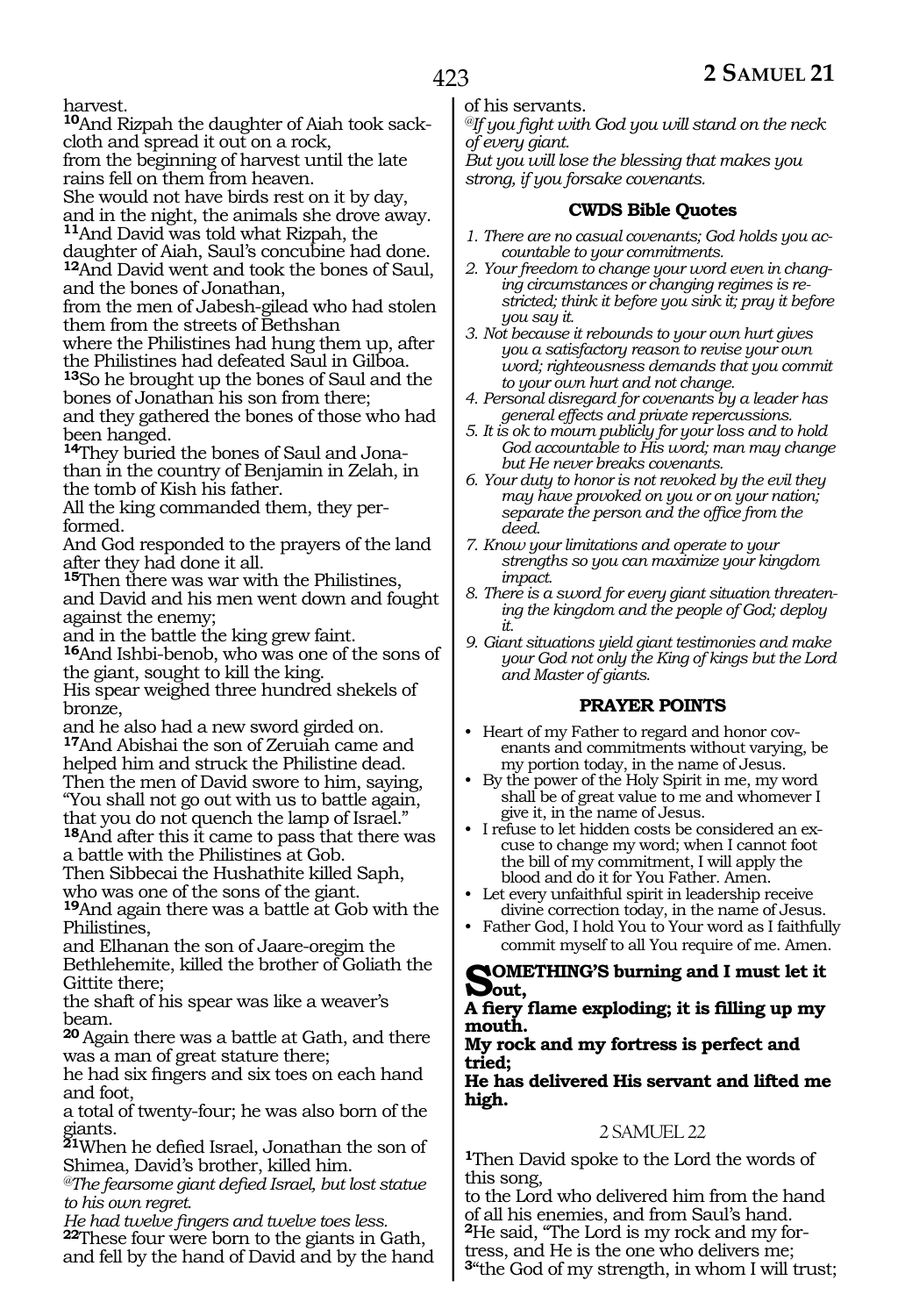harvest.

**10**And Rizpah the daughter of Aiah took sackcloth and spread it out on a rock, from the beginning of harvest until the late rains fell on them from heaven. She would not have birds rest on it by day, and in the night, the animals she drove away.

**<sup>11</sup>**And David was told what Rizpah, the daughter of Aiah, Saul's concubine had done. **<sup>12</sup>**And David went and took the bones of Saul, and the bones of Jonathan,

from the men of Jabesh-gilead who had stolen them from the streets of Bethshan

where the Philistines had hung them up, after the Philistines had defeated Saul in Gilboa.

**<sup>13</sup>**So he brought up the bones of Saul and the bones of Jonathan his son from there;

and they gathered the bones of those who had been hanged.

**14**They buried the bones of Saul and Jonathan in the country of Benjamin in Zelah, in the tomb of Kish his father.

All the king commanded them, they performed.

And God responded to the prayers of the land after they had done it all.

**<sup>15</sup>**Then there was war with the Philistines, and David and his men went down and fought against the enemy;

and in the battle the king grew faint.

**<sup>16</sup>**And Ishbi-benob, who was one of the sons of the giant, sought to kill the king.

His spear weighed three hundred shekels of bronze,

and he also had a new sword girded on. **<sup>17</sup>**And Abishai the son of Zeruiah came and helped him and struck the Philistine dead. Then the men of David swore to him, saying, "You shall not go out with us to battle again, that you do not quench the lamp of Israel."

**<sup>18</sup>**And after this it came to pass that there was a battle with the Philistines at Gob.

Then Sibbecai the Hushathite killed Saph, who was one of the sons of the giant.

**<sup>19</sup>**And again there was a battle at Gob with the Philistines,

and Elhanan the son of Jaare-oregim the Bethlehemite, killed the brother of Goliath the Gittite there;

the shaft of his spear was like a weaver's beam.

**<sup>20</sup>**Again there was a battle at Gath, and there was a man of great stature there;

he had six fingers and six toes on each hand and foot,

a total of twenty-four; he was also born of the giants.

**<sup>21</sup>**When he defied Israel, Jonathan the son of Shimea, David's brother, killed him.

*@The fearsome giant defied Israel, but lost statue to his own regret.*

*He had twelve fingers and twelve toes less.* **<sup>22</sup>**These four were born to the giants in Gath, and fell by the hand of David and by the hand of his servants.

*@If you fight with God you will stand on the neck of every giant.* 

*But you will lose the blessing that makes you strong, if you forsake covenants.*

# **CWDS Bible Quotes**

- *1. There are no casual covenants; God holds you accountable to your commitments.*
- *2. Your freedom to change your word even in changing circumstances or changing regimes is restricted; think it before you sink it; pray it before you say it.*
- *3. Not because it rebounds to your own hurt gives you a satisfactory reason to revise your own word; righteousness demands that you commit to your own hurt and not change.*
- *4. Personal disregard for covenants by a leader has general effects and private repercussions.*
- *5. It is ok to mourn publicly for your loss and to hold God accountable to His word; man may change but He never breaks covenants.*
- *6. Your duty to honor is not revoked by the evil they may have provoked on you or on your nation; separate the person and the office from the deed.*
- *7. Know your limitations and operate to your strengths so you can maximize your kingdom impact.*
- *8. There is a sword for every giant situation threatening the kingdom and the people of God; deploy it.*
- *9. Giant situations yield giant testimonies and make your God not only the King of kings but the Lord and Master of giants.*

# **PRAYER POINTS**

- Heart of my Father to regard and honor covenants and commitments without varying, be my portion today, in the name of Jesus.
- By the power of the Holy Spirit in me, my word shall be of great value to me and whomever I give it, in the name of Jesus.
- I refuse to let hidden costs be considered an excuse to change my word; when I cannot foot the bill of my commitment, I will apply the blood and do it for You Father. Amen.
- Let every unfaithful spirit in leadership receive divine correction today, in the name of Jesus.
- Father God, I hold You to Your word as I faithfully commit myself to all You require of me. Amen.

# **Something's burning and I must let it out,**

**A fiery flame exploding; it is filling up my mouth.**

#### **My rock and my fortress is perfect and tried;**

#### **He has delivered His servant and lifted me high.**

# 2 SAMUEL 22

**<sup>1</sup>**Then David spoke to the Lord the words of this song,

to the Lord who delivered him from the hand of all his enemies, and from Saul's hand. **<sup>2</sup>**He said, "The Lord is my rock and my for- tress, and He is the one who delivers me; **<sup>3</sup>**"the God of my strength, in whom I will trust;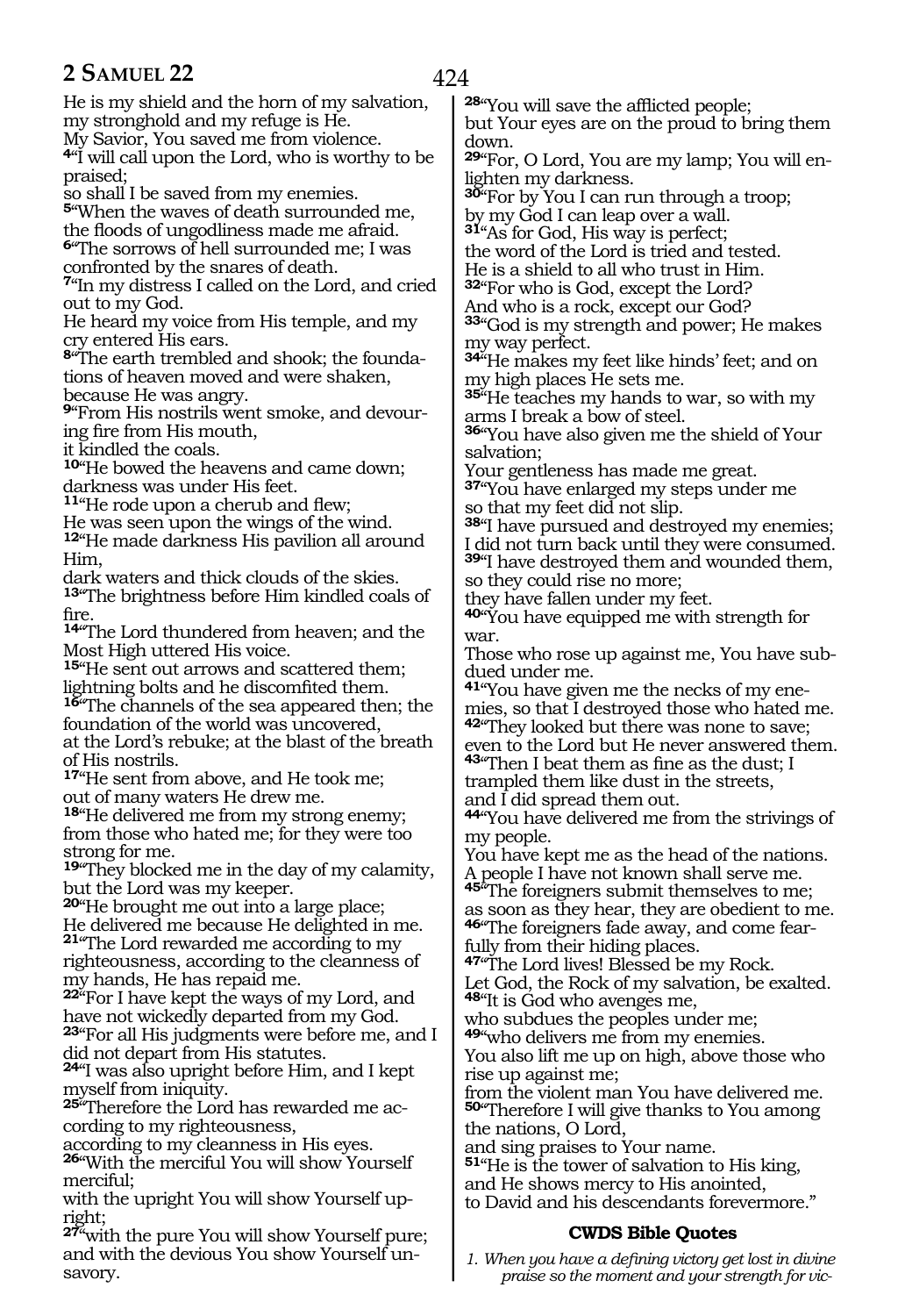He is my shield and the horn of my salvation, my stronghold and my refuge is He.

My Savior, You saved me from violence.

**<sup>4</sup>**"I will call upon the Lord, who is worthy to be praised;

so shall I be saved from my enemies.

**<sup>5</sup>**"When the waves of death surrounded me, the floods of ungodliness made me afraid. **<sup>6</sup>**"The sorrows of hell surrounded me; I was confronted by the snares of death.

**<sup>7</sup>**"In my distress I called on the Lord, and cried out to my God.

He heard my voice from His temple, and my cry entered His ears.

**<sup>8</sup>**"The earth trembled and shook; the founda- tions of heaven moved and were shaken, because He was angry.

**9**"From His nostrils went smoke, and devouring fire from His mouth,

it kindled the coals.

**<sup>10</sup>**"He bowed the heavens and came down; darkness was under His feet.

**<sup>11</sup>**"He rode upon a cherub and flew;

He was seen upon the wings of the wind. **<sup>12</sup>**"He made darkness His pavilion all around Him,

dark waters and thick clouds of the skies. **<sup>13</sup>**"The brightness before Him kindled coals of fire.

**<sup>14</sup>**"The Lord thundered from heaven; and the Most High uttered His voice.

**<sup>15</sup>**"He sent out arrows and scattered them; lightning bolts and he discomfited them.

**<sup>16</sup>**"The channels of the sea appeared then; the foundation of the world was uncovered, at the Lord's rebuke; at the blast of the breath

of His nostrils. **<sup>17</sup>**"He sent from above, and He took me;

out of many waters He drew me.

18<sup>"</sup>He delivered me from my strong enemy; from those who hated me; for they were too strong for me.

**<sup>19</sup>**"They blocked me in the day of my calamity, but the Lord was my keeper.

**<sup>20</sup>**"He brought me out into a large place; He delivered me because He delighted in me. **<sup>21</sup>**"The Lord rewarded me according to my righteousness, according to the cleanness of my hands, He has repaid me.

**<sup>22</sup>**"For I have kept the ways of my Lord, and have not wickedly departed from my God. **<sup>23</sup>**"For all His judgments were before me, and I did not depart from His statutes.

**<sup>24</sup>**"I was also upright before Him, and I kept myself from iniquity.

**25**"Therefore the Lord has rewarded me according to my righteousness,

according to my cleanness in His eyes.

**<sup>26</sup>**"With the merciful You will show Yourself merciful;

with the upright You will show Yourself upright;

**<sup>27</sup>**"with the pure You will show Yourself pure; and with the devious You show Yourself unsavory.

**<sup>28</sup>**"You will save the afflicted people;

but Your eyes are on the proud to bring them down.

**29**"For, O Lord, You are my lamp; You will enlighten my darkness.

**<sup>30</sup>**"For by You I can run through a troop; by my God I can leap over a wall.

**<sup>31</sup>**"As for God, His way is perfect;

the word of the Lord is tried and tested.

He is a shield to all who trust in Him. **<sup>32</sup>**"For who is God, except the Lord?

And who is a rock, except our God?

**<sup>33</sup>**"God is my strength and power; He makes my way perfect.

**<sup>34</sup>**"He makes my feet like hinds' feet; and on my high places He sets me.

**<sup>35</sup>**"He teaches my hands to war, so with my arms I break a bow of steel.

**<sup>36</sup>**"You have also given me the shield of Your salvation;

Your gentleness has made me great.

**<sup>37</sup>**"You have enlarged my steps under me so that my feet did not slip.

**<sup>38</sup>**"I have pursued and destroyed my enemies; I did not turn back until they were consumed.

**<sup>39</sup>**"I have destroyed them and wounded them, so they could rise no more;

they have fallen under my feet.

**<sup>40</sup>**"You have equipped me with strength for war.

Those who rose up against me, You have subdued under me.

**41**"You have given me the necks of my enemies, so that I destroyed those who hated me. **<sup>42</sup>**"They looked but there was none to save; even to the Lord but He never answered them.

**<sup>43</sup>**"Then I beat them as fine as the dust; I trampled them like dust in the streets, and I did spread them out.

**<sup>44</sup>**"You have delivered me from the strivings of my people.

You have kept me as the head of the nations. A people I have not known shall serve me.

**<sup>45</sup>**"The foreigners submit themselves to me; as soon as they hear, they are obedient to me. **46**"The foreigners fade away, and come fearfully from their hiding places.

**<sup>47</sup>**"The Lord lives! Blessed be my Rock. Let God, the Rock of my salvation, be exalted.

**<sup>48</sup>**"It is God who avenges me, who subdues the peoples under me;

**<sup>49</sup>**"who delivers me from my enemies. You also lift me up on high, above those who rise up against me;

from the violent man You have delivered me. **<sup>50</sup>**"Therefore I will give thanks to You among the nations, O Lord,

and sing praises to Your name.

**<sup>51</sup>**"He is the tower of salvation to His king, and He shows mercy to His anointed, to David and his descendants forevermore."

# **CWDS Bible Quotes**

*1. When you have a defining victory get lost in divine praise so the moment and your strength for vic-*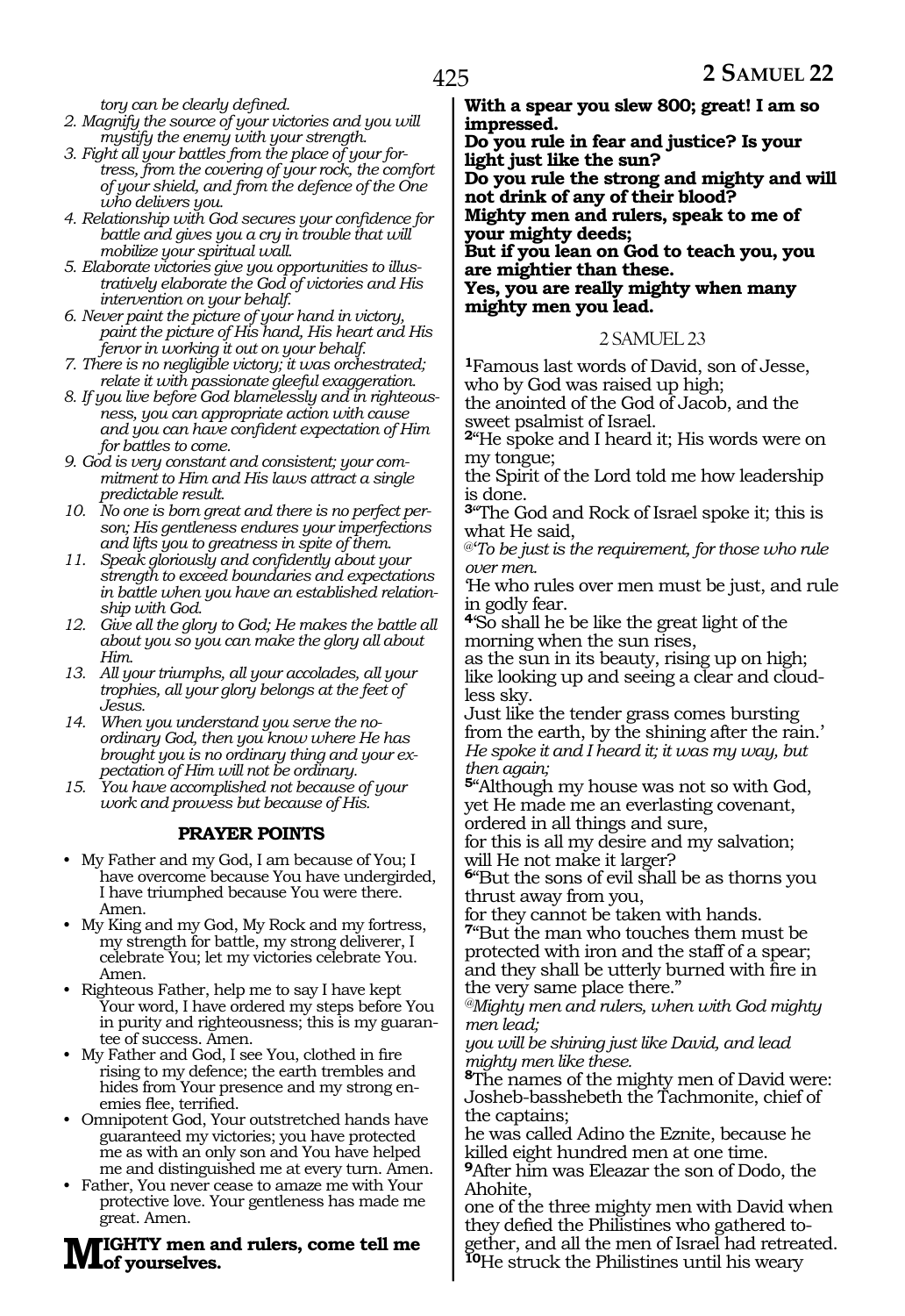*tory can be clearly defined.*

- *2. Magnify the source of your victories and you will mystify the enemy with your strength.*
- *3. Fight all your battles from the place of your fortress, from the covering of your rock, the comfort of your shield, and from the defence of the One who delivers you.*
- *4. Relationship with God secures your confidence for battle and gives you a cry in trouble that will mobilize your spiritual wall.*
- *5. Elaborate victories give you opportunities to illustratively elaborate the God of victories and His intervention on your behalf.*
- *6. Never paint the picture of your hand in victory, paint the picture of His hand, His heart and His fervor in working it out on your behalf.*
- *7. There is no negligible victory; it was orchestrated; relate it with passionate gleeful exaggeration.*
- *8. If you live before God blamelessly and in righteousness, you can appropriate action with cause and you can have confident expectation of Him for battles to come.*
- *9. God is very constant and consistent; your commitment to Him and His laws attract a single predictable result.*
- *10. No one is born great and there is no perfect person; His gentleness endures your imperfections and lifts you to greatness in spite of them.*
- *11. Speak gloriously and confidently about your strength to exceed boundaries and expectations in battle when you have an established relationship with God.*
- *12. Give all the glory to God; He makes the battle all about you so you can make the glory all about Him.*
- *13. All your triumphs, all your accolades, all your trophies, all your glory belongs at the feet of Jesus.*
- *14. When you understand you serve the noordinary God, then you know where He has brought you is no ordinary thing and your expectation of Him will not be ordinary.*
- *15. You have accomplished not because of your work and prowess but because of His.*

#### **PRAYER POINTS**

- My Father and my God, I am because of You; I have overcome because You have undergirded, I have triumphed because You were there. Amen.
- My King and my God, My Rock and my fortress, my strength for battle, my strong deliverer, I celebrate You; let my victories celebrate You. Amen.
- Righteous Father, help me to say I have kept Your word, I have ordered my steps before You in purity and righteousness; this is my guarantee of success. Amen.
- My Father and God, I see You, clothed in fire rising to my defence; the earth trembles and hides from Your presence and my strong enemies flee, terrified.
- Omnipotent God, Your outstretched hands have guaranteed my victories; you have protected me as with an only son and You have helped me and distinguished me at every turn. Amen.
- Father, You never cease to amaze me with Your protective love. Your gentleness has made me great. Amen.

#### **Mighty men and rulers, come tell me of yourselves.**

**With a spear you slew 800; great! I am so impressed.** 

**Do you rule in fear and justice? Is your light just like the sun?**

**Do you rule the strong and mighty and will not drink of any of their blood? Mighty men and rulers, speak to me of** 

**your mighty deeds; But if you lean on God to teach you, you** 

**are mightier than these. Yes, you are really mighty when many mighty men you lead.**

#### 2 SAMUEL 23

**<sup>1</sup>**Famous last words of David, son of Jesse, who by God was raised up high;

the anointed of the God of Jacob, and the sweet psalmist of Israel.

**<sup>2</sup>**"He spoke and I heard it; His words were on my tongue;

the Spirit of the Lord told me how leadership is done.

**<sup>3</sup>**"The God and Rock of Israel spoke it; this is what He said,

@'*To be just is the requirement, for those who rule over men.*

'He who rules over men must be just, and rule in godly fear.

**<sup>4</sup>**'So shall he be like the great light of the morning when the sun rises,

as the sun in its beauty, rising up on high; like looking up and seeing a clear and cloudless sky.

Just like the tender grass comes bursting from the earth, by the shining after the rain.' *He spoke it and I heard it; it was my way, but then again;*

**<sup>5</sup>**"Although my house was not so with God, yet He made me an everlasting covenant, ordered in all things and sure,

for this is all my desire and my salvation; will He not make it larger?

**<sup>6</sup>**"But the sons of evil shall be as thorns you thrust away from you,

for they cannot be taken with hands.

**<sup>7</sup>**"But the man who touches them must be protected with iron and the staff of a spear; and they shall be utterly burned with fire in the very same place there."

*@Mighty men and rulers, when with God mighty men lead;*

*you will be shining just like David, and lead mighty men like these.*

**<sup>8</sup>**The names of the mighty men of David were: Josheb-basshebeth the Tachmonite, chief of the captains;

he was called Adino the Eznite, because he killed eight hundred men at one time.

**<sup>9</sup>**After him was Eleazar the son of Dodo, the Ahohite,

one of the three mighty men with David when they defied the Philistines who gathered to- gether, and all the men of Israel had retreated. **<sup>10</sup>**He struck the Philistines until his weary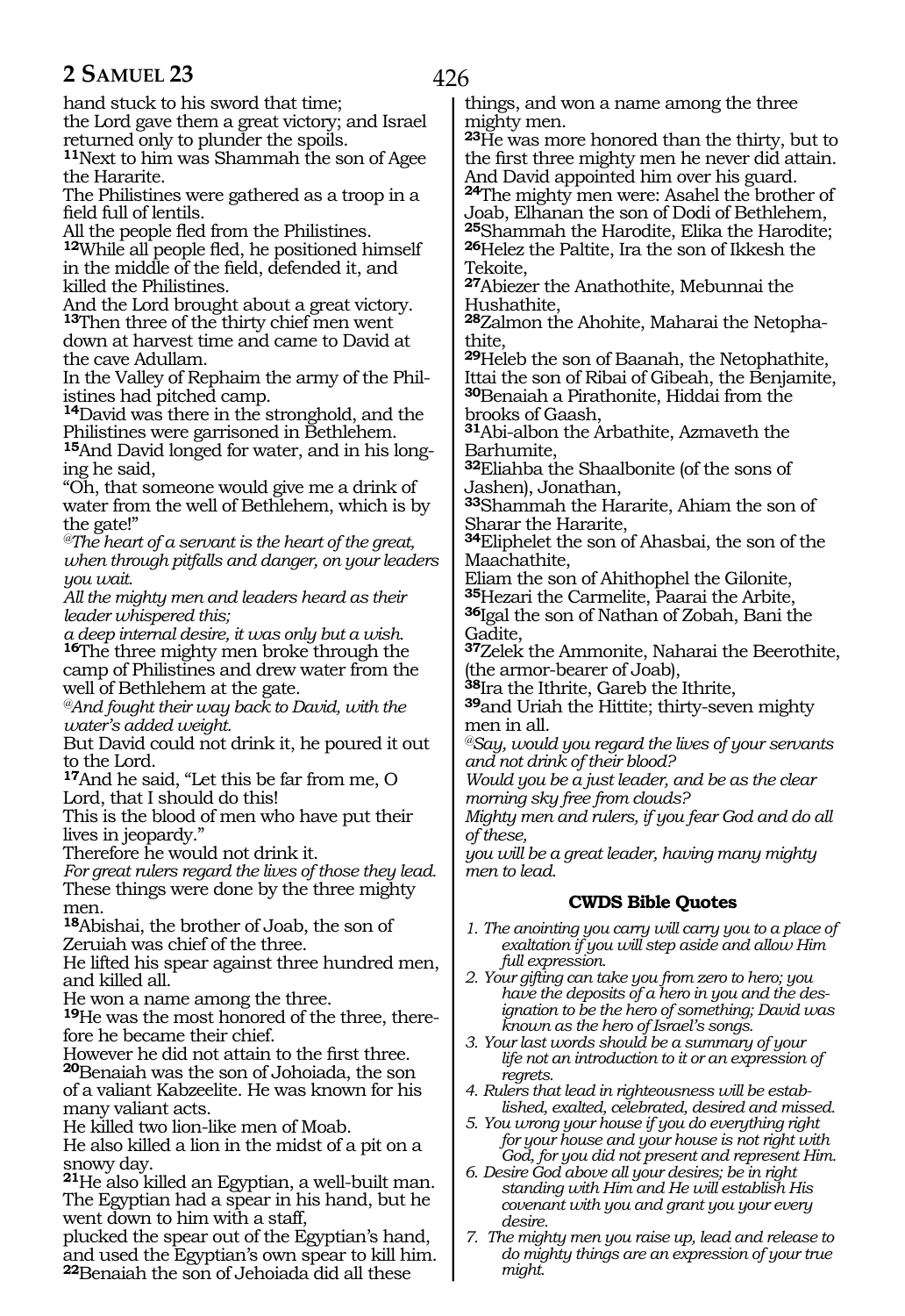426

hand stuck to his sword that time;

the Lord gave them a great victory; and Israel returned only to plunder the spoils.

**<sup>11</sup>**Next to him was Shammah the son of Agee the Hararite.

The Philistines were gathered as a troop in a field full of lentils.

All the people fled from the Philistines. **<sup>12</sup>**While all people fled, he positioned himself in the middle of the field, defended it, and killed the Philistines.

And the Lord brought about a great victory. **<sup>13</sup>**Then three of the thirty chief men went down at harvest time and came to David at the cave Adullam.

In the Valley of Rephaim the army of the Phil- istines had pitched camp.

**<sup>14</sup>**David was there in the stronghold, and the Philistines were garrisoned in Bethlehem.

**15**And David longed for water, and in his longing he said,

"Oh, that someone would give me a drink of water from the well of Bethlehem, which is by the gate!"

*@The heart of a servant is the heart of the great, when through pitfalls and danger, on your leaders you wait.*

*All the mighty men and leaders heard as their leader whispered this;*

*a deep internal desire, it was only but a wish.* **<sup>16</sup>**The three mighty men broke through the camp of Philistines and drew water from the well of Bethlehem at the gate.

*@And fought their way back to David, with the water's added weight.*

But David could not drink it, he poured it out to the Lord.

**<sup>17</sup>**And he said, "Let this be far from me, O Lord, that I should do this!

This is the blood of men who have put their lives in jeopardy."

Therefore he would not drink it.

*For great rulers regard the lives of those they lead.* These things were done by the three mighty men.

**<sup>18</sup>**Abishai, the brother of Joab, the son of Zeruiah was chief of the three.

He lifted his spear against three hundred men, and killed all.

He won a name among the three.

**19**He was the most honored of the three, therefore he became their chief.

However he did not attain to the first three.

**<sup>20</sup>**Benaiah was the son of Johoiada, the son of a valiant Kabzeelite. He was known for his many valiant acts.

He killed two lion-like men of Moab.

He also killed a lion in the midst of a pit on a snowy day.

**<sup>21</sup>**He also killed an Egyptian, a well-built man. The Egyptian had a spear in his hand, but he went down to him with a staff,

plucked the spear out of the Egyptian's hand, and used the Egyptian's own spear to kill him. **<sup>22</sup>**Benaiah the son of Jehoiada did all these

things, and won a name among the three mighty men.

**<sup>23</sup>**He was more honored than the thirty, but to the first three mighty men he never did attain. And David appointed him over his guard. **<sup>24</sup>**The mighty men were: Asahel the brother of

Joab, Elhanan the son of Dodi of Bethlehem, **<sup>25</sup>**Shammah the Harodite, Elika the Harodite; **<sup>26</sup>**Helez the Paltite, Ira the son of Ikkesh the Tekoite,

**<sup>27</sup>**Abiezer the Anathothite, Mebunnai the Hushathite,

**<sup>28</sup>**Zalmon the Ahohite, Maharai the Netopha- thite,

**<sup>29</sup>**Heleb the son of Baanah, the Netophathite, Ittai the son of Ribai of Gibeah, the Benjamite,

**<sup>30</sup>**Benaiah a Pirathonite, Hiddai from the brooks of Gaash,

**<sup>31</sup>**Abi-albon the Arbathite, Azmaveth the Barhumite,

**<sup>32</sup>**Eliahba the Shaalbonite (of the sons of Jashen), Jonathan,

**<sup>33</sup>**Shammah the Hararite, Ahiam the son of Sharar the Hararite,

**<sup>34</sup>**Eliphelet the son of Ahasbai, the son of the Maachathite,

Eliam the son of Ahithophel the Gilonite, **<sup>35</sup>**Hezari the Carmelite, Paarai the Arbite,

**<sup>36</sup>**Igal the son of Nathan of Zobah, Bani the Gadite,

**<sup>37</sup>**Zelek the Ammonite, Naharai the Beerothite, (the armor-bearer of Joab),

**<sup>38</sup>**Ira the Ithrite, Gareb the Ithrite,

**<sup>39</sup>**and Uriah the Hittite; thirty-seven mighty men in all.

*@Say, would you regard the lives of your servants and not drink of their blood?*

*Would you be a just leader, and be as the clear morning sky free from clouds?*

*Mighty men and rulers, if you fear God and do all of these,*

*you will be a great leader, having many mighty men to lead.*

# **CWDS Bible Quotes**

- *1. The anointing you carry will carry you to a place of exaltation if you will step aside and allow Him full expression.*
- *2. Your gifting can take you from zero to hero; you have the deposits of a hero in you and the designation to be the hero of something; David was known as the hero of Israel's songs.*
- *3. Your last words should be a summary of your life not an introduction to it or an expression of regrets.*
- *4. Rulers that lead in righteousness will be established, exalted, celebrated, desired and missed.*
- *5. You wrong your house if you do everything right for your house and your house is not right with God, for you did not present and represent Him.*
- *6. Desire God above all your desires; be in right standing with Him and He will establish His covenant with you and grant you your every desire.*
- *7. The mighty men you raise up, lead and release to do mighty things are an expression of your true might.*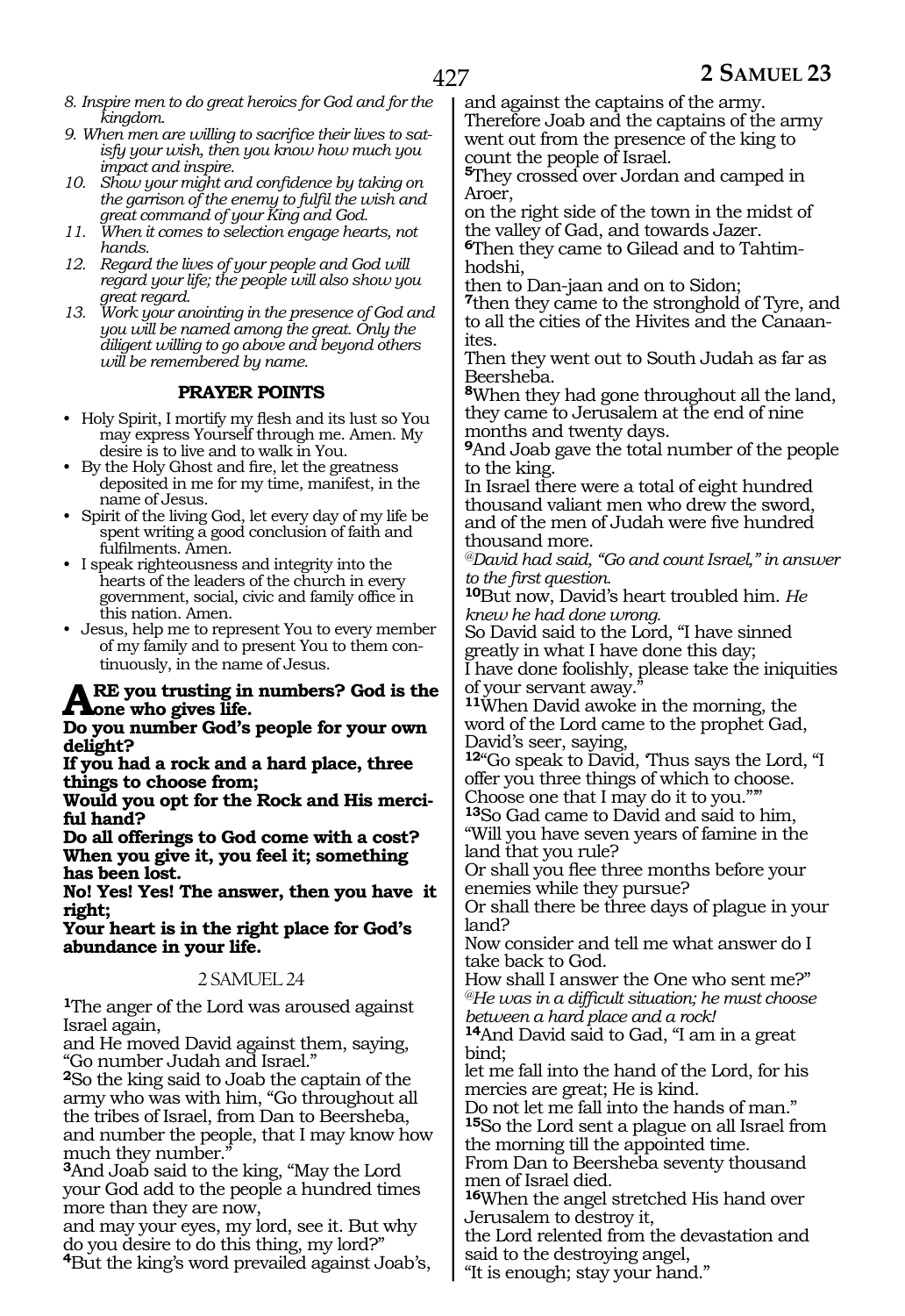- *8. Inspire men to do great heroics for God and for the kingdom.*
- *9. When men are willing to sacrifice their lives to satisfy your wish, then you know how much you impact and inspire.*
- *10. Show your might and confidence by taking on the garrison of the enemy to fulfil the wish and great command of your King and God.*
- *11. When it comes to selection engage hearts, not hands.*
- *12. Regard the lives of your people and God will regard your life; the people will also show you great regard.*
- *13. Work your anointing in the presence of God and you will be named among the great. Only the diligent willing to go above and beyond others will be remembered by name.*

# **PRAYER POINTS**

- Holy Spirit, I mortify my flesh and its lust so You may express Yourself through me. Amen. My desire is to live and to walk in You.
- By the Holy Ghost and fire, let the greatness deposited in me for my time, manifest, in the name of Jesus.
- Spirit of the living God, let every day of my life be spent writing a good conclusion of faith and fulfilments. Amen.
- I speak righteousness and integrity into the hearts of the leaders of the church in every government, social, civic and family office in this nation. Amen.
- Jesus, help me to represent You to every member of my family and to present You to them continuously, in the name of Jesus.

# **ARE you trusting in numbers? God is the**<br> **One who gives life.**<br> **One you number God's poople for your sum**

**Do you number God's people for your own delight?**

**If you had a rock and a hard place, three things to choose from;**

**Would you opt for the Rock and His merci- ful hand?**

**Do all offerings to God come with a cost? When you give it, you feel it; something has been lost.**

**No! Yes! Yes! The answer, then you have it right;**

**Your heart is in the right place for God's abundance in your life.**

#### 2 SAMUEL 24

**<sup>1</sup>**The anger of the Lord was aroused against Israel again,

and He moved David against them, saying, "Go number Judah and Israel."

**<sup>2</sup>**So the king said to Joab the captain of the army who was with him, "Go throughout all the tribes of Israel, from Dan to Beersheba, and number the people, that I may know how much they number."

**<sup>3</sup>**And Joab said to the king, "May the Lord your God add to the people a hundred times more than they are now,

and may your eyes, my lord, see it. But why do you desire to do this thing, my lord?" **<sup>4</sup>**But the king's word prevailed against Joab's, and against the captains of the army. Therefore Joab and the captains of the army went out from the presence of the king to count the people of Israel.

**<sup>5</sup>**They crossed over Jordan and camped in Aroer,

on the right side of the town in the midst of the valley of Gad, and towards Jazer.

**6**Then they came to Gilead and to Tahtimhodshi,

then to Dan-jaan and on to Sidon;

**<sup>7</sup>**then they came to the stronghold of Tyre, and to all the cities of the Hivites and the Canaan-<br>ites.

Then they went out to South Judah as far as Beersheba.

**<sup>8</sup>**When they had gone throughout all the land, they came to Jerusalem at the end of nine months and twenty days.

**<sup>9</sup>**And Joab gave the total number of the people to the king.

In Israel there were a total of eight hundred thousand valiant men who drew the sword, and of the men of Judah were five hundred thousand more.

*@David had said, "Go and count Israel," in answer to the first question.*

**<sup>10</sup>**But now, David's heart troubled him. *He knew he had done wrong.*

So David said to the Lord, "I have sinned greatly in what I have done this day;

I have done foolishly, please take the iniquities of your servant away."

**<sup>11</sup>**When David awoke in the morning, the word of the Lord came to the prophet Gad, David's seer, saying,

12<sup>"</sup>Go speak to David, Thus says the Lord, "I offer you three things of which to choose. Choose one that I may do it to you."'"

**<sup>13</sup>**So Gad came to David and said to him,

"Will you have seven years of famine in the land that you rule?

Or shall you flee three months before your enemies while they pursue?

Or shall there be three days of plague in your land?

Now consider and tell me what answer do I take back to God.

How shall I answer the One who sent me?" *@He was in a difficult situation; he must choose between a hard place and a rock!*

**<sup>14</sup>**And David said to Gad, "I am in a great bind;

let me fall into the hand of the Lord, for his mercies are great; He is kind.

Do not let me fall into the hands of man." **<sup>15</sup>**So the Lord sent a plague on all Israel from the morning till the appointed time.

From Dan to Beersheba seventy thousand men of Israel died.

**<sup>16</sup>**When the angel stretched His hand over Jerusalem to destroy it,

the Lord relented from the devastation and said to the destroying angel,

"It is enough; stay your hand."